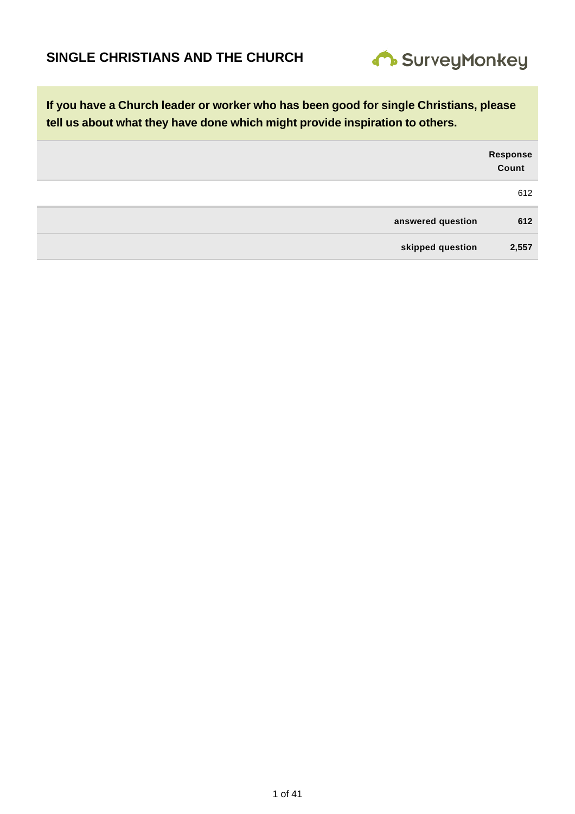

|                   | Response<br>Count |
|-------------------|-------------------|
|                   | 612               |
| answered question | 612               |
| skipped question  | 2,557             |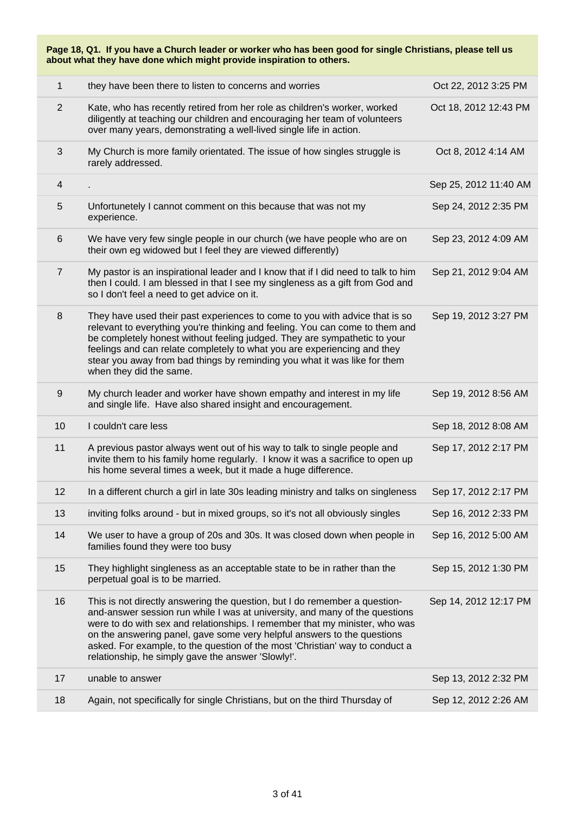| Page 18, Q1. If you have a Church leader or worker who has been good for single Christians, please tell us<br>about what they have done which might provide inspiration to others. |                                                                                                                                                                                                                                                                                                                                                                                                                                                           |                       |  |
|------------------------------------------------------------------------------------------------------------------------------------------------------------------------------------|-----------------------------------------------------------------------------------------------------------------------------------------------------------------------------------------------------------------------------------------------------------------------------------------------------------------------------------------------------------------------------------------------------------------------------------------------------------|-----------------------|--|
| $\mathbf{1}$                                                                                                                                                                       | they have been there to listen to concerns and worries                                                                                                                                                                                                                                                                                                                                                                                                    | Oct 22, 2012 3:25 PM  |  |
| $\overline{2}$                                                                                                                                                                     | Kate, who has recently retired from her role as children's worker, worked<br>diligently at teaching our children and encouraging her team of volunteers<br>over many years, demonstrating a well-lived single life in action.                                                                                                                                                                                                                             | Oct 18, 2012 12:43 PM |  |
| 3                                                                                                                                                                                  | My Church is more family orientated. The issue of how singles struggle is<br>rarely addressed.                                                                                                                                                                                                                                                                                                                                                            | Oct 8, 2012 4:14 AM   |  |
| $\overline{\mathbf{4}}$                                                                                                                                                            |                                                                                                                                                                                                                                                                                                                                                                                                                                                           | Sep 25, 2012 11:40 AM |  |
| 5                                                                                                                                                                                  | Unfortunetely I cannot comment on this because that was not my<br>experience.                                                                                                                                                                                                                                                                                                                                                                             | Sep 24, 2012 2:35 PM  |  |
| $\,6$                                                                                                                                                                              | We have very few single people in our church (we have people who are on<br>their own eg widowed but I feel they are viewed differently)                                                                                                                                                                                                                                                                                                                   | Sep 23, 2012 4:09 AM  |  |
| $\overline{7}$                                                                                                                                                                     | My pastor is an inspirational leader and I know that if I did need to talk to him<br>then I could. I am blessed in that I see my singleness as a gift from God and<br>so I don't feel a need to get advice on it.                                                                                                                                                                                                                                         | Sep 21, 2012 9:04 AM  |  |
| 8                                                                                                                                                                                  | They have used their past experiences to come to you with advice that is so<br>relevant to everything you're thinking and feeling. You can come to them and<br>be completely honest without feeling judged. They are sympathetic to your<br>feelings and can relate completely to what you are experiencing and they<br>stear you away from bad things by reminding you what it was like for them<br>when they did the same.                              | Sep 19, 2012 3:27 PM  |  |
| $\boldsymbol{9}$                                                                                                                                                                   | My church leader and worker have shown empathy and interest in my life<br>and single life. Have also shared insight and encouragement.                                                                                                                                                                                                                                                                                                                    | Sep 19, 2012 8:56 AM  |  |
| 10                                                                                                                                                                                 | I couldn't care less                                                                                                                                                                                                                                                                                                                                                                                                                                      | Sep 18, 2012 8:08 AM  |  |
| 11                                                                                                                                                                                 | A previous pastor always went out of his way to talk to single people and<br>invite them to his family home regularly. I know it was a sacrifice to open up<br>his home several times a week, but it made a huge difference.                                                                                                                                                                                                                              | Sep 17, 2012 2:17 PM  |  |
| 12                                                                                                                                                                                 | In a different church a girl in late 30s leading ministry and talks on singleness                                                                                                                                                                                                                                                                                                                                                                         | Sep 17, 2012 2:17 PM  |  |
| 13                                                                                                                                                                                 | inviting folks around - but in mixed groups, so it's not all obviously singles                                                                                                                                                                                                                                                                                                                                                                            | Sep 16, 2012 2:33 PM  |  |
| 14                                                                                                                                                                                 | We user to have a group of 20s and 30s. It was closed down when people in<br>families found they were too busy                                                                                                                                                                                                                                                                                                                                            | Sep 16, 2012 5:00 AM  |  |
| 15                                                                                                                                                                                 | They highlight singleness as an acceptable state to be in rather than the<br>perpetual goal is to be married.                                                                                                                                                                                                                                                                                                                                             | Sep 15, 2012 1:30 PM  |  |
| 16                                                                                                                                                                                 | This is not directly answering the question, but I do remember a question-<br>and-answer session run while I was at university, and many of the questions<br>were to do with sex and relationships. I remember that my minister, who was<br>on the answering panel, gave some very helpful answers to the questions<br>asked. For example, to the question of the most 'Christian' way to conduct a<br>relationship, he simply gave the answer 'Slowly!'. | Sep 14, 2012 12:17 PM |  |
| 17                                                                                                                                                                                 | unable to answer                                                                                                                                                                                                                                                                                                                                                                                                                                          | Sep 13, 2012 2:32 PM  |  |
| 18                                                                                                                                                                                 | Again, not specifically for single Christians, but on the third Thursday of                                                                                                                                                                                                                                                                                                                                                                               | Sep 12, 2012 2:26 AM  |  |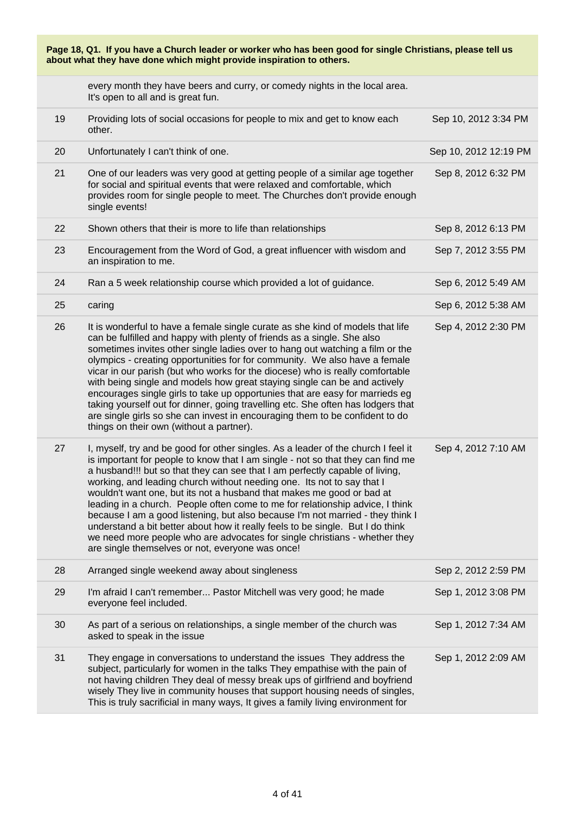| Page 18, Q1. If you have a Church leader or worker who has been good for single Christians, please tell us<br>about what they have done which might provide inspiration to others. |                                                                                                                                                                                                                                                                                                                                                                                                                                                                                                                                                                                                                                                                                                                                                                                                |                       |  |
|------------------------------------------------------------------------------------------------------------------------------------------------------------------------------------|------------------------------------------------------------------------------------------------------------------------------------------------------------------------------------------------------------------------------------------------------------------------------------------------------------------------------------------------------------------------------------------------------------------------------------------------------------------------------------------------------------------------------------------------------------------------------------------------------------------------------------------------------------------------------------------------------------------------------------------------------------------------------------------------|-----------------------|--|
|                                                                                                                                                                                    | every month they have beers and curry, or comedy nights in the local area.<br>It's open to all and is great fun.                                                                                                                                                                                                                                                                                                                                                                                                                                                                                                                                                                                                                                                                               |                       |  |
| 19                                                                                                                                                                                 | Providing lots of social occasions for people to mix and get to know each<br>other.                                                                                                                                                                                                                                                                                                                                                                                                                                                                                                                                                                                                                                                                                                            | Sep 10, 2012 3:34 PM  |  |
| 20                                                                                                                                                                                 | Unfortunately I can't think of one.                                                                                                                                                                                                                                                                                                                                                                                                                                                                                                                                                                                                                                                                                                                                                            | Sep 10, 2012 12:19 PM |  |
| 21                                                                                                                                                                                 | One of our leaders was very good at getting people of a similar age together<br>for social and spiritual events that were relaxed and comfortable, which<br>provides room for single people to meet. The Churches don't provide enough<br>single events!                                                                                                                                                                                                                                                                                                                                                                                                                                                                                                                                       | Sep 8, 2012 6:32 PM   |  |
| 22                                                                                                                                                                                 | Shown others that their is more to life than relationships                                                                                                                                                                                                                                                                                                                                                                                                                                                                                                                                                                                                                                                                                                                                     | Sep 8, 2012 6:13 PM   |  |
| 23                                                                                                                                                                                 | Encouragement from the Word of God, a great influencer with wisdom and<br>an inspiration to me.                                                                                                                                                                                                                                                                                                                                                                                                                                                                                                                                                                                                                                                                                                | Sep 7, 2012 3:55 PM   |  |
| 24                                                                                                                                                                                 | Ran a 5 week relationship course which provided a lot of guidance.                                                                                                                                                                                                                                                                                                                                                                                                                                                                                                                                                                                                                                                                                                                             | Sep 6, 2012 5:49 AM   |  |
| 25                                                                                                                                                                                 | caring                                                                                                                                                                                                                                                                                                                                                                                                                                                                                                                                                                                                                                                                                                                                                                                         | Sep 6, 2012 5:38 AM   |  |
| 26                                                                                                                                                                                 | It is wonderful to have a female single curate as she kind of models that life<br>can be fulfilled and happy with plenty of friends as a single. She also<br>sometimes invites other single ladies over to hang out watching a film or the<br>olympics - creating opportunities for for community. We also have a female<br>vicar in our parish (but who works for the diocese) who is really comfortable<br>with being single and models how great staying single can be and actively<br>encourages single girls to take up opportunies that are easy for marrieds eg<br>taking yourself out for dinner, going travelling etc. She often has lodgers that<br>are single girls so she can invest in encouraging them to be confident to do<br>things on their own (without a partner).         | Sep 4, 2012 2:30 PM   |  |
| 27                                                                                                                                                                                 | I, myself, try and be good for other singles. As a leader of the church I feel it<br>is important for people to know that I am single - not so that they can find me<br>a husband!!! but so that they can see that I am perfectly capable of living,<br>working, and leading church without needing one. Its not to say that I<br>wouldn't want one, but its not a husband that makes me good or bad at<br>leading in a church. People often come to me for relationship advice, I think<br>because I am a good listening, but also because I'm not married - they think I<br>understand a bit better about how it really feels to be single. But I do think<br>we need more people who are advocates for single christians - whether they<br>are single themselves or not, everyone was once! | Sep 4, 2012 7:10 AM   |  |
| 28                                                                                                                                                                                 | Arranged single weekend away about singleness                                                                                                                                                                                                                                                                                                                                                                                                                                                                                                                                                                                                                                                                                                                                                  | Sep 2, 2012 2:59 PM   |  |
| 29                                                                                                                                                                                 | I'm afraid I can't remember Pastor Mitchell was very good; he made<br>everyone feel included.                                                                                                                                                                                                                                                                                                                                                                                                                                                                                                                                                                                                                                                                                                  | Sep 1, 2012 3:08 PM   |  |
| 30                                                                                                                                                                                 | As part of a serious on relationships, a single member of the church was<br>asked to speak in the issue                                                                                                                                                                                                                                                                                                                                                                                                                                                                                                                                                                                                                                                                                        | Sep 1, 2012 7:34 AM   |  |
| 31                                                                                                                                                                                 | They engage in conversations to understand the issues They address the<br>subject, particularly for women in the talks They empathise with the pain of<br>not having children They deal of messy break ups of girlfriend and boyfriend<br>wisely They live in community houses that support housing needs of singles,<br>This is truly sacrificial in many ways, It gives a family living environment for                                                                                                                                                                                                                                                                                                                                                                                      | Sep 1, 2012 2:09 AM   |  |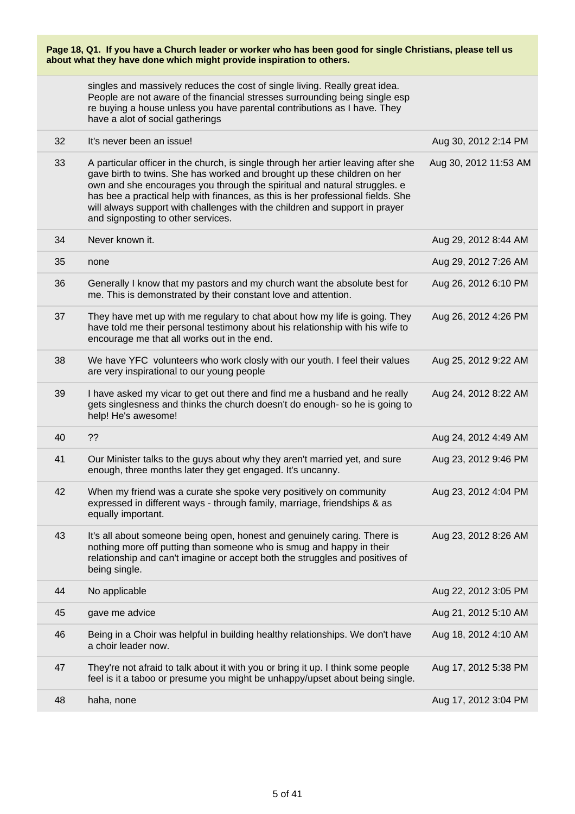| Page 18, Q1. If you have a Church leader or worker who has been good for single Christians, please tell us<br>about what they have done which might provide inspiration to others. |                                                                                                                                                                                                                                                                                                                                                                                                                                                     |                       |  |
|------------------------------------------------------------------------------------------------------------------------------------------------------------------------------------|-----------------------------------------------------------------------------------------------------------------------------------------------------------------------------------------------------------------------------------------------------------------------------------------------------------------------------------------------------------------------------------------------------------------------------------------------------|-----------------------|--|
|                                                                                                                                                                                    | singles and massively reduces the cost of single living. Really great idea.<br>People are not aware of the financial stresses surrounding being single esp<br>re buying a house unless you have parental contributions as I have. They<br>have a alot of social gatherings                                                                                                                                                                          |                       |  |
| 32                                                                                                                                                                                 | It's never been an issue!                                                                                                                                                                                                                                                                                                                                                                                                                           | Aug 30, 2012 2:14 PM  |  |
| 33                                                                                                                                                                                 | A particular officer in the church, is single through her artier leaving after she<br>gave birth to twins. She has worked and brought up these children on her<br>own and she encourages you through the spiritual and natural struggles. e<br>has bee a practical help with finances, as this is her professional fields. She<br>will always support with challenges with the children and support in prayer<br>and signposting to other services. | Aug 30, 2012 11:53 AM |  |
| 34                                                                                                                                                                                 | Never known it.                                                                                                                                                                                                                                                                                                                                                                                                                                     | Aug 29, 2012 8:44 AM  |  |
| 35                                                                                                                                                                                 | none                                                                                                                                                                                                                                                                                                                                                                                                                                                | Aug 29, 2012 7:26 AM  |  |
| 36                                                                                                                                                                                 | Generally I know that my pastors and my church want the absolute best for<br>me. This is demonstrated by their constant love and attention.                                                                                                                                                                                                                                                                                                         | Aug 26, 2012 6:10 PM  |  |
| 37                                                                                                                                                                                 | They have met up with me regulary to chat about how my life is going. They<br>have told me their personal testimony about his relationship with his wife to<br>encourage me that all works out in the end.                                                                                                                                                                                                                                          | Aug 26, 2012 4:26 PM  |  |
| 38                                                                                                                                                                                 | We have YFC volunteers who work closly with our youth. I feel their values<br>are very inspirational to our young people                                                                                                                                                                                                                                                                                                                            | Aug 25, 2012 9:22 AM  |  |
| 39                                                                                                                                                                                 | I have asked my vicar to get out there and find me a husband and he really<br>gets singlesness and thinks the church doesn't do enough- so he is going to<br>help! He's awesome!                                                                                                                                                                                                                                                                    | Aug 24, 2012 8:22 AM  |  |
| 40                                                                                                                                                                                 | ??                                                                                                                                                                                                                                                                                                                                                                                                                                                  | Aug 24, 2012 4:49 AM  |  |
| 41                                                                                                                                                                                 | Our Minister talks to the guys about why they aren't married yet, and sure<br>enough, three months later they get engaged. It's uncanny.                                                                                                                                                                                                                                                                                                            | Aug 23, 2012 9:46 PM  |  |
| 42                                                                                                                                                                                 | When my friend was a curate she spoke very positively on community<br>expressed in different ways - through family, marriage, friendships & as<br>equally important.                                                                                                                                                                                                                                                                                | Aug 23, 2012 4:04 PM  |  |
| 43                                                                                                                                                                                 | It's all about someone being open, honest and genuinely caring. There is<br>nothing more off putting than someone who is smug and happy in their<br>relationship and can't imagine or accept both the struggles and positives of<br>being single.                                                                                                                                                                                                   | Aug 23, 2012 8:26 AM  |  |
| 44                                                                                                                                                                                 | No applicable                                                                                                                                                                                                                                                                                                                                                                                                                                       | Aug 22, 2012 3:05 PM  |  |
| 45                                                                                                                                                                                 | gave me advice                                                                                                                                                                                                                                                                                                                                                                                                                                      | Aug 21, 2012 5:10 AM  |  |
| 46                                                                                                                                                                                 | Being in a Choir was helpful in building healthy relationships. We don't have<br>a choir leader now.                                                                                                                                                                                                                                                                                                                                                | Aug 18, 2012 4:10 AM  |  |
| 47                                                                                                                                                                                 | They're not afraid to talk about it with you or bring it up. I think some people<br>feel is it a taboo or presume you might be unhappy/upset about being single.                                                                                                                                                                                                                                                                                    | Aug 17, 2012 5:38 PM  |  |
| 48                                                                                                                                                                                 | haha, none                                                                                                                                                                                                                                                                                                                                                                                                                                          | Aug 17, 2012 3:04 PM  |  |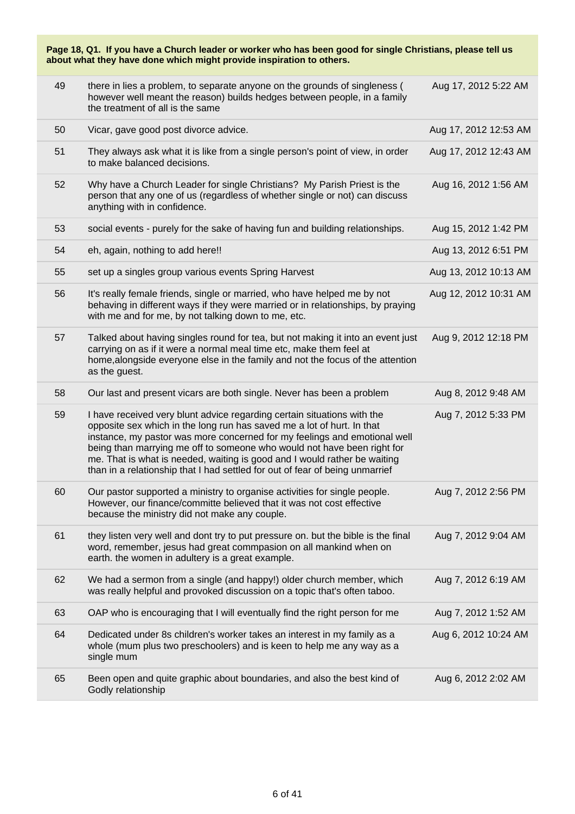| Page 18, Q1. If you have a Church leader or worker who has been good for single Christians, please tell us<br>about what they have done which might provide inspiration to others. |                                                                                                                                                                                                                                                                                                                                                                                                                                                                        |                       |  |
|------------------------------------------------------------------------------------------------------------------------------------------------------------------------------------|------------------------------------------------------------------------------------------------------------------------------------------------------------------------------------------------------------------------------------------------------------------------------------------------------------------------------------------------------------------------------------------------------------------------------------------------------------------------|-----------------------|--|
| 49                                                                                                                                                                                 | there in lies a problem, to separate anyone on the grounds of singleness (<br>however well meant the reason) builds hedges between people, in a family<br>the treatment of all is the same                                                                                                                                                                                                                                                                             | Aug 17, 2012 5:22 AM  |  |
| 50                                                                                                                                                                                 | Vicar, gave good post divorce advice.                                                                                                                                                                                                                                                                                                                                                                                                                                  | Aug 17, 2012 12:53 AM |  |
| 51                                                                                                                                                                                 | They always ask what it is like from a single person's point of view, in order<br>to make balanced decisions.                                                                                                                                                                                                                                                                                                                                                          | Aug 17, 2012 12:43 AM |  |
| 52                                                                                                                                                                                 | Why have a Church Leader for single Christians? My Parish Priest is the<br>person that any one of us (regardless of whether single or not) can discuss<br>anything with in confidence.                                                                                                                                                                                                                                                                                 | Aug 16, 2012 1:56 AM  |  |
| 53                                                                                                                                                                                 | social events - purely for the sake of having fun and building relationships.                                                                                                                                                                                                                                                                                                                                                                                          | Aug 15, 2012 1:42 PM  |  |
| 54                                                                                                                                                                                 | eh, again, nothing to add here!!                                                                                                                                                                                                                                                                                                                                                                                                                                       | Aug 13, 2012 6:51 PM  |  |
| 55                                                                                                                                                                                 | set up a singles group various events Spring Harvest                                                                                                                                                                                                                                                                                                                                                                                                                   | Aug 13, 2012 10:13 AM |  |
| 56                                                                                                                                                                                 | It's really female friends, single or married, who have helped me by not<br>behaving in different ways if they were married or in relationships, by praying<br>with me and for me, by not talking down to me, etc.                                                                                                                                                                                                                                                     | Aug 12, 2012 10:31 AM |  |
| 57                                                                                                                                                                                 | Talked about having singles round for tea, but not making it into an event just<br>carrying on as if it were a normal meal time etc, make them feel at<br>home, alongside everyone else in the family and not the focus of the attention<br>as the guest.                                                                                                                                                                                                              | Aug 9, 2012 12:18 PM  |  |
| 58                                                                                                                                                                                 | Our last and present vicars are both single. Never has been a problem                                                                                                                                                                                                                                                                                                                                                                                                  | Aug 8, 2012 9:48 AM   |  |
| 59                                                                                                                                                                                 | I have received very blunt advice regarding certain situations with the<br>opposite sex which in the long run has saved me a lot of hurt. In that<br>instance, my pastor was more concerned for my feelings and emotional well<br>being than marrying me off to someone who would not have been right for<br>me. That is what is needed, waiting is good and I would rather be waiting<br>than in a relationship that I had settled for out of fear of being unmarrief | Aug 7, 2012 5:33 PM   |  |
| 60                                                                                                                                                                                 | Our pastor supported a ministry to organise activities for single people.<br>However, our finance/committe believed that it was not cost effective<br>because the ministry did not make any couple.                                                                                                                                                                                                                                                                    | Aug 7, 2012 2:56 PM   |  |
| 61                                                                                                                                                                                 | they listen very well and dont try to put pressure on. but the bible is the final<br>word, remember, jesus had great commpasion on all mankind when on<br>earth. the women in adultery is a great example.                                                                                                                                                                                                                                                             | Aug 7, 2012 9:04 AM   |  |
| 62                                                                                                                                                                                 | We had a sermon from a single (and happy!) older church member, which<br>was really helpful and provoked discussion on a topic that's often taboo.                                                                                                                                                                                                                                                                                                                     | Aug 7, 2012 6:19 AM   |  |
| 63                                                                                                                                                                                 | OAP who is encouraging that I will eventually find the right person for me                                                                                                                                                                                                                                                                                                                                                                                             | Aug 7, 2012 1:52 AM   |  |
| 64                                                                                                                                                                                 | Dedicated under 8s children's worker takes an interest in my family as a<br>whole (mum plus two preschoolers) and is keen to help me any way as a<br>single mum                                                                                                                                                                                                                                                                                                        | Aug 6, 2012 10:24 AM  |  |
| 65                                                                                                                                                                                 | Been open and quite graphic about boundaries, and also the best kind of<br>Godly relationship                                                                                                                                                                                                                                                                                                                                                                          | Aug 6, 2012 2:02 AM   |  |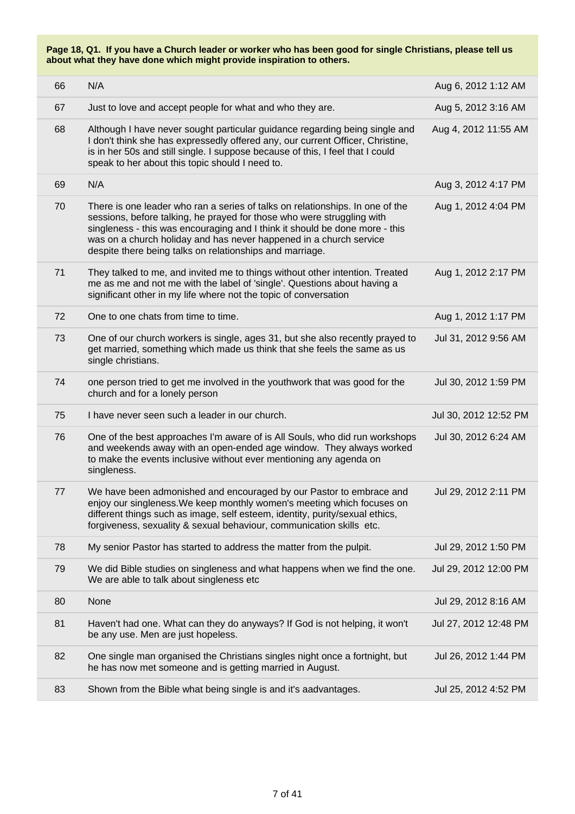| 66 | N/A                                                                                                                                                                                                                                                                                                                                                                      | Aug 6, 2012 1:12 AM   |
|----|--------------------------------------------------------------------------------------------------------------------------------------------------------------------------------------------------------------------------------------------------------------------------------------------------------------------------------------------------------------------------|-----------------------|
| 67 | Just to love and accept people for what and who they are.                                                                                                                                                                                                                                                                                                                | Aug 5, 2012 3:16 AM   |
| 68 | Although I have never sought particular guidance regarding being single and<br>I don't think she has expressedly offered any, our current Officer, Christine,<br>is in her 50s and still single. I suppose because of this, I feel that I could<br>speak to her about this topic should I need to.                                                                       | Aug 4, 2012 11:55 AM  |
| 69 | N/A                                                                                                                                                                                                                                                                                                                                                                      | Aug 3, 2012 4:17 PM   |
| 70 | There is one leader who ran a series of talks on relationships. In one of the<br>sessions, before talking, he prayed for those who were struggling with<br>singleness - this was encouraging and I think it should be done more - this<br>was on a church holiday and has never happened in a church service<br>despite there being talks on relationships and marriage. | Aug 1, 2012 4:04 PM   |
| 71 | They talked to me, and invited me to things without other intention. Treated<br>me as me and not me with the label of 'single'. Questions about having a<br>significant other in my life where not the topic of conversation                                                                                                                                             | Aug 1, 2012 2:17 PM   |
| 72 | One to one chats from time to time.                                                                                                                                                                                                                                                                                                                                      | Aug 1, 2012 1:17 PM   |
| 73 | One of our church workers is single, ages 31, but she also recently prayed to<br>get married, something which made us think that she feels the same as us<br>single christians.                                                                                                                                                                                          | Jul 31, 2012 9:56 AM  |
| 74 | one person tried to get me involved in the youthwork that was good for the<br>church and for a lonely person                                                                                                                                                                                                                                                             | Jul 30, 2012 1:59 PM  |
| 75 | I have never seen such a leader in our church.                                                                                                                                                                                                                                                                                                                           | Jul 30, 2012 12:52 PM |
| 76 | One of the best approaches I'm aware of is All Souls, who did run workshops<br>and weekends away with an open-ended age window. They always worked<br>to make the events inclusive without ever mentioning any agenda on<br>singleness.                                                                                                                                  | Jul 30, 2012 6:24 AM  |
| 77 | We have been admonished and encouraged by our Pastor to embrace and<br>enjoy our singleness. We keep monthly women's meeting which focuses on<br>different things such as image, self esteem, identity, purity/sexual ethics,<br>forgiveness, sexuality & sexual behaviour, communication skills etc.                                                                    | Jul 29, 2012 2:11 PM  |
| 78 | My senior Pastor has started to address the matter from the pulpit.                                                                                                                                                                                                                                                                                                      | Jul 29, 2012 1:50 PM  |
| 79 | We did Bible studies on singleness and what happens when we find the one.<br>We are able to talk about singleness etc                                                                                                                                                                                                                                                    | Jul 29, 2012 12:00 PM |
| 80 | None                                                                                                                                                                                                                                                                                                                                                                     | Jul 29, 2012 8:16 AM  |
| 81 | Haven't had one. What can they do anyways? If God is not helping, it won't<br>be any use. Men are just hopeless.                                                                                                                                                                                                                                                         | Jul 27, 2012 12:48 PM |
| 82 | One single man organised the Christians singles night once a fortnight, but<br>he has now met someone and is getting married in August.                                                                                                                                                                                                                                  | Jul 26, 2012 1:44 PM  |
| 83 | Shown from the Bible what being single is and it's aadvantages.                                                                                                                                                                                                                                                                                                          | Jul 25, 2012 4:52 PM  |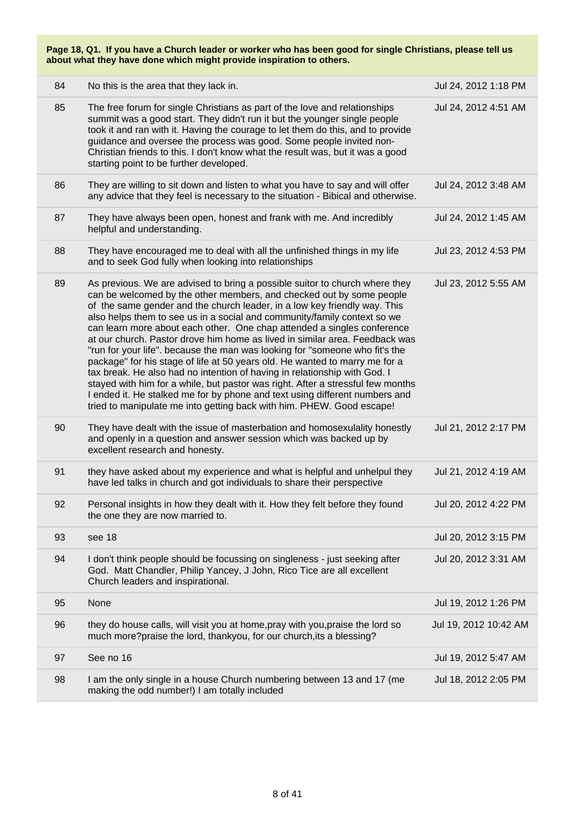| 84 | No this is the area that they lack in.                                                                                                                                                                                                                                                                                                                                                                                                                                                                                                                                                                                                                                                                                                                                                                                                                                                                                                                       | Jul 24, 2012 1:18 PM  |
|----|--------------------------------------------------------------------------------------------------------------------------------------------------------------------------------------------------------------------------------------------------------------------------------------------------------------------------------------------------------------------------------------------------------------------------------------------------------------------------------------------------------------------------------------------------------------------------------------------------------------------------------------------------------------------------------------------------------------------------------------------------------------------------------------------------------------------------------------------------------------------------------------------------------------------------------------------------------------|-----------------------|
| 85 | The free forum for single Christians as part of the love and relationships<br>summit was a good start. They didn't run it but the younger single people<br>took it and ran with it. Having the courage to let them do this, and to provide<br>guidance and oversee the process was good. Some people invited non-<br>Christian friends to this. I don't know what the result was, but it was a good<br>starting point to be further developed.                                                                                                                                                                                                                                                                                                                                                                                                                                                                                                               | Jul 24, 2012 4:51 AM  |
| 86 | They are willing to sit down and listen to what you have to say and will offer<br>any advice that they feel is necessary to the situation - Bibical and otherwise.                                                                                                                                                                                                                                                                                                                                                                                                                                                                                                                                                                                                                                                                                                                                                                                           | Jul 24, 2012 3:48 AM  |
| 87 | They have always been open, honest and frank with me. And incredibly<br>helpful and understanding.                                                                                                                                                                                                                                                                                                                                                                                                                                                                                                                                                                                                                                                                                                                                                                                                                                                           | Jul 24, 2012 1:45 AM  |
| 88 | They have encouraged me to deal with all the unfinished things in my life<br>and to seek God fully when looking into relationships                                                                                                                                                                                                                                                                                                                                                                                                                                                                                                                                                                                                                                                                                                                                                                                                                           | Jul 23, 2012 4:53 PM  |
| 89 | As previous. We are advised to bring a possible suitor to church where they<br>can be welcomed by the other members, and checked out by some people<br>of the same gender and the church leader, in a low key friendly way. This<br>also helps them to see us in a social and community/family context so we<br>can learn more about each other. One chap attended a singles conference<br>at our church. Pastor drove him home as lived in similar area. Feedback was<br>"run for your life". because the man was looking for "someone who fit's the<br>package" for his stage of life at 50 years old. He wanted to marry me for a<br>tax break. He also had no intention of having in relationship with God. I<br>stayed with him for a while, but pastor was right. After a stressful few months<br>I ended it. He stalked me for by phone and text using different numbers and<br>tried to manipulate me into getting back with him. PHEW. Good escape! | Jul 23, 2012 5:55 AM  |
| 90 | They have dealt with the issue of masterbation and homosexulality honestly<br>and openly in a question and answer session which was backed up by<br>excellent research and honesty.                                                                                                                                                                                                                                                                                                                                                                                                                                                                                                                                                                                                                                                                                                                                                                          | Jul 21, 2012 2:17 PM  |
| 91 | they have asked about my experience and what is helpful and unhelpul they<br>have led talks in church and got individuals to share their perspective                                                                                                                                                                                                                                                                                                                                                                                                                                                                                                                                                                                                                                                                                                                                                                                                         | Jul 21, 2012 4:19 AM  |
| 92 | Personal insights in how they dealt with it. How they felt before they found<br>the one they are now married to.                                                                                                                                                                                                                                                                                                                                                                                                                                                                                                                                                                                                                                                                                                                                                                                                                                             | Jul 20, 2012 4:22 PM  |
| 93 | see 18                                                                                                                                                                                                                                                                                                                                                                                                                                                                                                                                                                                                                                                                                                                                                                                                                                                                                                                                                       | Jul 20, 2012 3:15 PM  |
| 94 | I don't think people should be focussing on singleness - just seeking after<br>God. Matt Chandler, Philip Yancey, J John, Rico Tice are all excellent<br>Church leaders and inspirational.                                                                                                                                                                                                                                                                                                                                                                                                                                                                                                                                                                                                                                                                                                                                                                   | Jul 20, 2012 3:31 AM  |
| 95 | None                                                                                                                                                                                                                                                                                                                                                                                                                                                                                                                                                                                                                                                                                                                                                                                                                                                                                                                                                         | Jul 19, 2012 1:26 PM  |
| 96 | they do house calls, will visit you at home, pray with you, praise the lord so<br>much more?praise the lord, thankyou, for our church, its a blessing?                                                                                                                                                                                                                                                                                                                                                                                                                                                                                                                                                                                                                                                                                                                                                                                                       | Jul 19, 2012 10:42 AM |
| 97 | See no 16                                                                                                                                                                                                                                                                                                                                                                                                                                                                                                                                                                                                                                                                                                                                                                                                                                                                                                                                                    | Jul 19, 2012 5:47 AM  |
| 98 | I am the only single in a house Church numbering between 13 and 17 (me<br>making the odd number!) I am totally included                                                                                                                                                                                                                                                                                                                                                                                                                                                                                                                                                                                                                                                                                                                                                                                                                                      | Jul 18, 2012 2:05 PM  |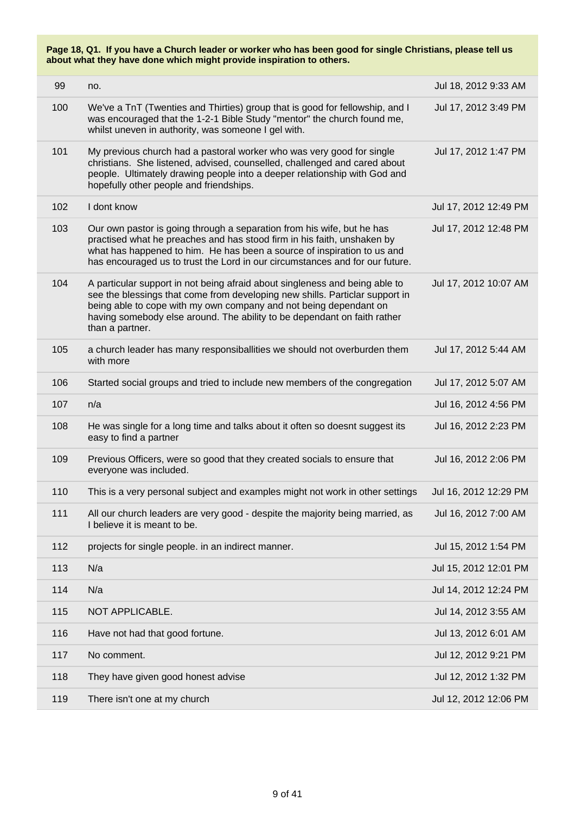| 99  | no.                                                                                                                                                                                                                                                                                                                             | Jul 18, 2012 9:33 AM  |
|-----|---------------------------------------------------------------------------------------------------------------------------------------------------------------------------------------------------------------------------------------------------------------------------------------------------------------------------------|-----------------------|
| 100 | We've a TnT (Twenties and Thirties) group that is good for fellowship, and I<br>was encouraged that the 1-2-1 Bible Study "mentor" the church found me,<br>whilst uneven in authority, was someone I gel with.                                                                                                                  | Jul 17, 2012 3:49 PM  |
| 101 | My previous church had a pastoral worker who was very good for single<br>christians. She listened, advised, counselled, challenged and cared about<br>people. Ultimately drawing people into a deeper relationship with God and<br>hopefully other people and friendships.                                                      | Jul 17, 2012 1:47 PM  |
| 102 | I dont know                                                                                                                                                                                                                                                                                                                     | Jul 17, 2012 12:49 PM |
| 103 | Our own pastor is going through a separation from his wife, but he has<br>practised what he preaches and has stood firm in his faith, unshaken by<br>what has happened to him. He has been a source of inspiration to us and<br>has encouraged us to trust the Lord in our circumstances and for our future.                    | Jul 17, 2012 12:48 PM |
| 104 | A particular support in not being afraid about singleness and being able to<br>see the blessings that come from developing new shills. Particlar support in<br>being able to cope with my own company and not being dependant on<br>having somebody else around. The ability to be dependant on faith rather<br>than a partner. | Jul 17, 2012 10:07 AM |
| 105 | a church leader has many responsiballities we should not overburden them<br>with more                                                                                                                                                                                                                                           | Jul 17, 2012 5:44 AM  |
| 106 | Started social groups and tried to include new members of the congregation                                                                                                                                                                                                                                                      | Jul 17, 2012 5:07 AM  |
| 107 | n/a                                                                                                                                                                                                                                                                                                                             | Jul 16, 2012 4:56 PM  |
| 108 | He was single for a long time and talks about it often so doesnt suggest its<br>easy to find a partner                                                                                                                                                                                                                          | Jul 16, 2012 2:23 PM  |
| 109 | Previous Officers, were so good that they created socials to ensure that<br>everyone was included.                                                                                                                                                                                                                              | Jul 16, 2012 2:06 PM  |
| 110 | This is a very personal subject and examples might not work in other settings                                                                                                                                                                                                                                                   | Jul 16, 2012 12:29 PM |
| 111 | All our church leaders are very good - despite the majority being married, as<br>I believe it is meant to be.                                                                                                                                                                                                                   | Jul 16, 2012 7:00 AM  |
| 112 | projects for single people. in an indirect manner.                                                                                                                                                                                                                                                                              | Jul 15, 2012 1:54 PM  |
| 113 | N/a                                                                                                                                                                                                                                                                                                                             | Jul 15, 2012 12:01 PM |
| 114 | N/a                                                                                                                                                                                                                                                                                                                             | Jul 14, 2012 12:24 PM |
| 115 | NOT APPLICABLE.                                                                                                                                                                                                                                                                                                                 | Jul 14, 2012 3:55 AM  |
| 116 | Have not had that good fortune.                                                                                                                                                                                                                                                                                                 | Jul 13, 2012 6:01 AM  |
| 117 | No comment.                                                                                                                                                                                                                                                                                                                     | Jul 12, 2012 9:21 PM  |
| 118 | They have given good honest advise                                                                                                                                                                                                                                                                                              | Jul 12, 2012 1:32 PM  |
| 119 | There isn't one at my church                                                                                                                                                                                                                                                                                                    | Jul 12, 2012 12:06 PM |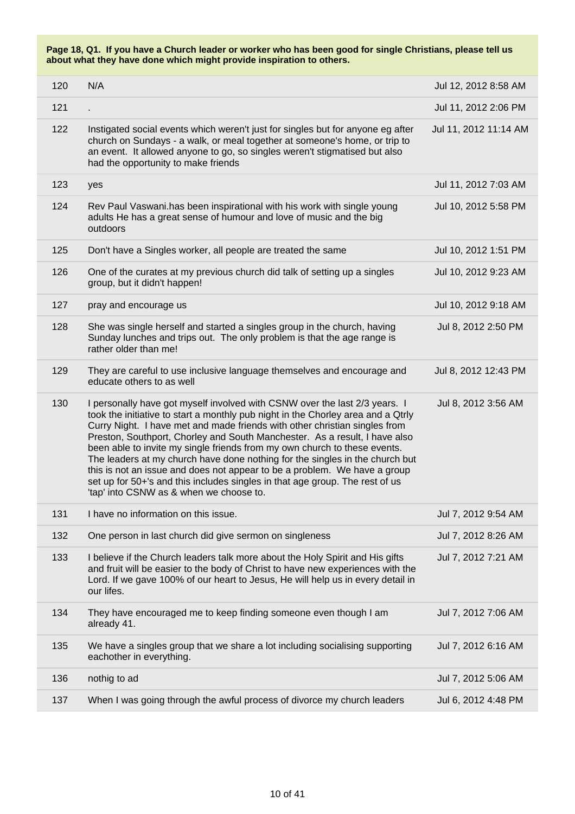| 120 | N/A                                                                                                                                                                                                                                                                                                                                                                                                                                                                                                                                                                                                                                                                                             | Jul 12, 2012 8:58 AM  |
|-----|-------------------------------------------------------------------------------------------------------------------------------------------------------------------------------------------------------------------------------------------------------------------------------------------------------------------------------------------------------------------------------------------------------------------------------------------------------------------------------------------------------------------------------------------------------------------------------------------------------------------------------------------------------------------------------------------------|-----------------------|
| 121 |                                                                                                                                                                                                                                                                                                                                                                                                                                                                                                                                                                                                                                                                                                 | Jul 11, 2012 2:06 PM  |
| 122 | Instigated social events which weren't just for singles but for anyone eg after<br>church on Sundays - a walk, or meal together at someone's home, or trip to<br>an event. It allowed anyone to go, so singles weren't stigmatised but also<br>had the opportunity to make friends                                                                                                                                                                                                                                                                                                                                                                                                              | Jul 11, 2012 11:14 AM |
| 123 | yes                                                                                                                                                                                                                                                                                                                                                                                                                                                                                                                                                                                                                                                                                             | Jul 11, 2012 7:03 AM  |
| 124 | Rev Paul Vaswani.has been inspirational with his work with single young<br>adults He has a great sense of humour and love of music and the big<br>outdoors                                                                                                                                                                                                                                                                                                                                                                                                                                                                                                                                      | Jul 10, 2012 5:58 PM  |
| 125 | Don't have a Singles worker, all people are treated the same                                                                                                                                                                                                                                                                                                                                                                                                                                                                                                                                                                                                                                    | Jul 10, 2012 1:51 PM  |
| 126 | One of the curates at my previous church did talk of setting up a singles<br>group, but it didn't happen!                                                                                                                                                                                                                                                                                                                                                                                                                                                                                                                                                                                       | Jul 10, 2012 9:23 AM  |
| 127 | pray and encourage us                                                                                                                                                                                                                                                                                                                                                                                                                                                                                                                                                                                                                                                                           | Jul 10, 2012 9:18 AM  |
| 128 | She was single herself and started a singles group in the church, having<br>Sunday lunches and trips out. The only problem is that the age range is<br>rather older than me!                                                                                                                                                                                                                                                                                                                                                                                                                                                                                                                    | Jul 8, 2012 2:50 PM   |
| 129 | They are careful to use inclusive language themselves and encourage and<br>educate others to as well                                                                                                                                                                                                                                                                                                                                                                                                                                                                                                                                                                                            | Jul 8, 2012 12:43 PM  |
| 130 | I personally have got myself involved with CSNW over the last 2/3 years. I<br>took the initiative to start a monthly pub night in the Chorley area and a Qtrly<br>Curry Night. I have met and made friends with other christian singles from<br>Preston, Southport, Chorley and South Manchester. As a result, I have also<br>been able to invite my single friends from my own church to these events.<br>The leaders at my church have done nothing for the singles in the church but<br>this is not an issue and does not appear to be a problem. We have a group<br>set up for 50+'s and this includes singles in that age group. The rest of us<br>'tap' into CSNW as & when we choose to. | Jul 8, 2012 3:56 AM   |
| 131 | I have no information on this issue.                                                                                                                                                                                                                                                                                                                                                                                                                                                                                                                                                                                                                                                            | Jul 7, 2012 9:54 AM   |
| 132 | One person in last church did give sermon on singleness                                                                                                                                                                                                                                                                                                                                                                                                                                                                                                                                                                                                                                         | Jul 7, 2012 8:26 AM   |
| 133 | I believe if the Church leaders talk more about the Holy Spirit and His gifts<br>and fruit will be easier to the body of Christ to have new experiences with the<br>Lord. If we gave 100% of our heart to Jesus, He will help us in every detail in<br>our lifes.                                                                                                                                                                                                                                                                                                                                                                                                                               | Jul 7, 2012 7:21 AM   |
| 134 | They have encouraged me to keep finding someone even though I am<br>already 41.                                                                                                                                                                                                                                                                                                                                                                                                                                                                                                                                                                                                                 | Jul 7, 2012 7:06 AM   |
| 135 | We have a singles group that we share a lot including socialising supporting<br>eachother in everything.                                                                                                                                                                                                                                                                                                                                                                                                                                                                                                                                                                                        | Jul 7, 2012 6:16 AM   |
| 136 | nothig to ad                                                                                                                                                                                                                                                                                                                                                                                                                                                                                                                                                                                                                                                                                    | Jul 7, 2012 5:06 AM   |
| 137 | When I was going through the awful process of divorce my church leaders                                                                                                                                                                                                                                                                                                                                                                                                                                                                                                                                                                                                                         | Jul 6, 2012 4:48 PM   |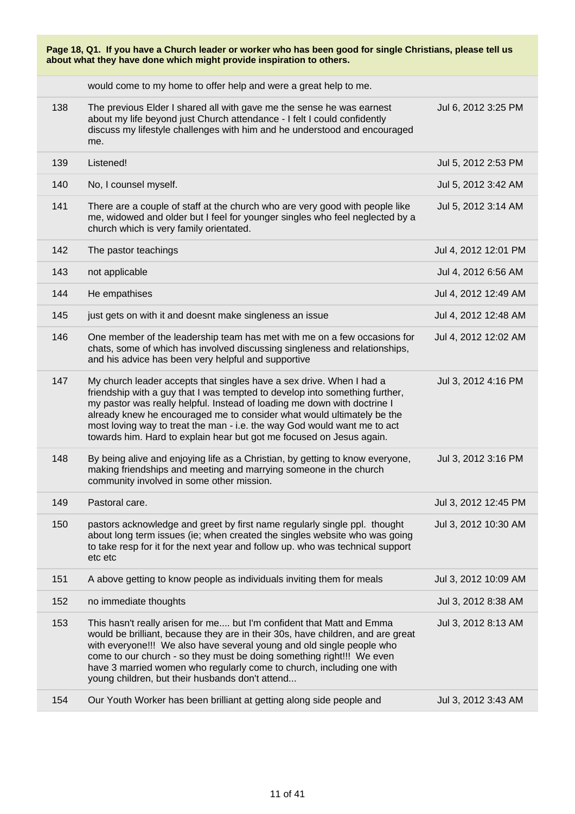| Page 18, Q1. If you have a Church leader or worker who has been good for single Christians, please tell us<br>about what they have done which might provide inspiration to others. |                                                                                                                                                                                                                                                                                                                                                                                                                                                               |                      |
|------------------------------------------------------------------------------------------------------------------------------------------------------------------------------------|---------------------------------------------------------------------------------------------------------------------------------------------------------------------------------------------------------------------------------------------------------------------------------------------------------------------------------------------------------------------------------------------------------------------------------------------------------------|----------------------|
|                                                                                                                                                                                    | would come to my home to offer help and were a great help to me.                                                                                                                                                                                                                                                                                                                                                                                              |                      |
| 138                                                                                                                                                                                | The previous Elder I shared all with gave me the sense he was earnest<br>about my life beyond just Church attendance - I felt I could confidently<br>discuss my lifestyle challenges with him and he understood and encouraged<br>me.                                                                                                                                                                                                                         | Jul 6, 2012 3:25 PM  |
| 139                                                                                                                                                                                | Listened!                                                                                                                                                                                                                                                                                                                                                                                                                                                     | Jul 5, 2012 2:53 PM  |
| 140                                                                                                                                                                                | No, I counsel myself.                                                                                                                                                                                                                                                                                                                                                                                                                                         | Jul 5, 2012 3:42 AM  |
| 141                                                                                                                                                                                | There are a couple of staff at the church who are very good with people like<br>me, widowed and older but I feel for younger singles who feel neglected by a<br>church which is very family orientated.                                                                                                                                                                                                                                                       | Jul 5, 2012 3:14 AM  |
| 142                                                                                                                                                                                | The pastor teachings                                                                                                                                                                                                                                                                                                                                                                                                                                          | Jul 4, 2012 12:01 PM |
| 143                                                                                                                                                                                | not applicable                                                                                                                                                                                                                                                                                                                                                                                                                                                | Jul 4, 2012 6:56 AM  |
| 144                                                                                                                                                                                | He empathises                                                                                                                                                                                                                                                                                                                                                                                                                                                 | Jul 4, 2012 12:49 AM |
| 145                                                                                                                                                                                | just gets on with it and doesnt make singleness an issue                                                                                                                                                                                                                                                                                                                                                                                                      | Jul 4, 2012 12:48 AM |
| 146                                                                                                                                                                                | One member of the leadership team has met with me on a few occasions for<br>chats, some of which has involved discussing singleness and relationships,<br>and his advice has been very helpful and supportive                                                                                                                                                                                                                                                 | Jul 4, 2012 12:02 AM |
| 147                                                                                                                                                                                | My church leader accepts that singles have a sex drive. When I had a<br>friendship with a guy that I was tempted to develop into something further,<br>my pastor was really helpful. Instead of loading me down with doctrine I<br>already knew he encouraged me to consider what would ultimately be the<br>most loving way to treat the man - i.e. the way God would want me to act<br>towards him. Hard to explain hear but got me focused on Jesus again. | Jul 3, 2012 4:16 PM  |
| 148                                                                                                                                                                                | By being alive and enjoying life as a Christian, by getting to know everyone,<br>making friendships and meeting and marrying someone in the church<br>community involved in some other mission.                                                                                                                                                                                                                                                               | Jul 3, 2012 3:16 PM  |
| 149                                                                                                                                                                                | Pastoral care.                                                                                                                                                                                                                                                                                                                                                                                                                                                | Jul 3, 2012 12:45 PM |
| 150                                                                                                                                                                                | pastors acknowledge and greet by first name regularly single ppl. thought<br>about long term issues (ie; when created the singles website who was going<br>to take resp for it for the next year and follow up. who was technical support<br>etc etc                                                                                                                                                                                                          | Jul 3, 2012 10:30 AM |
| 151                                                                                                                                                                                | A above getting to know people as individuals inviting them for meals                                                                                                                                                                                                                                                                                                                                                                                         | Jul 3, 2012 10:09 AM |
| 152                                                                                                                                                                                | no immediate thoughts                                                                                                                                                                                                                                                                                                                                                                                                                                         | Jul 3, 2012 8:38 AM  |
| 153                                                                                                                                                                                | This hasn't really arisen for me but I'm confident that Matt and Emma<br>would be brilliant, because they are in their 30s, have children, and are great<br>with everyone!!! We also have several young and old single people who<br>come to our church - so they must be doing something right!!! We even<br>have 3 married women who regularly come to church, including one with<br>young children, but their husbands don't attend                        | Jul 3, 2012 8:13 AM  |
| 154                                                                                                                                                                                | Our Youth Worker has been brilliant at getting along side people and                                                                                                                                                                                                                                                                                                                                                                                          | Jul 3, 2012 3:43 AM  |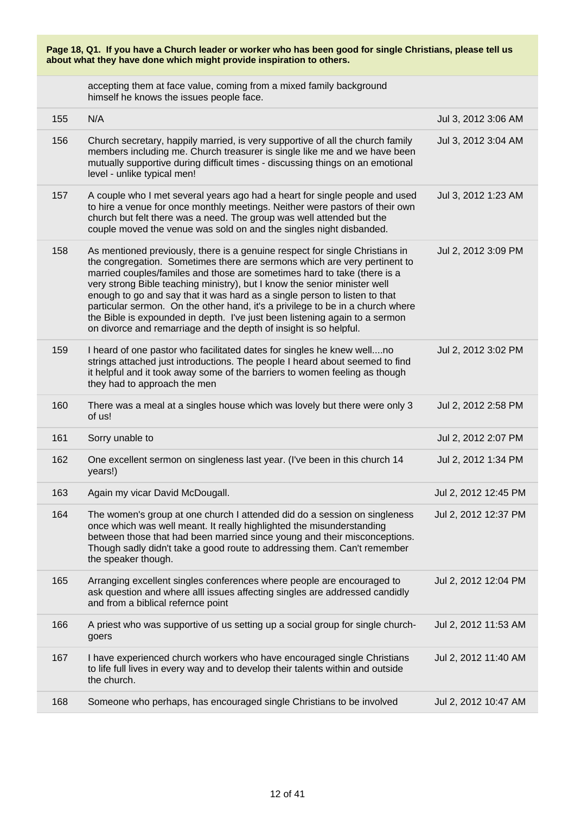|                                                                      |  | Page 18, Q1. If you have a Church leader or worker who has been good for single Christians, please tell us |
|----------------------------------------------------------------------|--|------------------------------------------------------------------------------------------------------------|
| about what they have done which might provide inspiration to others. |  |                                                                                                            |

accepting them at face value, coming from a mixed family background himself he knows the issues people face.

| 155 | N/A                                                                                                                                                                                                                                                                                                                                                                                                                                                                                                                                                                                                                                    | Jul 3, 2012 3:06 AM  |
|-----|----------------------------------------------------------------------------------------------------------------------------------------------------------------------------------------------------------------------------------------------------------------------------------------------------------------------------------------------------------------------------------------------------------------------------------------------------------------------------------------------------------------------------------------------------------------------------------------------------------------------------------------|----------------------|
| 156 | Church secretary, happily married, is very supportive of all the church family<br>members including me. Church treasurer is single like me and we have been<br>mutually supportive during difficult times - discussing things on an emotional<br>level - unlike typical men!                                                                                                                                                                                                                                                                                                                                                           | Jul 3, 2012 3:04 AM  |
| 157 | A couple who I met several years ago had a heart for single people and used<br>to hire a venue for once monthly meetings. Neither were pastors of their own<br>church but felt there was a need. The group was well attended but the<br>couple moved the venue was sold on and the singles night disbanded.                                                                                                                                                                                                                                                                                                                            | Jul 3, 2012 1:23 AM  |
| 158 | As mentioned previously, there is a genuine respect for single Christians in<br>the congregation. Sometimes there are sermons which are very pertinent to<br>married couples/familes and those are sometimes hard to take (there is a<br>very strong Bible teaching ministry), but I know the senior minister well<br>enough to go and say that it was hard as a single person to listen to that<br>particular sermon. On the other hand, it's a privilege to be in a church where<br>the Bible is expounded in depth. I've just been listening again to a sermon<br>on divorce and remarriage and the depth of insight is so helpful. | Jul 2, 2012 3:09 PM  |
| 159 | I heard of one pastor who facilitated dates for singles he knew wellno<br>strings attached just introductions. The people I heard about seemed to find<br>it helpful and it took away some of the barriers to women feeling as though<br>they had to approach the men                                                                                                                                                                                                                                                                                                                                                                  | Jul 2, 2012 3:02 PM  |
| 160 | There was a meal at a singles house which was lovely but there were only 3<br>of us!                                                                                                                                                                                                                                                                                                                                                                                                                                                                                                                                                   | Jul 2, 2012 2:58 PM  |
| 161 | Sorry unable to                                                                                                                                                                                                                                                                                                                                                                                                                                                                                                                                                                                                                        | Jul 2, 2012 2:07 PM  |
| 162 | One excellent sermon on singleness last year. (I've been in this church 14<br>years!)                                                                                                                                                                                                                                                                                                                                                                                                                                                                                                                                                  | Jul 2, 2012 1:34 PM  |
| 163 | Again my vicar David McDougall.                                                                                                                                                                                                                                                                                                                                                                                                                                                                                                                                                                                                        | Jul 2, 2012 12:45 PM |
| 164 | The women's group at one church I attended did do a session on singleness<br>once which was well meant. It really highlighted the misunderstanding<br>between those that had been married since young and their misconceptions.<br>Though sadly didn't take a good route to addressing them. Can't remember<br>the speaker though.                                                                                                                                                                                                                                                                                                     | Jul 2, 2012 12:37 PM |
| 165 | Arranging excellent singles conferences where people are encouraged to<br>ask question and where alll issues affecting singles are addressed candidly<br>and from a biblical refernce point                                                                                                                                                                                                                                                                                                                                                                                                                                            | Jul 2, 2012 12:04 PM |
| 166 | A priest who was supportive of us setting up a social group for single church-<br>goers                                                                                                                                                                                                                                                                                                                                                                                                                                                                                                                                                | Jul 2, 2012 11:53 AM |
| 167 | I have experienced church workers who have encouraged single Christians<br>to life full lives in every way and to develop their talents within and outside<br>the church.                                                                                                                                                                                                                                                                                                                                                                                                                                                              | Jul 2, 2012 11:40 AM |
| 168 | Someone who perhaps, has encouraged single Christians to be involved                                                                                                                                                                                                                                                                                                                                                                                                                                                                                                                                                                   | Jul 2, 2012 10:47 AM |
|     |                                                                                                                                                                                                                                                                                                                                                                                                                                                                                                                                                                                                                                        |                      |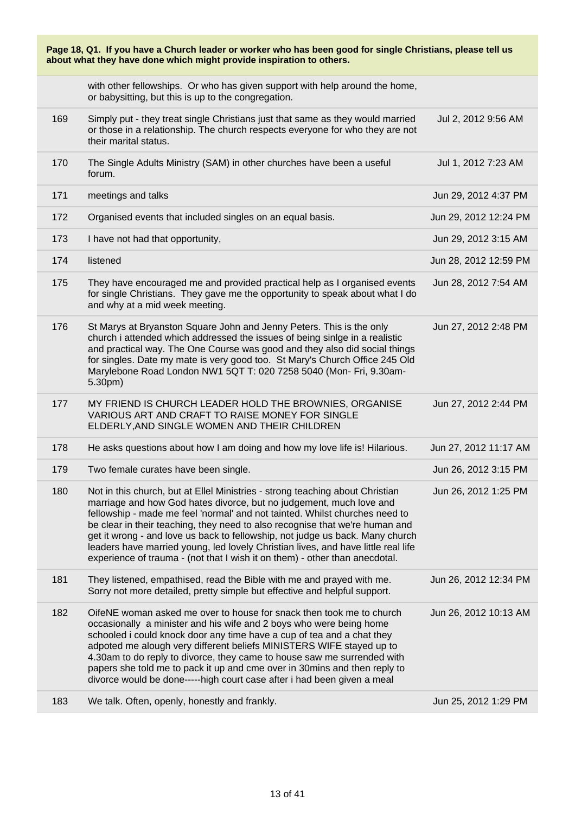| Page 18, Q1. If you have a Church leader or worker who has been good for single Christians, please tell us<br>about what they have done which might provide inspiration to others. |                                                                                                                                                                                                                                                                                                                                                                                                                                                                                                                                                                          |                       |
|------------------------------------------------------------------------------------------------------------------------------------------------------------------------------------|--------------------------------------------------------------------------------------------------------------------------------------------------------------------------------------------------------------------------------------------------------------------------------------------------------------------------------------------------------------------------------------------------------------------------------------------------------------------------------------------------------------------------------------------------------------------------|-----------------------|
|                                                                                                                                                                                    | with other fellowships. Or who has given support with help around the home,<br>or babysitting, but this is up to the congregation.                                                                                                                                                                                                                                                                                                                                                                                                                                       |                       |
| 169                                                                                                                                                                                | Simply put - they treat single Christians just that same as they would married<br>or those in a relationship. The church respects everyone for who they are not<br>their marital status.                                                                                                                                                                                                                                                                                                                                                                                 | Jul 2, 2012 9:56 AM   |
| 170                                                                                                                                                                                | The Single Adults Ministry (SAM) in other churches have been a useful<br>forum.                                                                                                                                                                                                                                                                                                                                                                                                                                                                                          | Jul 1, 2012 7:23 AM   |
| 171                                                                                                                                                                                | meetings and talks                                                                                                                                                                                                                                                                                                                                                                                                                                                                                                                                                       | Jun 29, 2012 4:37 PM  |
| 172                                                                                                                                                                                | Organised events that included singles on an equal basis.                                                                                                                                                                                                                                                                                                                                                                                                                                                                                                                | Jun 29, 2012 12:24 PM |
| 173                                                                                                                                                                                | I have not had that opportunity,                                                                                                                                                                                                                                                                                                                                                                                                                                                                                                                                         | Jun 29, 2012 3:15 AM  |
| 174                                                                                                                                                                                | listened                                                                                                                                                                                                                                                                                                                                                                                                                                                                                                                                                                 | Jun 28, 2012 12:59 PM |
| 175                                                                                                                                                                                | They have encouraged me and provided practical help as I organised events<br>for single Christians. They gave me the opportunity to speak about what I do<br>and why at a mid week meeting.                                                                                                                                                                                                                                                                                                                                                                              | Jun 28, 2012 7:54 AM  |
| 176                                                                                                                                                                                | St Marys at Bryanston Square John and Jenny Peters. This is the only<br>church i attended which addressed the issues of being sinlge in a realistic<br>and practical way. The One Course was good and they also did social things<br>for singles. Date my mate is very good too. St Mary's Church Office 245 Old<br>Marylebone Road London NW1 5QT T: 020 7258 5040 (Mon- Fri, 9.30am-<br>5.30pm)                                                                                                                                                                        | Jun 27, 2012 2:48 PM  |
| 177                                                                                                                                                                                | MY FRIEND IS CHURCH LEADER HOLD THE BROWNIES, ORGANISE<br>VARIOUS ART AND CRAFT TO RAISE MONEY FOR SINGLE<br>ELDERLY, AND SINGLE WOMEN AND THEIR CHILDREN                                                                                                                                                                                                                                                                                                                                                                                                                | Jun 27, 2012 2:44 PM  |
| 178                                                                                                                                                                                | He asks questions about how I am doing and how my love life is! Hilarious.                                                                                                                                                                                                                                                                                                                                                                                                                                                                                               | Jun 27, 2012 11:17 AM |
| 179                                                                                                                                                                                | Two female curates have been single.                                                                                                                                                                                                                                                                                                                                                                                                                                                                                                                                     | Jun 26, 2012 3:15 PM  |
| 180                                                                                                                                                                                | Not in this church, but at Ellel Ministries - strong teaching about Christian<br>marriage and how God hates divorce, but no judgement, much love and<br>fellowship - made me feel 'normal' and not tainted. Whilst churches need to<br>be clear in their teaching, they need to also recognise that we're human and<br>get it wrong - and love us back to fellowship, not judge us back. Many church<br>leaders have married young, led lovely Christian lives, and have little real life<br>experience of trauma - (not that I wish it on them) - other than anecdotal. | Jun 26, 2012 1:25 PM  |
| 181                                                                                                                                                                                | They listened, empathised, read the Bible with me and prayed with me.<br>Sorry not more detailed, pretty simple but effective and helpful support.                                                                                                                                                                                                                                                                                                                                                                                                                       | Jun 26, 2012 12:34 PM |
| 182                                                                                                                                                                                | OifeNE woman asked me over to house for snack then took me to church<br>occasionally a minister and his wife and 2 boys who were being home<br>schooled i could knock door any time have a cup of tea and a chat they<br>adpoted me alough very different beliefs MINISTERS WIFE stayed up to<br>4.30am to do reply to divorce, they came to house saw me surrended with<br>papers she told me to pack it up and cme over in 30mins and then reply to<br>divorce would be done-----high court case after i had been given a meal                                         | Jun 26, 2012 10:13 AM |
| 183                                                                                                                                                                                | We talk. Often, openly, honestly and frankly.                                                                                                                                                                                                                                                                                                                                                                                                                                                                                                                            | Jun 25, 2012 1:29 PM  |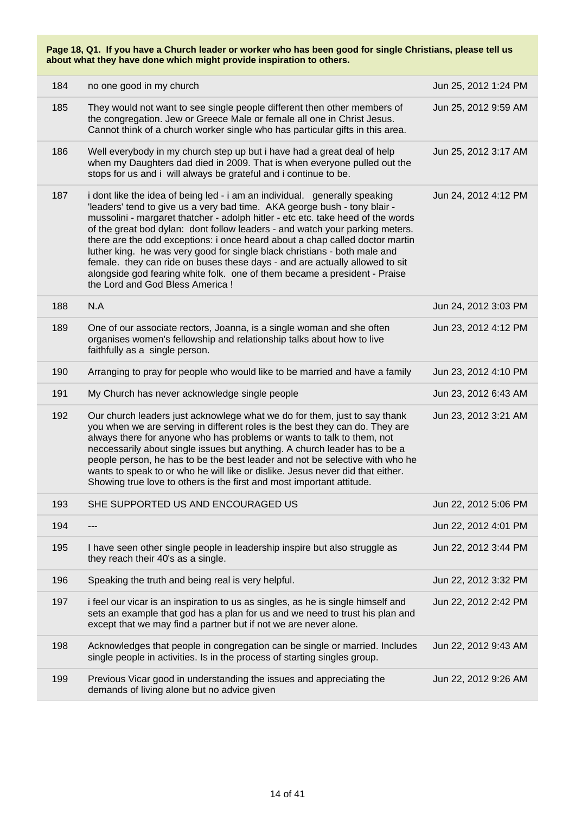| 184 | no one good in my church                                                                                                                                                                                                                                                                                                                                                                                                                                                                                                                                                                                                                                                                | Jun 25, 2012 1:24 PM |
|-----|-----------------------------------------------------------------------------------------------------------------------------------------------------------------------------------------------------------------------------------------------------------------------------------------------------------------------------------------------------------------------------------------------------------------------------------------------------------------------------------------------------------------------------------------------------------------------------------------------------------------------------------------------------------------------------------------|----------------------|
| 185 | They would not want to see single people different then other members of<br>the congregation. Jew or Greece Male or female all one in Christ Jesus.<br>Cannot think of a church worker single who has particular gifts in this area.                                                                                                                                                                                                                                                                                                                                                                                                                                                    | Jun 25, 2012 9:59 AM |
| 186 | Well everybody in my church step up but i have had a great deal of help<br>when my Daughters dad died in 2009. That is when everyone pulled out the<br>stops for us and i will always be grateful and i continue to be.                                                                                                                                                                                                                                                                                                                                                                                                                                                                 | Jun 25, 2012 3:17 AM |
| 187 | i dont like the idea of being led - i am an individual. generally speaking<br>'leaders' tend to give us a very bad time. AKA george bush - tony blair -<br>mussolini - margaret thatcher - adolph hitler - etc etc. take heed of the words<br>of the great bod dylan: dont follow leaders - and watch your parking meters.<br>there are the odd exceptions: i once heard about a chap called doctor martin<br>luther king. he was very good for single black christians - both male and<br>female. they can ride on buses these days - and are actually allowed to sit<br>alongside god fearing white folk. one of them became a president - Praise<br>the Lord and God Bless America ! | Jun 24, 2012 4:12 PM |
| 188 | N.A                                                                                                                                                                                                                                                                                                                                                                                                                                                                                                                                                                                                                                                                                     | Jun 24, 2012 3:03 PM |
| 189 | One of our associate rectors, Joanna, is a single woman and she often<br>organises women's fellowship and relationship talks about how to live<br>faithfully as a single person.                                                                                                                                                                                                                                                                                                                                                                                                                                                                                                        | Jun 23, 2012 4:12 PM |
| 190 | Arranging to pray for people who would like to be married and have a family                                                                                                                                                                                                                                                                                                                                                                                                                                                                                                                                                                                                             | Jun 23, 2012 4:10 PM |
| 191 | My Church has never acknowledge single people                                                                                                                                                                                                                                                                                                                                                                                                                                                                                                                                                                                                                                           | Jun 23, 2012 6:43 AM |
| 192 | Our church leaders just acknowlege what we do for them, just to say thank<br>you when we are serving in different roles is the best they can do. They are<br>always there for anyone who has problems or wants to talk to them, not<br>neccessarily about single issues but anything. A church leader has to be a<br>people person, he has to be the best leader and not be selective with who he<br>wants to speak to or who he will like or dislike. Jesus never did that either.<br>Showing true love to others is the first and most important attitude.                                                                                                                            | Jun 23, 2012 3:21 AM |
| 193 | SHE SUPPORTED US AND ENCOURAGED US                                                                                                                                                                                                                                                                                                                                                                                                                                                                                                                                                                                                                                                      | Jun 22, 2012 5:06 PM |
| 194 |                                                                                                                                                                                                                                                                                                                                                                                                                                                                                                                                                                                                                                                                                         | Jun 22, 2012 4:01 PM |
| 195 | I have seen other single people in leadership inspire but also struggle as<br>they reach their 40's as a single.                                                                                                                                                                                                                                                                                                                                                                                                                                                                                                                                                                        | Jun 22, 2012 3:44 PM |
| 196 | Speaking the truth and being real is very helpful.                                                                                                                                                                                                                                                                                                                                                                                                                                                                                                                                                                                                                                      | Jun 22, 2012 3:32 PM |
| 197 | i feel our vicar is an inspiration to us as singles, as he is single himself and<br>sets an example that god has a plan for us and we need to trust his plan and<br>except that we may find a partner but if not we are never alone.                                                                                                                                                                                                                                                                                                                                                                                                                                                    | Jun 22, 2012 2:42 PM |
| 198 | Acknowledges that people in congregation can be single or married. Includes<br>single people in activities. Is in the process of starting singles group.                                                                                                                                                                                                                                                                                                                                                                                                                                                                                                                                | Jun 22, 2012 9:43 AM |
| 199 | Previous Vicar good in understanding the issues and appreciating the<br>demands of living alone but no advice given                                                                                                                                                                                                                                                                                                                                                                                                                                                                                                                                                                     | Jun 22, 2012 9:26 AM |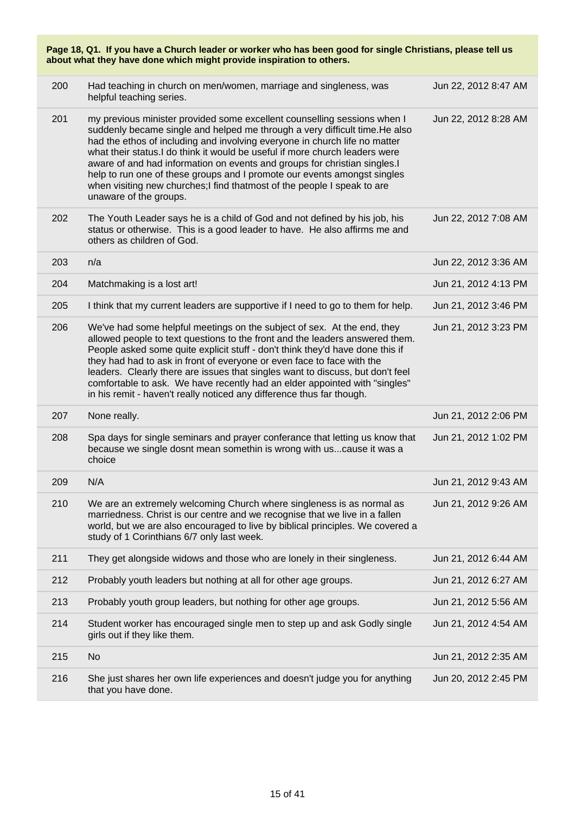| Page 18, Q1. If you have a Church leader or worker who has been good for single Christians, please tell us<br>about what they have done which might provide inspiration to others. |                                                                                                                                                                                                                                                                                                                                                                                                                                                                                                                                                                                    |                      |  |
|------------------------------------------------------------------------------------------------------------------------------------------------------------------------------------|------------------------------------------------------------------------------------------------------------------------------------------------------------------------------------------------------------------------------------------------------------------------------------------------------------------------------------------------------------------------------------------------------------------------------------------------------------------------------------------------------------------------------------------------------------------------------------|----------------------|--|
| 200                                                                                                                                                                                | Had teaching in church on men/women, marriage and singleness, was<br>helpful teaching series.                                                                                                                                                                                                                                                                                                                                                                                                                                                                                      | Jun 22, 2012 8:47 AM |  |
| 201                                                                                                                                                                                | my previous minister provided some excellent counselling sessions when I<br>suddenly became single and helped me through a very difficult time. He also<br>had the ethos of including and involving everyone in church life no matter<br>what their status.I do think it would be useful if more church leaders were<br>aware of and had information on events and groups for christian singles.I<br>help to run one of these groups and I promote our events amongst singles<br>when visiting new churches;I find thatmost of the people I speak to are<br>unaware of the groups. | Jun 22, 2012 8:28 AM |  |
| 202                                                                                                                                                                                | The Youth Leader says he is a child of God and not defined by his job, his<br>status or otherwise. This is a good leader to have. He also affirms me and<br>others as children of God.                                                                                                                                                                                                                                                                                                                                                                                             | Jun 22, 2012 7:08 AM |  |
| 203                                                                                                                                                                                | n/a                                                                                                                                                                                                                                                                                                                                                                                                                                                                                                                                                                                | Jun 22, 2012 3:36 AM |  |
| 204                                                                                                                                                                                | Matchmaking is a lost art!                                                                                                                                                                                                                                                                                                                                                                                                                                                                                                                                                         | Jun 21, 2012 4:13 PM |  |
| 205                                                                                                                                                                                | I think that my current leaders are supportive if I need to go to them for help.                                                                                                                                                                                                                                                                                                                                                                                                                                                                                                   | Jun 21, 2012 3:46 PM |  |
| 206                                                                                                                                                                                | We've had some helpful meetings on the subject of sex. At the end, they<br>allowed people to text questions to the front and the leaders answered them.<br>People asked some quite explicit stuff - don't think they'd have done this if<br>they had had to ask in front of everyone or even face to face with the<br>leaders. Clearly there are issues that singles want to discuss, but don't feel<br>comfortable to ask. We have recently had an elder appointed with "singles"<br>in his remit - haven't really noticed any difference thus far though.                        | Jun 21, 2012 3:23 PM |  |
| 207                                                                                                                                                                                | None really.                                                                                                                                                                                                                                                                                                                                                                                                                                                                                                                                                                       | Jun 21, 2012 2:06 PM |  |
| 208                                                                                                                                                                                | Spa days for single seminars and prayer conferance that letting us know that<br>because we single dosnt mean somethin is wrong with us cause it was a<br>choice                                                                                                                                                                                                                                                                                                                                                                                                                    | Jun 21, 2012 1:02 PM |  |
| 209                                                                                                                                                                                | N/A                                                                                                                                                                                                                                                                                                                                                                                                                                                                                                                                                                                | Jun 21, 2012 9:43 AM |  |
| 210                                                                                                                                                                                | We are an extremely welcoming Church where singleness is as normal as<br>marriedness. Christ is our centre and we recognise that we live in a fallen<br>world, but we are also encouraged to live by biblical principles. We covered a<br>study of 1 Corinthians 6/7 only last week.                                                                                                                                                                                                                                                                                               | Jun 21, 2012 9:26 AM |  |
| 211                                                                                                                                                                                | They get alongside widows and those who are lonely in their singleness.                                                                                                                                                                                                                                                                                                                                                                                                                                                                                                            | Jun 21, 2012 6:44 AM |  |
| 212                                                                                                                                                                                | Probably youth leaders but nothing at all for other age groups.                                                                                                                                                                                                                                                                                                                                                                                                                                                                                                                    | Jun 21, 2012 6:27 AM |  |
| 213                                                                                                                                                                                | Probably youth group leaders, but nothing for other age groups.                                                                                                                                                                                                                                                                                                                                                                                                                                                                                                                    | Jun 21, 2012 5:56 AM |  |
| 214                                                                                                                                                                                | Student worker has encouraged single men to step up and ask Godly single<br>girls out if they like them.                                                                                                                                                                                                                                                                                                                                                                                                                                                                           | Jun 21, 2012 4:54 AM |  |
| 215                                                                                                                                                                                | <b>No</b>                                                                                                                                                                                                                                                                                                                                                                                                                                                                                                                                                                          | Jun 21, 2012 2:35 AM |  |
| 216                                                                                                                                                                                | She just shares her own life experiences and doesn't judge you for anything<br>that you have done.                                                                                                                                                                                                                                                                                                                                                                                                                                                                                 | Jun 20, 2012 2:45 PM |  |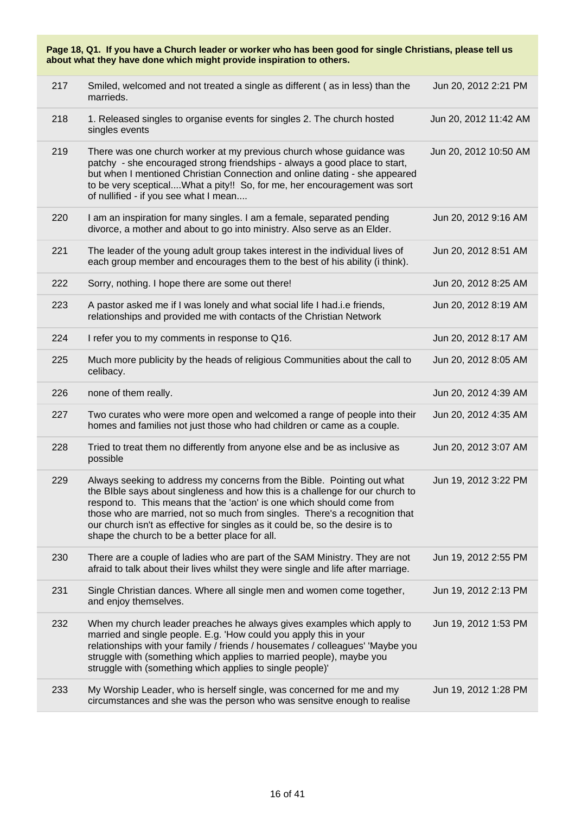| Page 18, Q1. If you have a Church leader or worker who has been good for single Christians, please tell us<br>about what they have done which might provide inspiration to others. |                                                                                                                                                                                                                                                                                                                                                                                                                                                      |                       |  |
|------------------------------------------------------------------------------------------------------------------------------------------------------------------------------------|------------------------------------------------------------------------------------------------------------------------------------------------------------------------------------------------------------------------------------------------------------------------------------------------------------------------------------------------------------------------------------------------------------------------------------------------------|-----------------------|--|
| 217                                                                                                                                                                                | Smiled, welcomed and not treated a single as different (as in less) than the<br>marrieds.                                                                                                                                                                                                                                                                                                                                                            | Jun 20, 2012 2:21 PM  |  |
| 218                                                                                                                                                                                | 1. Released singles to organise events for singles 2. The church hosted<br>singles events                                                                                                                                                                                                                                                                                                                                                            | Jun 20, 2012 11:42 AM |  |
| 219                                                                                                                                                                                | There was one church worker at my previous church whose guidance was<br>patchy - she encouraged strong friendships - always a good place to start,<br>but when I mentioned Christian Connection and online dating - she appeared<br>to be very sceptical What a pity!! So, for me, her encouragement was sort<br>of nullified - if you see what I mean                                                                                               | Jun 20, 2012 10:50 AM |  |
| 220                                                                                                                                                                                | I am an inspiration for many singles. I am a female, separated pending<br>divorce, a mother and about to go into ministry. Also serve as an Elder.                                                                                                                                                                                                                                                                                                   | Jun 20, 2012 9:16 AM  |  |
| 221                                                                                                                                                                                | The leader of the young adult group takes interest in the individual lives of<br>each group member and encourages them to the best of his ability (i think).                                                                                                                                                                                                                                                                                         | Jun 20, 2012 8:51 AM  |  |
| 222                                                                                                                                                                                | Sorry, nothing. I hope there are some out there!                                                                                                                                                                                                                                                                                                                                                                                                     | Jun 20, 2012 8:25 AM  |  |
| 223                                                                                                                                                                                | A pastor asked me if I was lonely and what social life I had.i.e friends,<br>relationships and provided me with contacts of the Christian Network                                                                                                                                                                                                                                                                                                    | Jun 20, 2012 8:19 AM  |  |
| 224                                                                                                                                                                                | I refer you to my comments in response to Q16.                                                                                                                                                                                                                                                                                                                                                                                                       | Jun 20, 2012 8:17 AM  |  |
| 225                                                                                                                                                                                | Much more publicity by the heads of religious Communities about the call to<br>celibacy.                                                                                                                                                                                                                                                                                                                                                             | Jun 20, 2012 8:05 AM  |  |
| 226                                                                                                                                                                                | none of them really.                                                                                                                                                                                                                                                                                                                                                                                                                                 | Jun 20, 2012 4:39 AM  |  |
| 227                                                                                                                                                                                | Two curates who were more open and welcomed a range of people into their<br>homes and families not just those who had children or came as a couple.                                                                                                                                                                                                                                                                                                  | Jun 20, 2012 4:35 AM  |  |
| 228                                                                                                                                                                                | Tried to treat them no differently from anyone else and be as inclusive as<br>possible                                                                                                                                                                                                                                                                                                                                                               | Jun 20, 2012 3:07 AM  |  |
| 229                                                                                                                                                                                | Always seeking to address my concerns from the Bible. Pointing out what<br>the BIble says about singleness and how this is a challenge for our church to<br>respond to. This means that the 'action' is one which should come from<br>those who are married, not so much from singles. There's a recognition that<br>our church isn't as effective for singles as it could be, so the desire is to<br>shape the church to be a better place for all. | Jun 19, 2012 3:22 PM  |  |
| 230                                                                                                                                                                                | There are a couple of ladies who are part of the SAM Ministry. They are not<br>afraid to talk about their lives whilst they were single and life after marriage.                                                                                                                                                                                                                                                                                     | Jun 19, 2012 2:55 PM  |  |
| 231                                                                                                                                                                                | Single Christian dances. Where all single men and women come together,<br>and enjoy themselves.                                                                                                                                                                                                                                                                                                                                                      | Jun 19, 2012 2:13 PM  |  |
| 232                                                                                                                                                                                | When my church leader preaches he always gives examples which apply to<br>married and single people. E.g. 'How could you apply this in your<br>relationships with your family / friends / housemates / colleagues' 'Maybe you<br>struggle with (something which applies to married people), maybe you<br>struggle with (something which applies to single people)'                                                                                   | Jun 19, 2012 1:53 PM  |  |
| 233                                                                                                                                                                                | My Worship Leader, who is herself single, was concerned for me and my<br>circumstances and she was the person who was sensitve enough to realise                                                                                                                                                                                                                                                                                                     | Jun 19, 2012 1:28 PM  |  |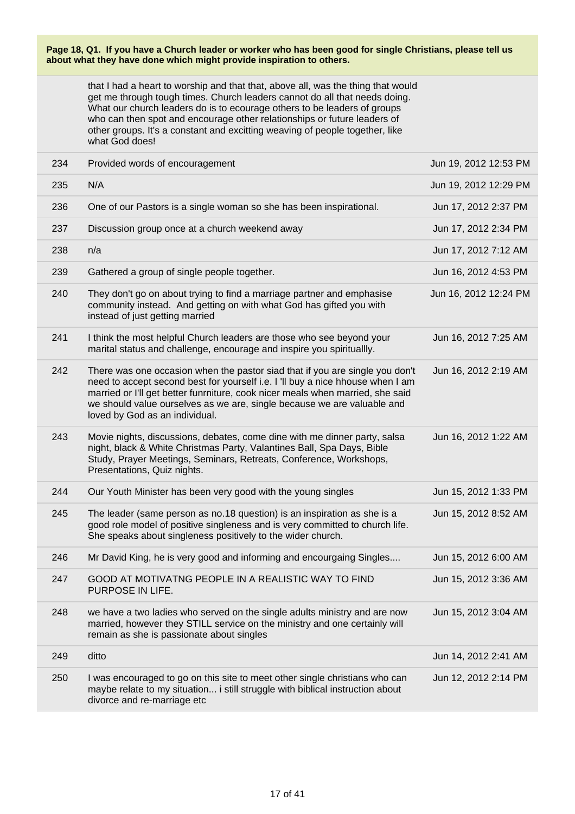that I had a heart to worship and that that, above all, was the thing that would get me through tough times. Church leaders cannot do all that needs doing. What our church leaders do is to ecourage others to be leaders of groups who can then spot and encourage other relationships or future leaders of other groups. It's a constant and excitting weaving of people together, like what God does!

| 234 | Provided words of encouragement                                                                                                                                                                                                                                                                                                                               | Jun 19, 2012 12:53 PM |
|-----|---------------------------------------------------------------------------------------------------------------------------------------------------------------------------------------------------------------------------------------------------------------------------------------------------------------------------------------------------------------|-----------------------|
| 235 | N/A                                                                                                                                                                                                                                                                                                                                                           | Jun 19, 2012 12:29 PM |
| 236 | One of our Pastors is a single woman so she has been inspirational.                                                                                                                                                                                                                                                                                           | Jun 17, 2012 2:37 PM  |
| 237 | Discussion group once at a church weekend away                                                                                                                                                                                                                                                                                                                | Jun 17, 2012 2:34 PM  |
| 238 | n/a                                                                                                                                                                                                                                                                                                                                                           | Jun 17, 2012 7:12 AM  |
| 239 | Gathered a group of single people together.                                                                                                                                                                                                                                                                                                                   | Jun 16, 2012 4:53 PM  |
| 240 | They don't go on about trying to find a marriage partner and emphasise<br>community instead. And getting on with what God has gifted you with<br>instead of just getting married                                                                                                                                                                              | Jun 16, 2012 12:24 PM |
| 241 | I think the most helpful Church leaders are those who see beyond your<br>marital status and challenge, encourage and inspire you spirituallly.                                                                                                                                                                                                                | Jun 16, 2012 7:25 AM  |
| 242 | There was one occasion when the pastor siad that if you are single you don't<br>need to accept second best for yourself i.e. I 'll buy a nice hhouse when I am<br>married or I'll get better funrniture, cook nicer meals when married, she said<br>we should value ourselves as we are, single because we are valuable and<br>loved by God as an individual. | Jun 16, 2012 2:19 AM  |
| 243 | Movie nights, discussions, debates, come dine with me dinner party, salsa<br>night, black & White Christmas Party, Valantines Ball, Spa Days, Bible<br>Study, Prayer Meetings, Seminars, Retreats, Conference, Workshops,<br>Presentations, Quiz nights.                                                                                                      | Jun 16, 2012 1:22 AM  |
| 244 | Our Youth Minister has been very good with the young singles                                                                                                                                                                                                                                                                                                  | Jun 15, 2012 1:33 PM  |
| 245 | The leader (same person as no.18 question) is an inspiration as she is a<br>good role model of positive singleness and is very committed to church life.<br>She speaks about singleness positively to the wider church.                                                                                                                                       | Jun 15, 2012 8:52 AM  |
| 246 | Mr David King, he is very good and informing and encourgaing Singles                                                                                                                                                                                                                                                                                          | Jun 15, 2012 6:00 AM  |
| 247 | GOOD AT MOTIVATNG PEOPLE IN A REALISTIC WAY TO FIND<br>PURPOSE IN LIFE.                                                                                                                                                                                                                                                                                       | Jun 15, 2012 3:36 AM  |
| 248 | we have a two ladies who served on the single adults ministry and are now<br>married, however they STILL service on the ministry and one certainly will<br>remain as she is passionate about singles                                                                                                                                                          | Jun 15, 2012 3:04 AM  |
| 249 | ditto                                                                                                                                                                                                                                                                                                                                                         | Jun 14, 2012 2:41 AM  |
| 250 | I was encouraged to go on this site to meet other single christians who can<br>maybe relate to my situation i still struggle with biblical instruction about<br>divorce and re-marriage etc                                                                                                                                                                   | Jun 12, 2012 2:14 PM  |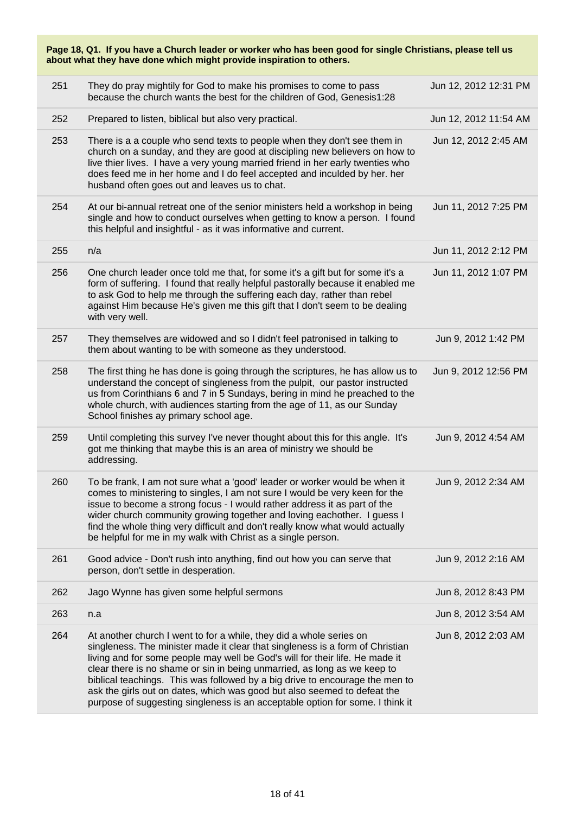| Page 18, Q1. If you have a Church leader or worker who has been good for single Christians, please tell us<br>about what they have done which might provide inspiration to others. |                                                                                                                                                                                                                                                                                                                                                                                                                                                                                                                                                               |                       |
|------------------------------------------------------------------------------------------------------------------------------------------------------------------------------------|---------------------------------------------------------------------------------------------------------------------------------------------------------------------------------------------------------------------------------------------------------------------------------------------------------------------------------------------------------------------------------------------------------------------------------------------------------------------------------------------------------------------------------------------------------------|-----------------------|
| 251                                                                                                                                                                                | They do pray mightily for God to make his promises to come to pass<br>because the church wants the best for the children of God, Genesis1:28                                                                                                                                                                                                                                                                                                                                                                                                                  | Jun 12, 2012 12:31 PM |
| 252                                                                                                                                                                                | Prepared to listen, biblical but also very practical.                                                                                                                                                                                                                                                                                                                                                                                                                                                                                                         | Jun 12, 2012 11:54 AM |
| 253                                                                                                                                                                                | There is a a couple who send texts to people when they don't see them in<br>church on a sunday, and they are good at discipling new believers on how to<br>live thier lives. I have a very young married friend in her early twenties who<br>does feed me in her home and I do feel accepted and inculded by her. her<br>husband often goes out and leaves us to chat.                                                                                                                                                                                        | Jun 12, 2012 2:45 AM  |
| 254                                                                                                                                                                                | At our bi-annual retreat one of the senior ministers held a workshop in being<br>single and how to conduct ourselves when getting to know a person. I found<br>this helpful and insightful - as it was informative and current.                                                                                                                                                                                                                                                                                                                               | Jun 11, 2012 7:25 PM  |
| 255                                                                                                                                                                                | n/a                                                                                                                                                                                                                                                                                                                                                                                                                                                                                                                                                           | Jun 11, 2012 2:12 PM  |
| 256                                                                                                                                                                                | One church leader once told me that, for some it's a gift but for some it's a<br>form of suffering. I found that really helpful pastorally because it enabled me<br>to ask God to help me through the suffering each day, rather than rebel<br>against Him because He's given me this gift that I don't seem to be dealing<br>with very well.                                                                                                                                                                                                                 | Jun 11, 2012 1:07 PM  |
| 257                                                                                                                                                                                | They themselves are widowed and so I didn't feel patronised in talking to<br>them about wanting to be with someone as they understood.                                                                                                                                                                                                                                                                                                                                                                                                                        | Jun 9, 2012 1:42 PM   |
| 258                                                                                                                                                                                | The first thing he has done is going through the scriptures, he has allow us to<br>understand the concept of singleness from the pulpit, our pastor instructed<br>us from Corinthians 6 and 7 in 5 Sundays, bering in mind he preached to the<br>whole church, with audiences starting from the age of 11, as our Sunday<br>School finishes ay primary school age.                                                                                                                                                                                            | Jun 9, 2012 12:56 PM  |
| 259                                                                                                                                                                                | Until completing this survey I've never thought about this for this angle. It's<br>got me thinking that maybe this is an area of ministry we should be<br>addressing.                                                                                                                                                                                                                                                                                                                                                                                         | Jun 9, 2012 4:54 AM   |
| 260                                                                                                                                                                                | To be frank, I am not sure what a 'good' leader or worker would be when it<br>comes to ministering to singles, I am not sure I would be very keen for the<br>issue to become a strong focus - I would rather address it as part of the<br>wider church community growing together and loving eachother. I guess I<br>find the whole thing very difficult and don't really know what would actually<br>be helpful for me in my walk with Christ as a single person.                                                                                            | Jun 9, 2012 2:34 AM   |
| 261                                                                                                                                                                                | Good advice - Don't rush into anything, find out how you can serve that<br>person, don't settle in desperation.                                                                                                                                                                                                                                                                                                                                                                                                                                               | Jun 9, 2012 2:16 AM   |
| 262                                                                                                                                                                                | Jago Wynne has given some helpful sermons                                                                                                                                                                                                                                                                                                                                                                                                                                                                                                                     | Jun 8, 2012 8:43 PM   |
| 263                                                                                                                                                                                | n.a                                                                                                                                                                                                                                                                                                                                                                                                                                                                                                                                                           | Jun 8, 2012 3:54 AM   |
| 264                                                                                                                                                                                | At another church I went to for a while, they did a whole series on<br>singleness. The minister made it clear that singleness is a form of Christian<br>living and for some people may well be God's will for their life. He made it<br>clear there is no shame or sin in being unmarried, as long as we keep to<br>biblical teachings. This was followed by a big drive to encourage the men to<br>ask the girls out on dates, which was good but also seemed to defeat the<br>purpose of suggesting singleness is an acceptable option for some. I think it | Jun 8, 2012 2:03 AM   |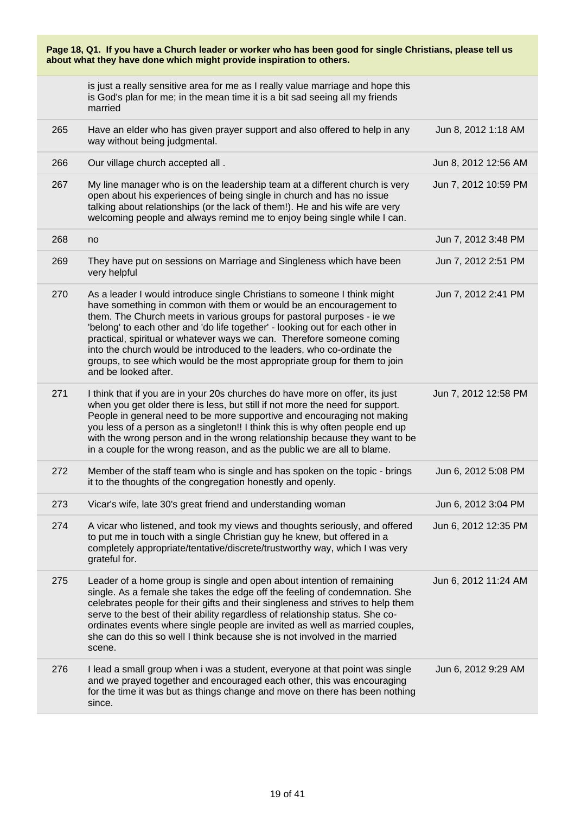| Page 18, Q1. If you have a Church leader or worker who has been good for single Christians, please tell us<br>about what they have done which might provide inspiration to others. |                                                                                                                                                                                                                                                                                                                                                                                                                                                                                                                                                                     |                      |
|------------------------------------------------------------------------------------------------------------------------------------------------------------------------------------|---------------------------------------------------------------------------------------------------------------------------------------------------------------------------------------------------------------------------------------------------------------------------------------------------------------------------------------------------------------------------------------------------------------------------------------------------------------------------------------------------------------------------------------------------------------------|----------------------|
|                                                                                                                                                                                    | is just a really sensitive area for me as I really value marriage and hope this<br>is God's plan for me; in the mean time it is a bit sad seeing all my friends<br>married                                                                                                                                                                                                                                                                                                                                                                                          |                      |
| 265                                                                                                                                                                                | Have an elder who has given prayer support and also offered to help in any<br>way without being judgmental.                                                                                                                                                                                                                                                                                                                                                                                                                                                         | Jun 8, 2012 1:18 AM  |
| 266                                                                                                                                                                                | Our village church accepted all .                                                                                                                                                                                                                                                                                                                                                                                                                                                                                                                                   | Jun 8, 2012 12:56 AM |
| 267                                                                                                                                                                                | My line manager who is on the leadership team at a different church is very<br>open about his experiences of being single in church and has no issue<br>talking about relationships (or the lack of them!). He and his wife are very<br>welcoming people and always remind me to enjoy being single while I can.                                                                                                                                                                                                                                                    | Jun 7, 2012 10:59 PM |
| 268                                                                                                                                                                                | no                                                                                                                                                                                                                                                                                                                                                                                                                                                                                                                                                                  | Jun 7, 2012 3:48 PM  |
| 269                                                                                                                                                                                | They have put on sessions on Marriage and Singleness which have been<br>very helpful                                                                                                                                                                                                                                                                                                                                                                                                                                                                                | Jun 7, 2012 2:51 PM  |
| 270                                                                                                                                                                                | As a leader I would introduce single Christians to someone I think might<br>have something in common with them or would be an encouragement to<br>them. The Church meets in various groups for pastoral purposes - ie we<br>'belong' to each other and 'do life together' - looking out for each other in<br>practical, spiritual or whatever ways we can. Therefore someone coming<br>into the church would be introduced to the leaders, who co-ordinate the<br>groups, to see which would be the most appropriate group for them to join<br>and be looked after. | Jun 7, 2012 2:41 PM  |
| 271                                                                                                                                                                                | I think that if you are in your 20s churches do have more on offer, its just<br>when you get older there is less, but still if not more the need for support.<br>People in general need to be more supportive and encouraging not making<br>you less of a person as a singleton!! I think this is why often people end up<br>with the wrong person and in the wrong relationship because they want to be<br>in a couple for the wrong reason, and as the public we are all to blame.                                                                                | Jun 7, 2012 12:58 PM |
| 272                                                                                                                                                                                | Member of the staff team who is single and has spoken on the topic - brings<br>it to the thoughts of the congregation honestly and openly.                                                                                                                                                                                                                                                                                                                                                                                                                          | Jun 6, 2012 5:08 PM  |
| 273                                                                                                                                                                                | Vicar's wife, late 30's great friend and understanding woman                                                                                                                                                                                                                                                                                                                                                                                                                                                                                                        | Jun 6, 2012 3:04 PM  |
| 274                                                                                                                                                                                | A vicar who listened, and took my views and thoughts seriously, and offered<br>to put me in touch with a single Christian guy he knew, but offered in a<br>completely appropriate/tentative/discrete/trustworthy way, which I was very<br>grateful for.                                                                                                                                                                                                                                                                                                             | Jun 6, 2012 12:35 PM |
| 275                                                                                                                                                                                | Leader of a home group is single and open about intention of remaining<br>single. As a female she takes the edge off the feeling of condemnation. She<br>celebrates people for their gifts and their singleness and strives to help them<br>serve to the best of their ability regardless of relationship status. She co-<br>ordinates events where single people are invited as well as married couples,<br>she can do this so well I think because she is not involved in the married<br>scene.                                                                   | Jun 6, 2012 11:24 AM |
| 276                                                                                                                                                                                | I lead a small group when i was a student, everyone at that point was single<br>and we prayed together and encouraged each other, this was encouraging<br>for the time it was but as things change and move on there has been nothing<br>since.                                                                                                                                                                                                                                                                                                                     | Jun 6, 2012 9:29 AM  |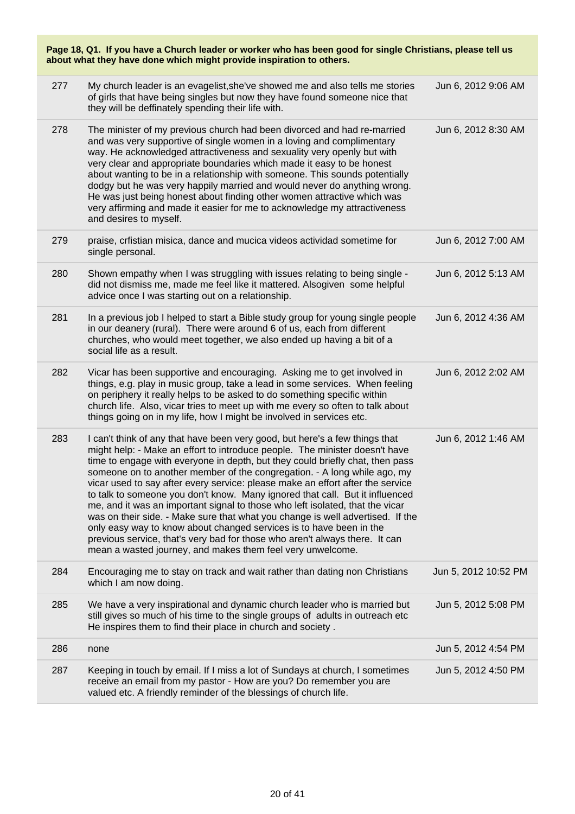| Page 18, Q1. If you have a Church leader or worker who has been good for single Christians, please tell us<br>about what they have done which might provide inspiration to others. |                                                                                                                                                                                                                                                                                                                                                                                                                                                                                                                                                                                                                                                                                                                                                                                                                                                                                  |                      |
|------------------------------------------------------------------------------------------------------------------------------------------------------------------------------------|----------------------------------------------------------------------------------------------------------------------------------------------------------------------------------------------------------------------------------------------------------------------------------------------------------------------------------------------------------------------------------------------------------------------------------------------------------------------------------------------------------------------------------------------------------------------------------------------------------------------------------------------------------------------------------------------------------------------------------------------------------------------------------------------------------------------------------------------------------------------------------|----------------------|
| 277                                                                                                                                                                                | My church leader is an evagelist, she've showed me and also tells me stories<br>of girls that have being singles but now they have found someone nice that<br>they will be deffinately spending their life with.                                                                                                                                                                                                                                                                                                                                                                                                                                                                                                                                                                                                                                                                 | Jun 6, 2012 9:06 AM  |
| 278                                                                                                                                                                                | The minister of my previous church had been divorced and had re-married<br>and was very supportive of single women in a loving and complimentary<br>way. He acknowledged attractiveness and sexuality very openly but with<br>very clear and appropriate boundaries which made it easy to be honest<br>about wanting to be in a relationship with someone. This sounds potentially<br>dodgy but he was very happily married and would never do anything wrong.<br>He was just being honest about finding other women attractive which was<br>very affirming and made it easier for me to acknowledge my attractiveness<br>and desires to myself.                                                                                                                                                                                                                                 | Jun 6, 2012 8:30 AM  |
| 279                                                                                                                                                                                | praise, crfistian misica, dance and mucica videos actividad sometime for<br>single personal.                                                                                                                                                                                                                                                                                                                                                                                                                                                                                                                                                                                                                                                                                                                                                                                     | Jun 6, 2012 7:00 AM  |
| 280                                                                                                                                                                                | Shown empathy when I was struggling with issues relating to being single -<br>did not dismiss me, made me feel like it mattered. Alsogiven some helpful<br>advice once I was starting out on a relationship.                                                                                                                                                                                                                                                                                                                                                                                                                                                                                                                                                                                                                                                                     | Jun 6, 2012 5:13 AM  |
| 281                                                                                                                                                                                | In a previous job I helped to start a Bible study group for young single people<br>in our deanery (rural). There were around 6 of us, each from different<br>churches, who would meet together, we also ended up having a bit of a<br>social life as a result.                                                                                                                                                                                                                                                                                                                                                                                                                                                                                                                                                                                                                   | Jun 6, 2012 4:36 AM  |
| 282                                                                                                                                                                                | Vicar has been supportive and encouraging. Asking me to get involved in<br>things, e.g. play in music group, take a lead in some services. When feeling<br>on periphery it really helps to be asked to do something specific within<br>church life. Also, vicar tries to meet up with me every so often to talk about<br>things going on in my life, how I might be involved in services etc.                                                                                                                                                                                                                                                                                                                                                                                                                                                                                    | Jun 6, 2012 2:02 AM  |
| 283                                                                                                                                                                                | I can't think of any that have been very good, but here's a few things that<br>might help: - Make an effort to introduce people. The minister doesn't have<br>time to engage with everyone in depth, but they could briefly chat, then pass<br>someone on to another member of the congregation. - A long while ago, my<br>vicar used to say after every service: please make an effort after the service<br>to talk to someone you don't know. Many ignored that call. But it influenced<br>me, and it was an important signal to those who left isolated, that the vicar<br>was on their side. - Make sure that what you change is well advertised. If the<br>only easy way to know about changed services is to have been in the<br>previous service, that's very bad for those who aren't always there. It can<br>mean a wasted journey, and makes them feel very unwelcome. | Jun 6, 2012 1:46 AM  |
| 284                                                                                                                                                                                | Encouraging me to stay on track and wait rather than dating non Christians<br>which I am now doing.                                                                                                                                                                                                                                                                                                                                                                                                                                                                                                                                                                                                                                                                                                                                                                              | Jun 5, 2012 10:52 PM |
| 285                                                                                                                                                                                | We have a very inspirational and dynamic church leader who is married but<br>still gives so much of his time to the single groups of adults in outreach etc<br>He inspires them to find their place in church and society.                                                                                                                                                                                                                                                                                                                                                                                                                                                                                                                                                                                                                                                       | Jun 5, 2012 5:08 PM  |
| 286                                                                                                                                                                                | none                                                                                                                                                                                                                                                                                                                                                                                                                                                                                                                                                                                                                                                                                                                                                                                                                                                                             | Jun 5, 2012 4:54 PM  |
| 287                                                                                                                                                                                | Keeping in touch by email. If I miss a lot of Sundays at church, I sometimes<br>receive an email from my pastor - How are you? Do remember you are<br>valued etc. A friendly reminder of the blessings of church life.                                                                                                                                                                                                                                                                                                                                                                                                                                                                                                                                                                                                                                                           | Jun 5, 2012 4:50 PM  |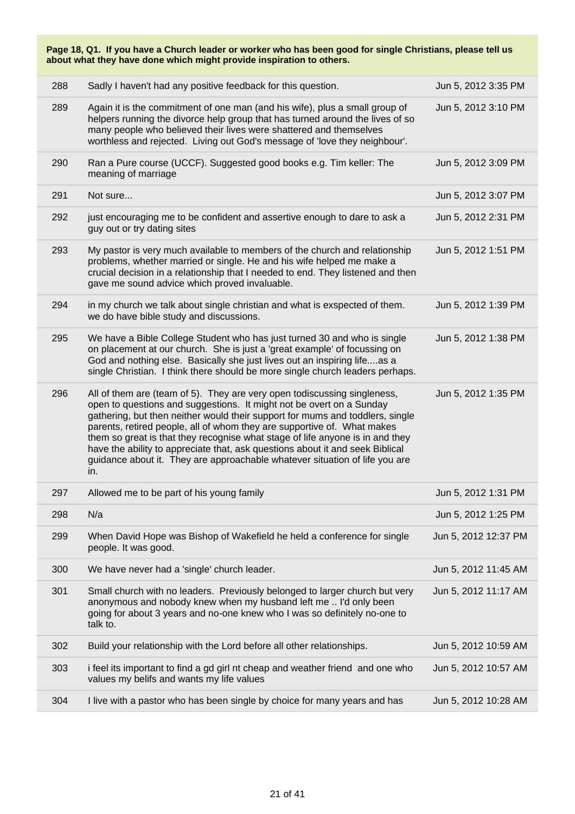| Page 18, Q1. If you have a Church leader or worker who has been good for single Christians, please tell us<br>about what they have done which might provide inspiration to others. |                                                                                                                                                                                                                                                                                                                                                                                                                                                                                                                                                                      |                      |  |
|------------------------------------------------------------------------------------------------------------------------------------------------------------------------------------|----------------------------------------------------------------------------------------------------------------------------------------------------------------------------------------------------------------------------------------------------------------------------------------------------------------------------------------------------------------------------------------------------------------------------------------------------------------------------------------------------------------------------------------------------------------------|----------------------|--|
| 288                                                                                                                                                                                | Sadly I haven't had any positive feedback for this question.                                                                                                                                                                                                                                                                                                                                                                                                                                                                                                         | Jun 5, 2012 3:35 PM  |  |
| 289                                                                                                                                                                                | Again it is the commitment of one man (and his wife), plus a small group of<br>helpers running the divorce help group that has turned around the lives of so<br>many people who believed their lives were shattered and themselves<br>worthless and rejected. Living out God's message of 'love they neighbour'.                                                                                                                                                                                                                                                     | Jun 5, 2012 3:10 PM  |  |
| 290                                                                                                                                                                                | Ran a Pure course (UCCF). Suggested good books e.g. Tim keller: The<br>meaning of marriage                                                                                                                                                                                                                                                                                                                                                                                                                                                                           | Jun 5, 2012 3:09 PM  |  |
| 291                                                                                                                                                                                | Not sure                                                                                                                                                                                                                                                                                                                                                                                                                                                                                                                                                             | Jun 5, 2012 3:07 PM  |  |
| 292                                                                                                                                                                                | just encouraging me to be confident and assertive enough to dare to ask a<br>guy out or try dating sites                                                                                                                                                                                                                                                                                                                                                                                                                                                             | Jun 5, 2012 2:31 PM  |  |
| 293                                                                                                                                                                                | My pastor is very much available to members of the church and relationship<br>problems, whether married or single. He and his wife helped me make a<br>crucial decision in a relationship that I needed to end. They listened and then<br>gave me sound advice which proved invaluable.                                                                                                                                                                                                                                                                              | Jun 5, 2012 1:51 PM  |  |
| 294                                                                                                                                                                                | in my church we talk about single christian and what is exspected of them.<br>we do have bible study and discussions.                                                                                                                                                                                                                                                                                                                                                                                                                                                | Jun 5, 2012 1:39 PM  |  |
| 295                                                                                                                                                                                | We have a Bible College Student who has just turned 30 and who is single<br>on placement at our church. She is just a 'great example' of focussing on<br>God and nothing else. Basically she just lives out an inspiring lifeas a<br>single Christian. I think there should be more single church leaders perhaps.                                                                                                                                                                                                                                                   | Jun 5, 2012 1:38 PM  |  |
| 296                                                                                                                                                                                | All of them are (team of 5). They are very open todiscussing singleness,<br>open to questions and suggestions. It might not be overt on a Sunday<br>gathering, but then neither would their support for mums and toddlers, single<br>parents, retired people, all of whom they are supportive of. What makes<br>them so great is that they recognise what stage of life anyone is in and they<br>have the ability to appreciate that, ask questions about it and seek Biblical<br>guidance about it. They are approachable whatever situation of life you are<br>in. | Jun 5, 2012 1:35 PM  |  |
| 297                                                                                                                                                                                | Allowed me to be part of his young family                                                                                                                                                                                                                                                                                                                                                                                                                                                                                                                            | Jun 5, 2012 1:31 PM  |  |
| 298                                                                                                                                                                                | N/a                                                                                                                                                                                                                                                                                                                                                                                                                                                                                                                                                                  | Jun 5, 2012 1:25 PM  |  |
| 299                                                                                                                                                                                | When David Hope was Bishop of Wakefield he held a conference for single<br>people. It was good.                                                                                                                                                                                                                                                                                                                                                                                                                                                                      | Jun 5, 2012 12:37 PM |  |
| 300                                                                                                                                                                                | We have never had a 'single' church leader.                                                                                                                                                                                                                                                                                                                                                                                                                                                                                                                          | Jun 5, 2012 11:45 AM |  |
| 301                                                                                                                                                                                | Small church with no leaders. Previously belonged to larger church but very<br>anonymous and nobody knew when my husband left me  I'd only been<br>going for about 3 years and no-one knew who I was so definitely no-one to<br>talk to.                                                                                                                                                                                                                                                                                                                             | Jun 5, 2012 11:17 AM |  |
| 302                                                                                                                                                                                | Build your relationship with the Lord before all other relationships.                                                                                                                                                                                                                                                                                                                                                                                                                                                                                                | Jun 5, 2012 10:59 AM |  |
| 303                                                                                                                                                                                | i feel its important to find a gd girl nt cheap and weather friend and one who<br>values my belifs and wants my life values                                                                                                                                                                                                                                                                                                                                                                                                                                          | Jun 5, 2012 10:57 AM |  |
| 304                                                                                                                                                                                | I live with a pastor who has been single by choice for many years and has                                                                                                                                                                                                                                                                                                                                                                                                                                                                                            | Jun 5, 2012 10:28 AM |  |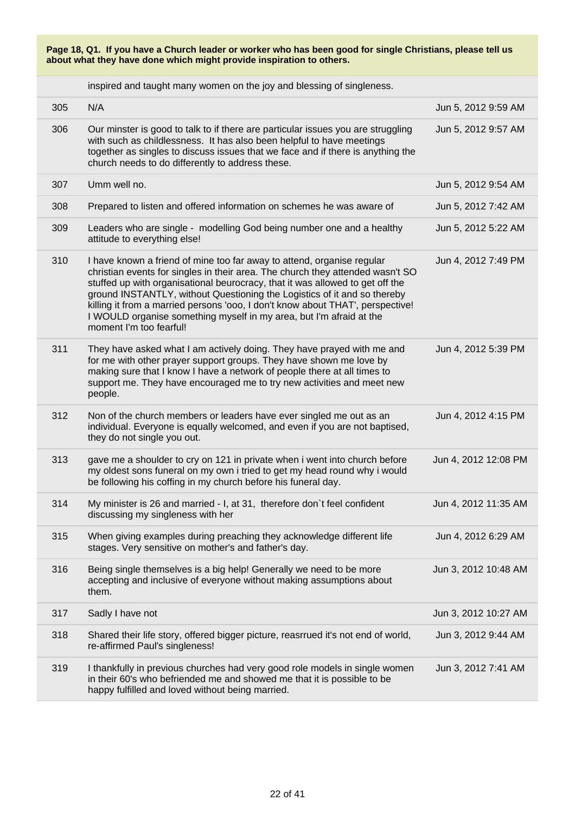inspired and taught many women on the joy and blessing of singleness.

| 305 | N/A                                                                                                                                                                                                                                                                                                                                                                                                                                                                                                       | Jun 5, 2012 9:59 AM  |
|-----|-----------------------------------------------------------------------------------------------------------------------------------------------------------------------------------------------------------------------------------------------------------------------------------------------------------------------------------------------------------------------------------------------------------------------------------------------------------------------------------------------------------|----------------------|
| 306 | Our minster is good to talk to if there are particular issues you are struggling<br>with such as childlessness. It has also been helpful to have meetings<br>together as singles to discuss issues that we face and if there is anything the<br>church needs to do differently to address these.                                                                                                                                                                                                          | Jun 5, 2012 9:57 AM  |
| 307 | Umm well no.                                                                                                                                                                                                                                                                                                                                                                                                                                                                                              | Jun 5, 2012 9:54 AM  |
| 308 | Prepared to listen and offered information on schemes he was aware of                                                                                                                                                                                                                                                                                                                                                                                                                                     | Jun 5, 2012 7:42 AM  |
| 309 | Leaders who are single - modelling God being number one and a healthy<br>attitude to everything else!                                                                                                                                                                                                                                                                                                                                                                                                     | Jun 5, 2012 5:22 AM  |
| 310 | I have known a friend of mine too far away to attend, organise regular<br>christian events for singles in their area. The church they attended wasn't SO<br>stuffed up with organisational beurocracy, that it was allowed to get off the<br>ground INSTANTLY, without Questioning the Logistics of it and so thereby<br>killing it from a married persons 'ooo, I don't know about THAT', perspective!<br>I WOULD organise something myself in my area, but I'm afraid at the<br>moment I'm too fearful! | Jun 4, 2012 7:49 PM  |
| 311 | They have asked what I am actively doing. They have prayed with me and<br>for me with other prayer support groups. They have shown me love by<br>making sure that I know I have a network of people there at all times to<br>support me. They have encouraged me to try new activities and meet new<br>people.                                                                                                                                                                                            | Jun 4, 2012 5:39 PM  |
| 312 | Non of the church members or leaders have ever singled me out as an<br>individual. Everyone is equally welcomed, and even if you are not baptised,<br>they do not single you out.                                                                                                                                                                                                                                                                                                                         | Jun 4, 2012 4:15 PM  |
| 313 | gave me a shoulder to cry on 121 in private when i went into church before<br>my oldest sons funeral on my own i tried to get my head round why i would<br>be following his coffing in my church before his funeral day.                                                                                                                                                                                                                                                                                  | Jun 4, 2012 12:08 PM |
| 314 | My minister is 26 and married - I, at 31, therefore don't feel confident<br>discussing my singleness with her                                                                                                                                                                                                                                                                                                                                                                                             | Jun 4, 2012 11:35 AM |
| 315 | When giving examples during preaching they acknowledge different life<br>stages. Very sensitive on mother's and father's day.                                                                                                                                                                                                                                                                                                                                                                             | Jun 4, 2012 6:29 AM  |
| 316 | Being single themselves is a big help! Generally we need to be more<br>accepting and inclusive of everyone without making assumptions about<br>them.                                                                                                                                                                                                                                                                                                                                                      | Jun 3, 2012 10:48 AM |
| 317 | Sadly I have not                                                                                                                                                                                                                                                                                                                                                                                                                                                                                          | Jun 3, 2012 10:27 AM |
| 318 | Shared their life story, offered bigger picture, reasrrued it's not end of world,<br>re-affirmed Paul's singleness!                                                                                                                                                                                                                                                                                                                                                                                       | Jun 3, 2012 9:44 AM  |
| 319 | I thankfully in previous churches had very good role models in single women<br>in their 60's who befriended me and showed me that it is possible to be<br>happy fulfilled and loved without being married.                                                                                                                                                                                                                                                                                                | Jun 3, 2012 7:41 AM  |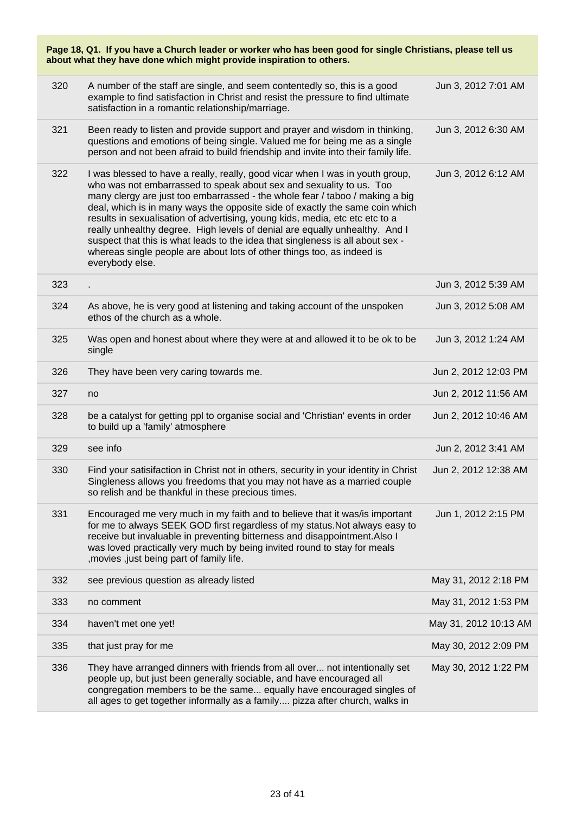| Page 18, Q1. If you have a Church leader or worker who has been good for single Christians, please tell us<br>about what they have done which might provide inspiration to others. |                                                                                                                                                                                                                                                                                                                                                                                                                                                                                                                                                                                                                                                                    |                       |  |
|------------------------------------------------------------------------------------------------------------------------------------------------------------------------------------|--------------------------------------------------------------------------------------------------------------------------------------------------------------------------------------------------------------------------------------------------------------------------------------------------------------------------------------------------------------------------------------------------------------------------------------------------------------------------------------------------------------------------------------------------------------------------------------------------------------------------------------------------------------------|-----------------------|--|
| 320                                                                                                                                                                                | A number of the staff are single, and seem contentedly so, this is a good<br>example to find satisfaction in Christ and resist the pressure to find ultimate<br>satisfaction in a romantic relationship/marriage.                                                                                                                                                                                                                                                                                                                                                                                                                                                  | Jun 3, 2012 7:01 AM   |  |
| 321                                                                                                                                                                                | Been ready to listen and provide support and prayer and wisdom in thinking,<br>questions and emotions of being single. Valued me for being me as a single<br>person and not been afraid to build friendship and invite into their family life.                                                                                                                                                                                                                                                                                                                                                                                                                     | Jun 3, 2012 6:30 AM   |  |
| 322                                                                                                                                                                                | I was blessed to have a really, really, good vicar when I was in youth group,<br>who was not embarrassed to speak about sex and sexuality to us. Too<br>many clergy are just too embarrassed - the whole fear / taboo / making a big<br>deal, which is in many ways the opposite side of exactly the same coin which<br>results in sexualisation of advertising, young kids, media, etc etc etc to a<br>really unhealthy degree. High levels of denial are equally unhealthy. And I<br>suspect that this is what leads to the idea that singleness is all about sex -<br>whereas single people are about lots of other things too, as indeed is<br>everybody else. | Jun 3, 2012 6:12 AM   |  |
| 323                                                                                                                                                                                |                                                                                                                                                                                                                                                                                                                                                                                                                                                                                                                                                                                                                                                                    | Jun 3, 2012 5:39 AM   |  |
| 324                                                                                                                                                                                | As above, he is very good at listening and taking account of the unspoken<br>ethos of the church as a whole.                                                                                                                                                                                                                                                                                                                                                                                                                                                                                                                                                       | Jun 3, 2012 5:08 AM   |  |
| 325                                                                                                                                                                                | Was open and honest about where they were at and allowed it to be ok to be<br>single                                                                                                                                                                                                                                                                                                                                                                                                                                                                                                                                                                               | Jun 3, 2012 1:24 AM   |  |
| 326                                                                                                                                                                                | They have been very caring towards me.                                                                                                                                                                                                                                                                                                                                                                                                                                                                                                                                                                                                                             | Jun 2, 2012 12:03 PM  |  |
| 327                                                                                                                                                                                | no                                                                                                                                                                                                                                                                                                                                                                                                                                                                                                                                                                                                                                                                 | Jun 2, 2012 11:56 AM  |  |
| 328                                                                                                                                                                                | be a catalyst for getting ppl to organise social and 'Christian' events in order<br>to build up a 'family' atmosphere                                                                                                                                                                                                                                                                                                                                                                                                                                                                                                                                              | Jun 2, 2012 10:46 AM  |  |
| 329                                                                                                                                                                                | see info                                                                                                                                                                                                                                                                                                                                                                                                                                                                                                                                                                                                                                                           | Jun 2, 2012 3:41 AM   |  |
| 330                                                                                                                                                                                | Find your satisifaction in Christ not in others, security in your identity in Christ<br>Singleness allows you freedoms that you may not have as a married couple<br>so relish and be thankful in these precious times.                                                                                                                                                                                                                                                                                                                                                                                                                                             | Jun 2, 2012 12:38 AM  |  |
| 331                                                                                                                                                                                | Encouraged me very much in my faith and to believe that it was/is important<br>for me to always SEEK GOD first regardless of my status. Not always easy to<br>receive but invaluable in preventing bitterness and disappointment. Also I<br>was loved practically very much by being invited round to stay for meals<br>, movies, just being part of family life.                                                                                                                                                                                                                                                                                                  | Jun 1, 2012 2:15 PM   |  |
| 332                                                                                                                                                                                | see previous question as already listed                                                                                                                                                                                                                                                                                                                                                                                                                                                                                                                                                                                                                            | May 31, 2012 2:18 PM  |  |
| 333                                                                                                                                                                                | no comment                                                                                                                                                                                                                                                                                                                                                                                                                                                                                                                                                                                                                                                         | May 31, 2012 1:53 PM  |  |
| 334                                                                                                                                                                                | haven't met one yet!                                                                                                                                                                                                                                                                                                                                                                                                                                                                                                                                                                                                                                               | May 31, 2012 10:13 AM |  |
| 335                                                                                                                                                                                | that just pray for me                                                                                                                                                                                                                                                                                                                                                                                                                                                                                                                                                                                                                                              | May 30, 2012 2:09 PM  |  |
| 336                                                                                                                                                                                | They have arranged dinners with friends from all over not intentionally set<br>people up, but just been generally sociable, and have encouraged all<br>congregation members to be the same equally have encouraged singles of<br>all ages to get together informally as a family pizza after church, walks in                                                                                                                                                                                                                                                                                                                                                      | May 30, 2012 1:22 PM  |  |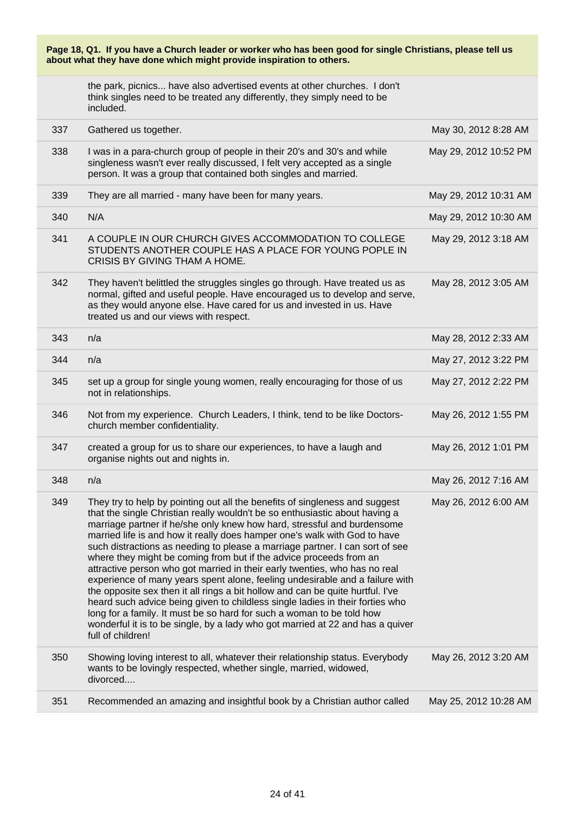| Page 18, Q1. If you have a Church leader or worker who has been good for single Christians, please tell us<br>about what they have done which might provide inspiration to others. |                                                                                                                                                                                                                                                                                                                                                                                                                                                                                                                                                                                                                                                                                                                                                                                                                                                                                                                                                                                           |                       |
|------------------------------------------------------------------------------------------------------------------------------------------------------------------------------------|-------------------------------------------------------------------------------------------------------------------------------------------------------------------------------------------------------------------------------------------------------------------------------------------------------------------------------------------------------------------------------------------------------------------------------------------------------------------------------------------------------------------------------------------------------------------------------------------------------------------------------------------------------------------------------------------------------------------------------------------------------------------------------------------------------------------------------------------------------------------------------------------------------------------------------------------------------------------------------------------|-----------------------|
|                                                                                                                                                                                    | the park, picnics have also advertised events at other churches. I don't<br>think singles need to be treated any differently, they simply need to be<br>included.                                                                                                                                                                                                                                                                                                                                                                                                                                                                                                                                                                                                                                                                                                                                                                                                                         |                       |
| 337                                                                                                                                                                                | Gathered us together.                                                                                                                                                                                                                                                                                                                                                                                                                                                                                                                                                                                                                                                                                                                                                                                                                                                                                                                                                                     | May 30, 2012 8:28 AM  |
| 338                                                                                                                                                                                | I was in a para-church group of people in their 20's and 30's and while<br>singleness wasn't ever really discussed, I felt very accepted as a single<br>person. It was a group that contained both singles and married.                                                                                                                                                                                                                                                                                                                                                                                                                                                                                                                                                                                                                                                                                                                                                                   | May 29, 2012 10:52 PM |
| 339                                                                                                                                                                                | They are all married - many have been for many years.                                                                                                                                                                                                                                                                                                                                                                                                                                                                                                                                                                                                                                                                                                                                                                                                                                                                                                                                     | May 29, 2012 10:31 AM |
| 340                                                                                                                                                                                | N/A                                                                                                                                                                                                                                                                                                                                                                                                                                                                                                                                                                                                                                                                                                                                                                                                                                                                                                                                                                                       | May 29, 2012 10:30 AM |
| 341                                                                                                                                                                                | A COUPLE IN OUR CHURCH GIVES ACCOMMODATION TO COLLEGE<br>STUDENTS ANOTHER COUPLE HAS A PLACE FOR YOUNG POPLE IN<br>CRISIS BY GIVING THAM A HOME.                                                                                                                                                                                                                                                                                                                                                                                                                                                                                                                                                                                                                                                                                                                                                                                                                                          | May 29, 2012 3:18 AM  |
| 342                                                                                                                                                                                | They haven't belittled the struggles singles go through. Have treated us as<br>normal, gifted and useful people. Have encouraged us to develop and serve,<br>as they would anyone else. Have cared for us and invested in us. Have<br>treated us and our views with respect.                                                                                                                                                                                                                                                                                                                                                                                                                                                                                                                                                                                                                                                                                                              | May 28, 2012 3:05 AM  |
| 343                                                                                                                                                                                | n/a                                                                                                                                                                                                                                                                                                                                                                                                                                                                                                                                                                                                                                                                                                                                                                                                                                                                                                                                                                                       | May 28, 2012 2:33 AM  |
| 344                                                                                                                                                                                | n/a                                                                                                                                                                                                                                                                                                                                                                                                                                                                                                                                                                                                                                                                                                                                                                                                                                                                                                                                                                                       | May 27, 2012 3:22 PM  |
| 345                                                                                                                                                                                | set up a group for single young women, really encouraging for those of us<br>not in relationships.                                                                                                                                                                                                                                                                                                                                                                                                                                                                                                                                                                                                                                                                                                                                                                                                                                                                                        | May 27, 2012 2:22 PM  |
| 346                                                                                                                                                                                | Not from my experience. Church Leaders, I think, tend to be like Doctors-<br>church member confidentiality.                                                                                                                                                                                                                                                                                                                                                                                                                                                                                                                                                                                                                                                                                                                                                                                                                                                                               | May 26, 2012 1:55 PM  |
| 347                                                                                                                                                                                | created a group for us to share our experiences, to have a laugh and<br>organise nights out and nights in.                                                                                                                                                                                                                                                                                                                                                                                                                                                                                                                                                                                                                                                                                                                                                                                                                                                                                | May 26, 2012 1:01 PM  |
| 348                                                                                                                                                                                | n/a                                                                                                                                                                                                                                                                                                                                                                                                                                                                                                                                                                                                                                                                                                                                                                                                                                                                                                                                                                                       | May 26, 2012 7:16 AM  |
| 349                                                                                                                                                                                | They try to help by pointing out all the benefits of singleness and suggest<br>that the single Christian really wouldn't be so enthusiastic about having a<br>marriage partner if he/she only knew how hard, stressful and burdensome<br>married life is and how it really does hamper one's walk with God to have<br>such distractions as needing to please a marriage partner. I can sort of see<br>where they might be coming from but if the advice proceeds from an<br>attractive person who got married in their early twenties, who has no real<br>experience of many years spent alone, feeling undesirable and a failure with<br>the opposite sex then it all rings a bit hollow and can be quite hurtful. I've<br>heard such advice being given to childless single ladies in their forties who<br>long for a family. It must be so hard for such a woman to be told how<br>wonderful it is to be single, by a lady who got married at 22 and has a quiver<br>full of children! | May 26, 2012 6:00 AM  |
| 350                                                                                                                                                                                | Showing loving interest to all, whatever their relationship status. Everybody<br>wants to be lovingly respected, whether single, married, widowed,<br>divorced                                                                                                                                                                                                                                                                                                                                                                                                                                                                                                                                                                                                                                                                                                                                                                                                                            | May 26, 2012 3:20 AM  |
| 351                                                                                                                                                                                | Recommended an amazing and insightful book by a Christian author called                                                                                                                                                                                                                                                                                                                                                                                                                                                                                                                                                                                                                                                                                                                                                                                                                                                                                                                   | May 25, 2012 10:28 AM |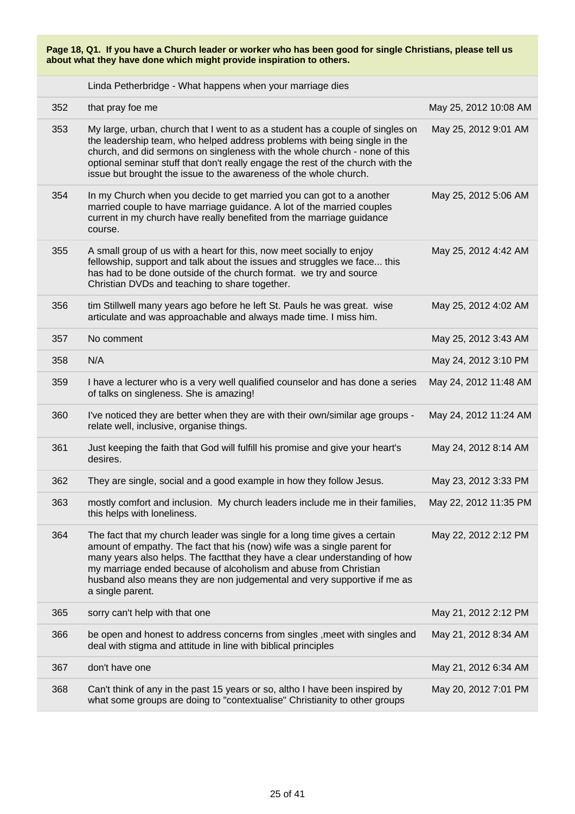Linda Petherbridge - What happens when your marriage dies

| 352 | that pray foe me                                                                                                                                                                                                                                                                                                                                                                                       | May 25, 2012 10:08 AM |
|-----|--------------------------------------------------------------------------------------------------------------------------------------------------------------------------------------------------------------------------------------------------------------------------------------------------------------------------------------------------------------------------------------------------------|-----------------------|
| 353 | My large, urban, church that I went to as a student has a couple of singles on<br>the leadership team, who helped address problems with being single in the<br>church, and did sermons on singleness with the whole church - none of this<br>optional seminar stuff that don't really engage the rest of the church with the<br>issue but brought the issue to the awareness of the whole church.      | May 25, 2012 9:01 AM  |
| 354 | In my Church when you decide to get married you can got to a another<br>married couple to have marriage guidance. A lot of the married couples<br>current in my church have really benefited from the marriage guidance<br>course.                                                                                                                                                                     | May 25, 2012 5:06 AM  |
| 355 | A small group of us with a heart for this, now meet socially to enjoy<br>fellowship, support and talk about the issues and struggles we face this<br>has had to be done outside of the church format. we try and source<br>Christian DVDs and teaching to share together.                                                                                                                              | May 25, 2012 4:42 AM  |
| 356 | tim Stillwell many years ago before he left St. Pauls he was great. wise<br>articulate and was approachable and always made time. I miss him.                                                                                                                                                                                                                                                          | May 25, 2012 4:02 AM  |
| 357 | No comment                                                                                                                                                                                                                                                                                                                                                                                             | May 25, 2012 3:43 AM  |
| 358 | N/A                                                                                                                                                                                                                                                                                                                                                                                                    | May 24, 2012 3:10 PM  |
| 359 | I have a lecturer who is a very well qualified counselor and has done a series<br>of talks on singleness. She is amazing!                                                                                                                                                                                                                                                                              | May 24, 2012 11:48 AM |
| 360 | I've noticed they are better when they are with their own/similar age groups -<br>relate well, inclusive, organise things.                                                                                                                                                                                                                                                                             | May 24, 2012 11:24 AM |
| 361 | Just keeping the faith that God will fulfill his promise and give your heart's<br>desires.                                                                                                                                                                                                                                                                                                             | May 24, 2012 8:14 AM  |
| 362 | They are single, social and a good example in how they follow Jesus.                                                                                                                                                                                                                                                                                                                                   | May 23, 2012 3:33 PM  |
| 363 | mostly comfort and inclusion. My church leaders include me in their families,<br>this helps with loneliness.                                                                                                                                                                                                                                                                                           | May 22, 2012 11:35 PM |
| 364 | The fact that my church leader was single for a long time gives a certain<br>amount of empathy. The fact that his (now) wife was a single parent for<br>many years also helps. The factthat they have a clear understanding of how<br>my marriage ended because of alcoholism and abuse from Christian<br>husband also means they are non judgemental and very supportive if me as<br>a single parent. | May 22, 2012 2:12 PM  |
| 365 | sorry can't help with that one                                                                                                                                                                                                                                                                                                                                                                         | May 21, 2012 2:12 PM  |
| 366 | be open and honest to address concerns from singles , meet with singles and<br>deal with stigma and attitude in line with biblical principles                                                                                                                                                                                                                                                          | May 21, 2012 8:34 AM  |
| 367 | don't have one                                                                                                                                                                                                                                                                                                                                                                                         | May 21, 2012 6:34 AM  |
| 368 | Can't think of any in the past 15 years or so, altho I have been inspired by<br>what some groups are doing to "contextualise" Christianity to other groups                                                                                                                                                                                                                                             | May 20, 2012 7:01 PM  |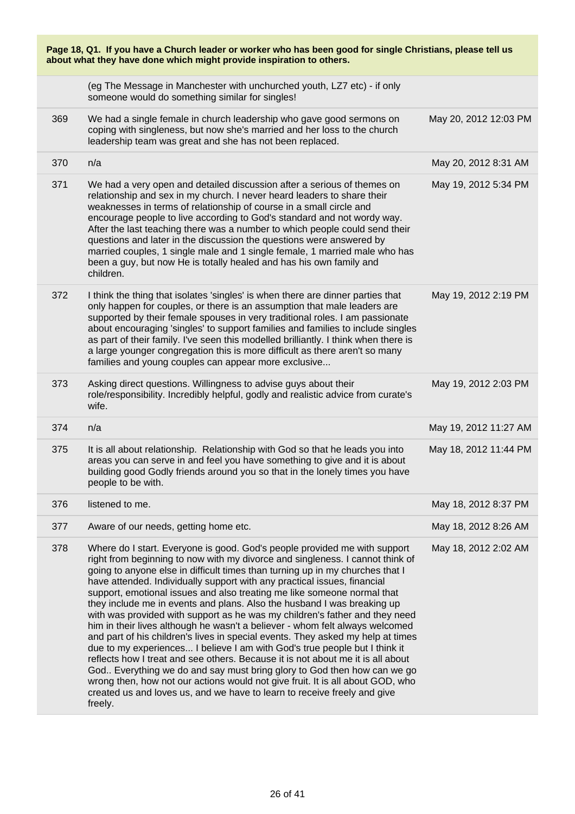| Page 18, Q1. If you have a Church leader or worker who has been good for single Christians, please tell us<br>about what they have done which might provide inspiration to others. |                                                                                                                                                                                                                                                                                                                                                                                                                                                                                                                                                                                                                                                                                                                                                                                                                                                                                                                                                                                                                                                                                                                                                      |                       |  |
|------------------------------------------------------------------------------------------------------------------------------------------------------------------------------------|------------------------------------------------------------------------------------------------------------------------------------------------------------------------------------------------------------------------------------------------------------------------------------------------------------------------------------------------------------------------------------------------------------------------------------------------------------------------------------------------------------------------------------------------------------------------------------------------------------------------------------------------------------------------------------------------------------------------------------------------------------------------------------------------------------------------------------------------------------------------------------------------------------------------------------------------------------------------------------------------------------------------------------------------------------------------------------------------------------------------------------------------------|-----------------------|--|
|                                                                                                                                                                                    | (eg The Message in Manchester with unchurched youth, LZ7 etc) - if only<br>someone would do something similar for singles!                                                                                                                                                                                                                                                                                                                                                                                                                                                                                                                                                                                                                                                                                                                                                                                                                                                                                                                                                                                                                           |                       |  |
| 369                                                                                                                                                                                | We had a single female in church leadership who gave good sermons on<br>coping with singleness, but now she's married and her loss to the church<br>leadership team was great and she has not been replaced.                                                                                                                                                                                                                                                                                                                                                                                                                                                                                                                                                                                                                                                                                                                                                                                                                                                                                                                                         | May 20, 2012 12:03 PM |  |
| 370                                                                                                                                                                                | n/a                                                                                                                                                                                                                                                                                                                                                                                                                                                                                                                                                                                                                                                                                                                                                                                                                                                                                                                                                                                                                                                                                                                                                  | May 20, 2012 8:31 AM  |  |
| 371                                                                                                                                                                                | We had a very open and detailed discussion after a serious of themes on<br>relationship and sex in my church. I never heard leaders to share their<br>weaknesses in terms of relationship of course in a small circle and<br>encourage people to live according to God's standard and not wordy way.<br>After the last teaching there was a number to which people could send their<br>questions and later in the discussion the questions were answered by<br>married couples, 1 single male and 1 single female, 1 married male who has<br>been a guy, but now He is totally healed and has his own family and<br>children.                                                                                                                                                                                                                                                                                                                                                                                                                                                                                                                        | May 19, 2012 5:34 PM  |  |
| 372                                                                                                                                                                                | I think the thing that isolates 'singles' is when there are dinner parties that<br>only happen for couples, or there is an assumption that male leaders are<br>supported by their female spouses in very traditional roles. I am passionate<br>about encouraging 'singles' to support families and families to include singles<br>as part of their family. I've seen this modelled brilliantly. I think when there is<br>a large younger congregation this is more difficult as there aren't so many<br>families and young couples can appear more exclusive                                                                                                                                                                                                                                                                                                                                                                                                                                                                                                                                                                                         | May 19, 2012 2:19 PM  |  |
| 373                                                                                                                                                                                | Asking direct questions. Willingness to advise guys about their<br>role/responsibility. Incredibly helpful, godly and realistic advice from curate's<br>wife.                                                                                                                                                                                                                                                                                                                                                                                                                                                                                                                                                                                                                                                                                                                                                                                                                                                                                                                                                                                        | May 19, 2012 2:03 PM  |  |
| 374                                                                                                                                                                                | n/a                                                                                                                                                                                                                                                                                                                                                                                                                                                                                                                                                                                                                                                                                                                                                                                                                                                                                                                                                                                                                                                                                                                                                  | May 19, 2012 11:27 AM |  |
| 375                                                                                                                                                                                | It is all about relationship. Relationship with God so that he leads you into<br>areas you can serve in and feel you have something to give and it is about<br>building good Godly friends around you so that in the lonely times you have<br>people to be with.                                                                                                                                                                                                                                                                                                                                                                                                                                                                                                                                                                                                                                                                                                                                                                                                                                                                                     | May 18, 2012 11:44 PM |  |
| 376                                                                                                                                                                                | listened to me.                                                                                                                                                                                                                                                                                                                                                                                                                                                                                                                                                                                                                                                                                                                                                                                                                                                                                                                                                                                                                                                                                                                                      | May 18, 2012 8:37 PM  |  |
| 377                                                                                                                                                                                | Aware of our needs, getting home etc.                                                                                                                                                                                                                                                                                                                                                                                                                                                                                                                                                                                                                                                                                                                                                                                                                                                                                                                                                                                                                                                                                                                | May 18, 2012 8:26 AM  |  |
| 378                                                                                                                                                                                | Where do I start. Everyone is good. God's people provided me with support<br>right from beginning to now with my divorce and singleness. I cannot think of<br>going to anyone else in difficult times than turning up in my churches that I<br>have attended. Individually support with any practical issues, financial<br>support, emotional issues and also treating me like someone normal that<br>they include me in events and plans. Also the husband I was breaking up<br>with was provided with support as he was my children's father and they need<br>him in their lives although he wasn't a believer - whom felt always welcomed<br>and part of his children's lives in special events. They asked my help at times<br>due to my experiences I believe I am with God's true people but I think it<br>reflects how I treat and see others. Because it is not about me it is all about<br>God Everything we do and say must bring glory to God then how can we go<br>wrong then, how not our actions would not give fruit. It is all about GOD, who<br>created us and loves us, and we have to learn to receive freely and give<br>freely. | May 18, 2012 2:02 AM  |  |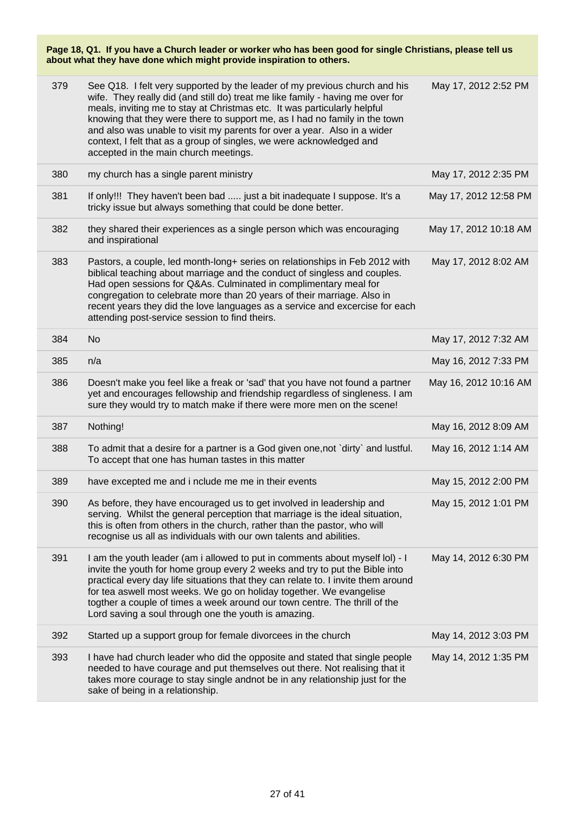| 379 | See Q18. I felt very supported by the leader of my previous church and his<br>wife. They really did (and still do) treat me like family - having me over for<br>meals, inviting me to stay at Christmas etc. It was particularly helpful<br>knowing that they were there to support me, as I had no family in the town<br>and also was unable to visit my parents for over a year. Also in a wider<br>context, I felt that as a group of singles, we were acknowledged and<br>accepted in the main church meetings. | May 17, 2012 2:52 PM  |
|-----|---------------------------------------------------------------------------------------------------------------------------------------------------------------------------------------------------------------------------------------------------------------------------------------------------------------------------------------------------------------------------------------------------------------------------------------------------------------------------------------------------------------------|-----------------------|
| 380 | my church has a single parent ministry                                                                                                                                                                                                                                                                                                                                                                                                                                                                              | May 17, 2012 2:35 PM  |
| 381 | If only!!! They haven't been bad  just a bit inadequate I suppose. It's a<br>tricky issue but always something that could be done better.                                                                                                                                                                                                                                                                                                                                                                           | May 17, 2012 12:58 PM |
| 382 | they shared their experiences as a single person which was encouraging<br>and inspirational                                                                                                                                                                                                                                                                                                                                                                                                                         | May 17, 2012 10:18 AM |
| 383 | Pastors, a couple, led month-long+ series on relationships in Feb 2012 with<br>biblical teaching about marriage and the conduct of singless and couples.<br>Had open sessions for Q&As. Culminated in complimentary meal for<br>congregation to celebrate more than 20 years of their marriage. Also in<br>recent years they did the love languages as a service and excercise for each<br>attending post-service session to find theirs.                                                                           | May 17, 2012 8:02 AM  |
| 384 | <b>No</b>                                                                                                                                                                                                                                                                                                                                                                                                                                                                                                           | May 17, 2012 7:32 AM  |
| 385 | n/a                                                                                                                                                                                                                                                                                                                                                                                                                                                                                                                 | May 16, 2012 7:33 PM  |
| 386 | Doesn't make you feel like a freak or 'sad' that you have not found a partner<br>yet and encourages fellowship and friendship regardless of singleness. I am<br>sure they would try to match make if there were more men on the scene!                                                                                                                                                                                                                                                                              | May 16, 2012 10:16 AM |
| 387 | Nothing!                                                                                                                                                                                                                                                                                                                                                                                                                                                                                                            | May 16, 2012 8:09 AM  |
| 388 | To admit that a desire for a partner is a God given one, not `dirty` and lustful.<br>To accept that one has human tastes in this matter                                                                                                                                                                                                                                                                                                                                                                             | May 16, 2012 1:14 AM  |
| 389 | have excepted me and i nclude me me in their events                                                                                                                                                                                                                                                                                                                                                                                                                                                                 | May 15, 2012 2:00 PM  |
| 390 | As before, they have encouraged us to get involved in leadership and<br>serving. Whilst the general perception that marriage is the ideal situation,<br>this is often from others in the church, rather than the pastor, who will<br>recognise us all as individuals with our own talents and abilities.                                                                                                                                                                                                            | May 15, 2012 1:01 PM  |
| 391 | I am the youth leader (am i allowed to put in comments about myself lol) - I<br>invite the youth for home group every 2 weeks and try to put the Bible into<br>practical every day life situations that they can relate to. I invite them around<br>for tea aswell most weeks. We go on holiday together. We evangelise<br>togther a couple of times a week around our town centre. The thrill of the<br>Lord saving a soul through one the youth is amazing.                                                       | May 14, 2012 6:30 PM  |
| 392 | Started up a support group for female divorcees in the church                                                                                                                                                                                                                                                                                                                                                                                                                                                       | May 14, 2012 3:03 PM  |
| 393 | I have had church leader who did the opposite and stated that single people<br>needed to have courage and put themselves out there. Not realising that it<br>takes more courage to stay single andnot be in any relationship just for the<br>sake of being in a relationship.                                                                                                                                                                                                                                       | May 14, 2012 1:35 PM  |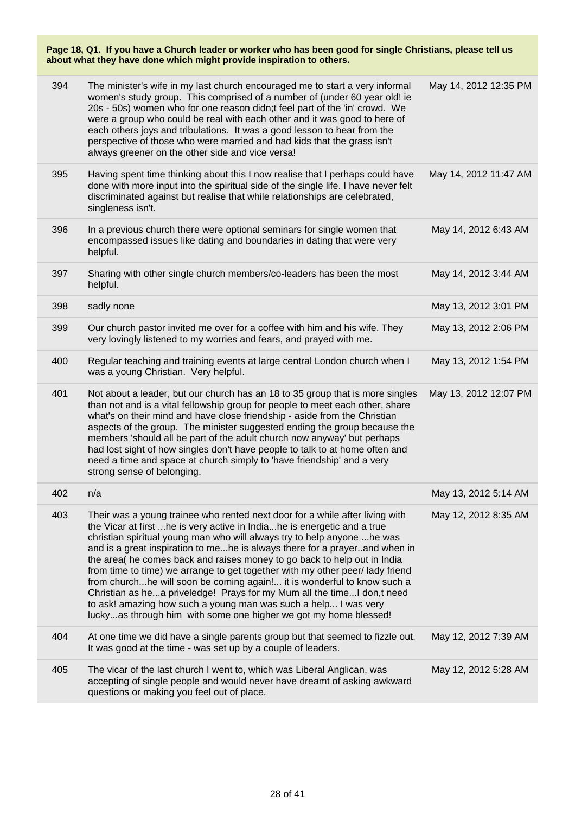|     | Page 18, Q1. If you have a Church leader or worker who has been good for single Christians, please tell us<br>about what they have done which might provide inspiration to others.                                                                                                                                                                                                                                                                                                                                                                                                                                                                                                                                                                                            |                       |  |  |
|-----|-------------------------------------------------------------------------------------------------------------------------------------------------------------------------------------------------------------------------------------------------------------------------------------------------------------------------------------------------------------------------------------------------------------------------------------------------------------------------------------------------------------------------------------------------------------------------------------------------------------------------------------------------------------------------------------------------------------------------------------------------------------------------------|-----------------------|--|--|
| 394 | The minister's wife in my last church encouraged me to start a very informal<br>women's study group. This comprised of a number of (under 60 year old! ie<br>20s - 50s) women who for one reason didn;t feel part of the 'in' crowd. We<br>were a group who could be real with each other and it was good to here of<br>each others joys and tribulations. It was a good lesson to hear from the<br>perspective of those who were married and had kids that the grass isn't<br>always greener on the other side and vice versa!                                                                                                                                                                                                                                               | May 14, 2012 12:35 PM |  |  |
| 395 | Having spent time thinking about this I now realise that I perhaps could have<br>done with more input into the spiritual side of the single life. I have never felt<br>discriminated against but realise that while relationships are celebrated,<br>singleness isn't.                                                                                                                                                                                                                                                                                                                                                                                                                                                                                                        | May 14, 2012 11:47 AM |  |  |
| 396 | In a previous church there were optional seminars for single women that<br>encompassed issues like dating and boundaries in dating that were very<br>helpful.                                                                                                                                                                                                                                                                                                                                                                                                                                                                                                                                                                                                                 | May 14, 2012 6:43 AM  |  |  |
| 397 | Sharing with other single church members/co-leaders has been the most<br>helpful.                                                                                                                                                                                                                                                                                                                                                                                                                                                                                                                                                                                                                                                                                             | May 14, 2012 3:44 AM  |  |  |
| 398 | sadly none                                                                                                                                                                                                                                                                                                                                                                                                                                                                                                                                                                                                                                                                                                                                                                    | May 13, 2012 3:01 PM  |  |  |
| 399 | Our church pastor invited me over for a coffee with him and his wife. They<br>very lovingly listened to my worries and fears, and prayed with me.                                                                                                                                                                                                                                                                                                                                                                                                                                                                                                                                                                                                                             | May 13, 2012 2:06 PM  |  |  |
| 400 | Regular teaching and training events at large central London church when I<br>was a young Christian. Very helpful.                                                                                                                                                                                                                                                                                                                                                                                                                                                                                                                                                                                                                                                            | May 13, 2012 1:54 PM  |  |  |
| 401 | Not about a leader, but our church has an 18 to 35 group that is more singles<br>than not and is a vital fellowship group for people to meet each other, share<br>what's on their mind and have close friendship - aside from the Christian<br>aspects of the group. The minister suggested ending the group because the<br>members 'should all be part of the adult church now anyway' but perhaps<br>had lost sight of how singles don't have people to talk to at home often and<br>need a time and space at church simply to 'have friendship' and a very<br>strong sense of belonging.                                                                                                                                                                                   | May 13, 2012 12:07 PM |  |  |
| 402 | n/a                                                                                                                                                                                                                                                                                                                                                                                                                                                                                                                                                                                                                                                                                                                                                                           | May 13, 2012 5:14 AM  |  |  |
| 403 | Their was a young trainee who rented next door for a while after living with<br>the Vicar at first  he is very active in India he is energetic and a true<br>christian spiritual young man who will always try to help anyone  he was<br>and is a great inspiration to mehe is always there for a prayerand when in<br>the area( he comes back and raises money to go back to help out in India<br>from time to time) we arrange to get together with my other peer/ lady friend<br>from churchhe will soon be coming again! it is wonderful to know such a<br>Christian as hea priveledge! Prays for my Mum all the time I don,t need<br>to ask! amazing how such a young man was such a help I was very<br>luckyas through him with some one higher we got my home blessed! | May 12, 2012 8:35 AM  |  |  |
| 404 | At one time we did have a single parents group but that seemed to fizzle out.<br>It was good at the time - was set up by a couple of leaders.                                                                                                                                                                                                                                                                                                                                                                                                                                                                                                                                                                                                                                 | May 12, 2012 7:39 AM  |  |  |
| 405 | The vicar of the last church I went to, which was Liberal Anglican, was<br>accepting of single people and would never have dreamt of asking awkward<br>questions or making you feel out of place.                                                                                                                                                                                                                                                                                                                                                                                                                                                                                                                                                                             | May 12, 2012 5:28 AM  |  |  |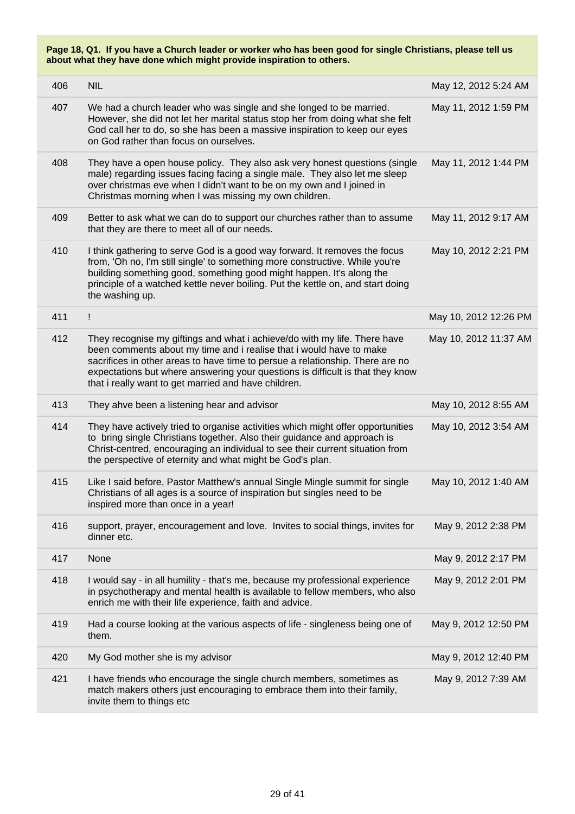| 406 | <b>NIL</b>                                                                                                                                                                                                                                                                                                                                                                  | May 12, 2012 5:24 AM  |
|-----|-----------------------------------------------------------------------------------------------------------------------------------------------------------------------------------------------------------------------------------------------------------------------------------------------------------------------------------------------------------------------------|-----------------------|
| 407 | We had a church leader who was single and she longed to be married.<br>However, she did not let her marital status stop her from doing what she felt<br>God call her to do, so she has been a massive inspiration to keep our eyes<br>on God rather than focus on ourselves.                                                                                                | May 11, 2012 1:59 PM  |
| 408 | They have a open house policy. They also ask very honest questions (single<br>male) regarding issues facing facing a single male. They also let me sleep<br>over christmas eve when I didn't want to be on my own and I joined in<br>Christmas morning when I was missing my own children.                                                                                  | May 11, 2012 1:44 PM  |
| 409 | Better to ask what we can do to support our churches rather than to assume<br>that they are there to meet all of our needs.                                                                                                                                                                                                                                                 | May 11, 2012 9:17 AM  |
| 410 | I think gathering to serve God is a good way forward. It removes the focus<br>from, 'Oh no, I'm still single' to something more constructive. While you're<br>building something good, something good might happen. It's along the<br>principle of a watched kettle never boiling. Put the kettle on, and start doing<br>the washing up.                                    | May 10, 2012 2:21 PM  |
| 411 | Ţ                                                                                                                                                                                                                                                                                                                                                                           | May 10, 2012 12:26 PM |
| 412 | They recognise my giftings and what i achieve/do with my life. There have<br>been comments about my time and i realise that i would have to make<br>sacrifices in other areas to have time to persue a relationship. There are no<br>expectations but where answering your questions is difficult is that they know<br>that i really want to get married and have children. | May 10, 2012 11:37 AM |
| 413 | They ahve been a listening hear and advisor                                                                                                                                                                                                                                                                                                                                 | May 10, 2012 8:55 AM  |
| 414 | They have actively tried to organise activities which might offer opportunities<br>to bring single Christians together. Also their guidance and approach is<br>Christ-centred, encouraging an individual to see their current situation from<br>the perspective of eternity and what might be God's plan.                                                                   | May 10, 2012 3:54 AM  |
| 415 | Like I said before, Pastor Matthew's annual Single Mingle summit for single<br>Christians of all ages is a source of inspiration but singles need to be<br>inspired more than once in a year!                                                                                                                                                                               | May 10, 2012 1:40 AM  |
| 416 | support, prayer, encouragement and love. Invites to social things, invites for<br>dinner etc.                                                                                                                                                                                                                                                                               | May 9, 2012 2:38 PM   |
| 417 | None                                                                                                                                                                                                                                                                                                                                                                        | May 9, 2012 2:17 PM   |
| 418 | I would say - in all humility - that's me, because my professional experience<br>in psychotherapy and mental health is available to fellow members, who also<br>enrich me with their life experience, faith and advice.                                                                                                                                                     | May 9, 2012 2:01 PM   |
| 419 | Had a course looking at the various aspects of life - singleness being one of<br>them.                                                                                                                                                                                                                                                                                      | May 9, 2012 12:50 PM  |
| 420 | My God mother she is my advisor                                                                                                                                                                                                                                                                                                                                             | May 9, 2012 12:40 PM  |
| 421 | I have friends who encourage the single church members, sometimes as<br>match makers others just encouraging to embrace them into their family,<br>invite them to things etc                                                                                                                                                                                                | May 9, 2012 7:39 AM   |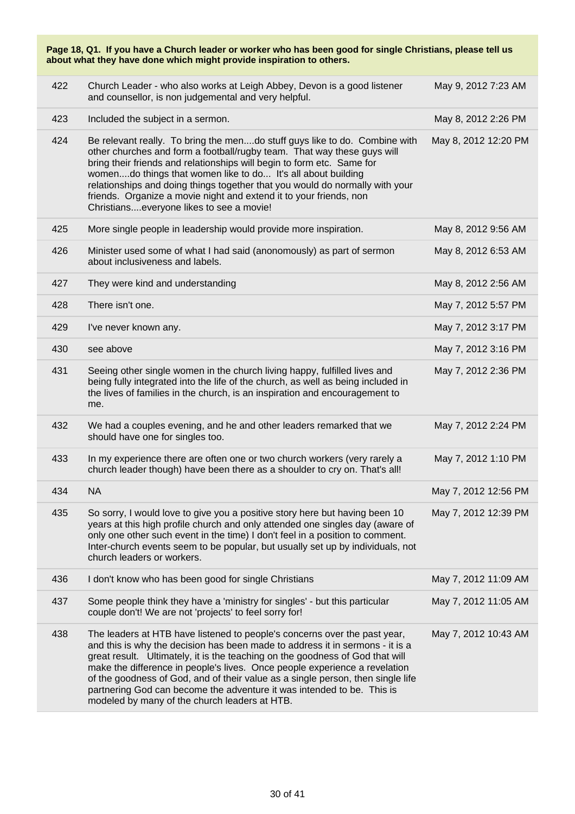| Page 18, Q1. If you have a Church leader or worker who has been good for single Christians, please tell us<br>about what they have done which might provide inspiration to others. |                                                                                                                                                                                                                                                                                                                                                                                                                                                                                                                                         |                      |  |
|------------------------------------------------------------------------------------------------------------------------------------------------------------------------------------|-----------------------------------------------------------------------------------------------------------------------------------------------------------------------------------------------------------------------------------------------------------------------------------------------------------------------------------------------------------------------------------------------------------------------------------------------------------------------------------------------------------------------------------------|----------------------|--|
| 422                                                                                                                                                                                | Church Leader - who also works at Leigh Abbey, Devon is a good listener<br>and counsellor, is non judgemental and very helpful.                                                                                                                                                                                                                                                                                                                                                                                                         | May 9, 2012 7:23 AM  |  |
| 423                                                                                                                                                                                | Included the subject in a sermon.                                                                                                                                                                                                                                                                                                                                                                                                                                                                                                       | May 8, 2012 2:26 PM  |  |
| 424                                                                                                                                                                                | Be relevant really. To bring the mendo stuff guys like to do. Combine with<br>other churches and form a football/rugby team. That way these guys will<br>bring their friends and relationships will begin to form etc. Same for<br>womendo things that women like to do It's all about building<br>relationships and doing things together that you would do normally with your<br>friends. Organize a movie night and extend it to your friends, non<br>Christianseveryone likes to see a movie!                                       | May 8, 2012 12:20 PM |  |
| 425                                                                                                                                                                                | More single people in leadership would provide more inspiration.                                                                                                                                                                                                                                                                                                                                                                                                                                                                        | May 8, 2012 9:56 AM  |  |
| 426                                                                                                                                                                                | Minister used some of what I had said (anonomously) as part of sermon<br>about inclusiveness and labels.                                                                                                                                                                                                                                                                                                                                                                                                                                | May 8, 2012 6:53 AM  |  |
| 427                                                                                                                                                                                | They were kind and understanding                                                                                                                                                                                                                                                                                                                                                                                                                                                                                                        | May 8, 2012 2:56 AM  |  |
| 428                                                                                                                                                                                | There isn't one.                                                                                                                                                                                                                                                                                                                                                                                                                                                                                                                        | May 7, 2012 5:57 PM  |  |
| 429                                                                                                                                                                                | I've never known any.                                                                                                                                                                                                                                                                                                                                                                                                                                                                                                                   | May 7, 2012 3:17 PM  |  |
| 430                                                                                                                                                                                | see above                                                                                                                                                                                                                                                                                                                                                                                                                                                                                                                               | May 7, 2012 3:16 PM  |  |
| 431                                                                                                                                                                                | Seeing other single women in the church living happy, fulfilled lives and<br>being fully integrated into the life of the church, as well as being included in<br>the lives of families in the church, is an inspiration and encouragement to<br>me.                                                                                                                                                                                                                                                                                     | May 7, 2012 2:36 PM  |  |
| 432                                                                                                                                                                                | We had a couples evening, and he and other leaders remarked that we<br>should have one for singles too.                                                                                                                                                                                                                                                                                                                                                                                                                                 | May 7, 2012 2:24 PM  |  |
| 433                                                                                                                                                                                | In my experience there are often one or two church workers (very rarely a<br>church leader though) have been there as a shoulder to cry on. That's all!                                                                                                                                                                                                                                                                                                                                                                                 | May 7, 2012 1:10 PM  |  |
| 434                                                                                                                                                                                | <b>NA</b>                                                                                                                                                                                                                                                                                                                                                                                                                                                                                                                               | May 7, 2012 12:56 PM |  |
| 435                                                                                                                                                                                | So sorry, I would love to give you a positive story here but having been 10<br>years at this high profile church and only attended one singles day (aware of<br>only one other such event in the time) I don't feel in a position to comment.<br>Inter-church events seem to be popular, but usually set up by individuals, not<br>church leaders or workers.                                                                                                                                                                           | May 7, 2012 12:39 PM |  |
| 436                                                                                                                                                                                | I don't know who has been good for single Christians                                                                                                                                                                                                                                                                                                                                                                                                                                                                                    | May 7, 2012 11:09 AM |  |
| 437                                                                                                                                                                                | Some people think they have a 'ministry for singles' - but this particular<br>couple don't! We are not 'projects' to feel sorry for!                                                                                                                                                                                                                                                                                                                                                                                                    | May 7, 2012 11:05 AM |  |
| 438                                                                                                                                                                                | The leaders at HTB have listened to people's concerns over the past year,<br>and this is why the decision has been made to address it in sermons - it is a<br>great result. Ultimately, it is the teaching on the goodness of God that will<br>make the difference in people's lives. Once people experience a revelation<br>of the goodness of God, and of their value as a single person, then single life<br>partnering God can become the adventure it was intended to be. This is<br>modeled by many of the church leaders at HTB. | May 7, 2012 10:43 AM |  |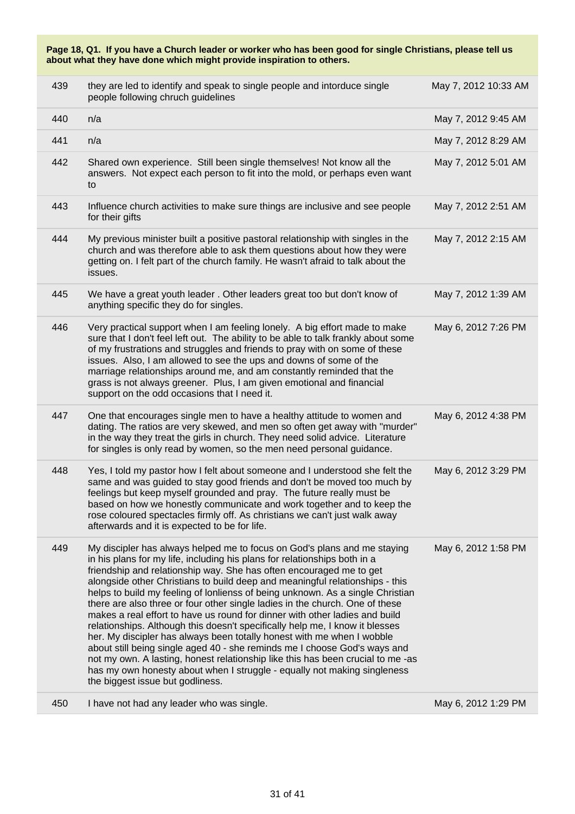**Page 18, Q1. If you have a Church leader or worker who has been good for single Christians, please tell us about what they have done which might provide inspiration to others.** 439 they are led to identify and speak to single people and intorduce single people following chruch guidelines May 7, 2012 10:33 AM 440 n/a May 7, 2012 9:45 AM 441 n/a May 7, 2012 8:29 AM 442 Shared own experience. Still been single themselves! Not know all the May 7, 2012 5:01 AM

answers. Not expect each person to fit into the mold, or perhaps even want

- to 443 Influence church activities to make sure things are inclusive and see people for their gifts May 7, 2012 2:51 AM 444 My previous minister built a positive pastoral relationship with singles in the church and was therefore able to ask them questions about how they were getting on. I felt part of the church family. He wasn't afraid to talk about the issues. May 7, 2012 2:15 AM 445 We have a great youth leader . Other leaders great too but don't know of anything specific they do for singles. May 7, 2012 1:39 AM
- 446 Very practical support when I am feeling lonely. A big effort made to make sure that I don't feel left out. The ability to be able to talk frankly about some of my frustrations and struggles and friends to pray with on some of these issues. Also, I am allowed to see the ups and downs of some of the marriage relationships around me, and am constantly reminded that the grass is not always greener. Plus, I am given emotional and financial support on the odd occasions that I need it. May 6, 2012 7:26 PM 447 One that encourages single men to have a healthy attitude to women and dating. The ratios are very skewed, and men so often get away with "murder" in the way they treat the girls in church. They need solid advice. Literature May 6, 2012 4:38 PM
- for singles is only read by women, so the men need personal guidance. 448 Yes, I told my pastor how I felt about someone and I understood she felt the same and was guided to stay good friends and don't be moved too much by feelings but keep myself grounded and pray. The future really must be based on how we honestly communicate and work together and to keep the rose coloured spectacles firmly off. As christians we can't just walk away afterwards and it is expected to be for life. May 6, 2012 3:29 PM 449 My discipler has always helped me to focus on God's plans and me staying May 6, 2012 1:58 PM
- in his plans for my life, including his plans for relationships both in a friendship and relationship way. She has often encouraged me to get alongside other Christians to build deep and meaningful relationships - this helps to build my feeling of lonlienss of being unknown. As a single Christian there are also three or four other single ladies in the church. One of these makes a real effort to have us round for dinner with other ladies and build relationships. Although this doesn't specifically help me, I know it blesses her. My discipler has always been totally honest with me when I wobble about still being single aged 40 - she reminds me I choose God's ways and not my own. A lasting, honest relationship like this has been crucial to me -as has my own honesty about when I struggle - equally not making singleness the biggest issue but godliness.

450 I have not had any leader who was single. May 6, 2012 1:29 PM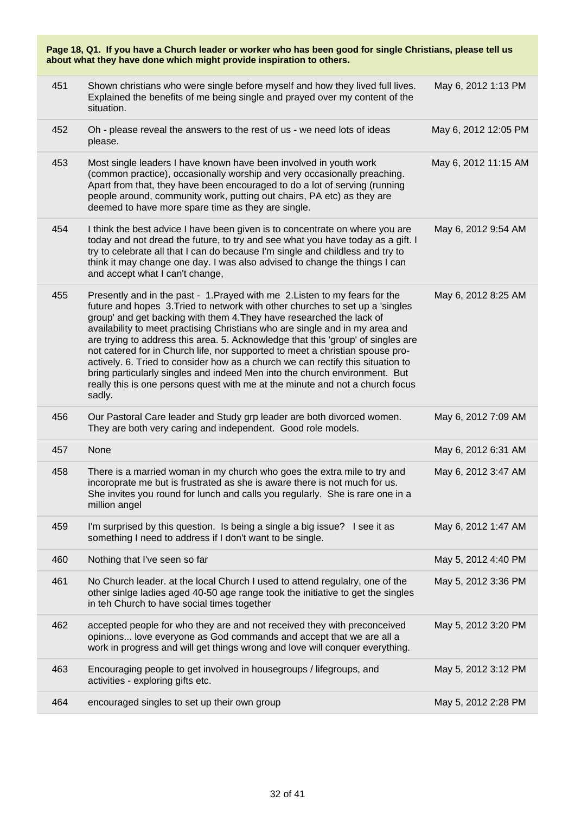| Page 18, Q1. If you have a Church leader or worker who has been good for single Christians, please tell us<br>about what they have done which might provide inspiration to others. |                                                                                                                                                                                                                                                                                                                                                                                                                                                                                                                                                                                                                                                                                                                                                        |                      |  |
|------------------------------------------------------------------------------------------------------------------------------------------------------------------------------------|--------------------------------------------------------------------------------------------------------------------------------------------------------------------------------------------------------------------------------------------------------------------------------------------------------------------------------------------------------------------------------------------------------------------------------------------------------------------------------------------------------------------------------------------------------------------------------------------------------------------------------------------------------------------------------------------------------------------------------------------------------|----------------------|--|
| 451                                                                                                                                                                                | Shown christians who were single before myself and how they lived full lives.<br>Explained the benefits of me being single and prayed over my content of the<br>situation.                                                                                                                                                                                                                                                                                                                                                                                                                                                                                                                                                                             | May 6, 2012 1:13 PM  |  |
| 452                                                                                                                                                                                | Oh - please reveal the answers to the rest of us - we need lots of ideas<br>please.                                                                                                                                                                                                                                                                                                                                                                                                                                                                                                                                                                                                                                                                    | May 6, 2012 12:05 PM |  |
| 453                                                                                                                                                                                | Most single leaders I have known have been involved in youth work<br>(common practice), occasionally worship and very occasionally preaching.<br>Apart from that, they have been encouraged to do a lot of serving (running<br>people around, community work, putting out chairs, PA etc) as they are<br>deemed to have more spare time as they are single.                                                                                                                                                                                                                                                                                                                                                                                            | May 6, 2012 11:15 AM |  |
| 454                                                                                                                                                                                | I think the best advice I have been given is to concentrate on where you are<br>today and not dread the future, to try and see what you have today as a gift. I<br>try to celebrate all that I can do because I'm single and childless and try to<br>think it may change one day. I was also advised to change the things I can<br>and accept what I can't change,                                                                                                                                                                                                                                                                                                                                                                                     | May 6, 2012 9:54 AM  |  |
| 455                                                                                                                                                                                | Presently and in the past - 1. Prayed with me 2. Listen to my fears for the<br>future and hopes 3. Tried to network with other churches to set up a 'singles'<br>group' and get backing with them 4. They have researched the lack of<br>availability to meet practising Christians who are single and in my area and<br>are trying to address this area. 5. Acknowledge that this 'group' of singles are<br>not catered for in Church life, nor supported to meet a christian spouse pro-<br>actively. 6. Tried to consider how as a church we can rectify this situation to<br>bring particularly singles and indeed Men into the church environment. But<br>really this is one persons quest with me at the minute and not a church focus<br>sadly. | May 6, 2012 8:25 AM  |  |
| 456                                                                                                                                                                                | Our Pastoral Care leader and Study grp leader are both divorced women.<br>They are both very caring and independent. Good role models.                                                                                                                                                                                                                                                                                                                                                                                                                                                                                                                                                                                                                 | May 6, 2012 7:09 AM  |  |
| 457                                                                                                                                                                                | None                                                                                                                                                                                                                                                                                                                                                                                                                                                                                                                                                                                                                                                                                                                                                   | May 6, 2012 6:31 AM  |  |
| 458                                                                                                                                                                                | There is a married woman in my church who goes the extra mile to try and<br>incoroprate me but is frustrated as she is aware there is not much for us.<br>She invites you round for lunch and calls you regularly. She is rare one in a<br>million angel                                                                                                                                                                                                                                                                                                                                                                                                                                                                                               | May 6, 2012 3:47 AM  |  |
| 459                                                                                                                                                                                | I'm surprised by this question. Is being a single a big issue? I see it as<br>something I need to address if I don't want to be single.                                                                                                                                                                                                                                                                                                                                                                                                                                                                                                                                                                                                                | May 6, 2012 1:47 AM  |  |
| 460                                                                                                                                                                                | Nothing that I've seen so far                                                                                                                                                                                                                                                                                                                                                                                                                                                                                                                                                                                                                                                                                                                          | May 5, 2012 4:40 PM  |  |
| 461                                                                                                                                                                                | No Church leader. at the local Church I used to attend regulalry, one of the<br>other sinige ladies aged 40-50 age range took the initiative to get the singles<br>in teh Church to have social times together                                                                                                                                                                                                                                                                                                                                                                                                                                                                                                                                         | May 5, 2012 3:36 PM  |  |
| 462                                                                                                                                                                                | accepted people for who they are and not received they with preconceived<br>opinions love everyone as God commands and accept that we are all a<br>work in progress and will get things wrong and love will conquer everything.                                                                                                                                                                                                                                                                                                                                                                                                                                                                                                                        | May 5, 2012 3:20 PM  |  |
| 463                                                                                                                                                                                | Encouraging people to get involved in housegroups / lifegroups, and<br>activities - exploring gifts etc.                                                                                                                                                                                                                                                                                                                                                                                                                                                                                                                                                                                                                                               | May 5, 2012 3:12 PM  |  |
| 464                                                                                                                                                                                | encouraged singles to set up their own group                                                                                                                                                                                                                                                                                                                                                                                                                                                                                                                                                                                                                                                                                                           | May 5, 2012 2:28 PM  |  |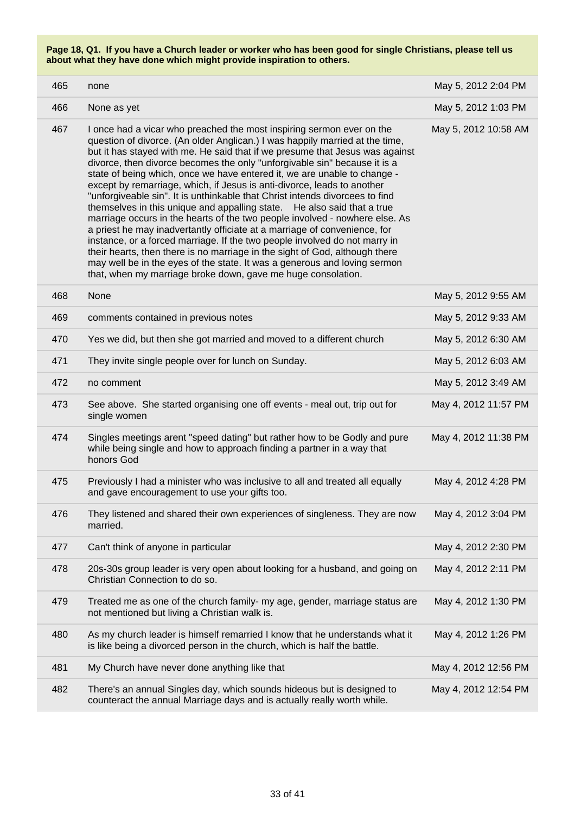| 465 | none                                                                                                                                                                                                                                                                                                                                                                                                                                                                                                                                                                                                                                                                                                                                                                                                                                                                                                                                                                                                                                                                                                       | May 5, 2012 2:04 PM  |
|-----|------------------------------------------------------------------------------------------------------------------------------------------------------------------------------------------------------------------------------------------------------------------------------------------------------------------------------------------------------------------------------------------------------------------------------------------------------------------------------------------------------------------------------------------------------------------------------------------------------------------------------------------------------------------------------------------------------------------------------------------------------------------------------------------------------------------------------------------------------------------------------------------------------------------------------------------------------------------------------------------------------------------------------------------------------------------------------------------------------------|----------------------|
| 466 | None as yet                                                                                                                                                                                                                                                                                                                                                                                                                                                                                                                                                                                                                                                                                                                                                                                                                                                                                                                                                                                                                                                                                                | May 5, 2012 1:03 PM  |
| 467 | I once had a vicar who preached the most inspiring sermon ever on the<br>question of divorce. (An older Anglican.) I was happily married at the time,<br>but it has stayed with me. He said that if we presume that Jesus was against<br>divorce, then divorce becomes the only "unforgivable sin" because it is a<br>state of being which, once we have entered it, we are unable to change -<br>except by remarriage, which, if Jesus is anti-divorce, leads to another<br>"unforgiveable sin". It is unthinkable that Christ intends divorcees to find<br>themselves in this unique and appalling state. He also said that a true<br>marriage occurs in the hearts of the two people involved - nowhere else. As<br>a priest he may inadvertantly officiate at a marriage of convenience, for<br>instance, or a forced marriage. If the two people involved do not marry in<br>their hearts, then there is no marriage in the sight of God, although there<br>may well be in the eyes of the state. It was a generous and loving sermon<br>that, when my marriage broke down, gave me huge consolation. | May 5, 2012 10:58 AM |
| 468 | None                                                                                                                                                                                                                                                                                                                                                                                                                                                                                                                                                                                                                                                                                                                                                                                                                                                                                                                                                                                                                                                                                                       | May 5, 2012 9:55 AM  |
| 469 | comments contained in previous notes                                                                                                                                                                                                                                                                                                                                                                                                                                                                                                                                                                                                                                                                                                                                                                                                                                                                                                                                                                                                                                                                       | May 5, 2012 9:33 AM  |
| 470 | Yes we did, but then she got married and moved to a different church                                                                                                                                                                                                                                                                                                                                                                                                                                                                                                                                                                                                                                                                                                                                                                                                                                                                                                                                                                                                                                       | May 5, 2012 6:30 AM  |
| 471 | They invite single people over for lunch on Sunday.                                                                                                                                                                                                                                                                                                                                                                                                                                                                                                                                                                                                                                                                                                                                                                                                                                                                                                                                                                                                                                                        | May 5, 2012 6:03 AM  |
| 472 | no comment                                                                                                                                                                                                                                                                                                                                                                                                                                                                                                                                                                                                                                                                                                                                                                                                                                                                                                                                                                                                                                                                                                 | May 5, 2012 3:49 AM  |
| 473 | See above. She started organising one off events - meal out, trip out for<br>single women                                                                                                                                                                                                                                                                                                                                                                                                                                                                                                                                                                                                                                                                                                                                                                                                                                                                                                                                                                                                                  | May 4, 2012 11:57 PM |
| 474 | Singles meetings arent "speed dating" but rather how to be Godly and pure<br>while being single and how to approach finding a partner in a way that<br>honors God                                                                                                                                                                                                                                                                                                                                                                                                                                                                                                                                                                                                                                                                                                                                                                                                                                                                                                                                          | May 4, 2012 11:38 PM |
| 475 | Previously I had a minister who was inclusive to all and treated all equally<br>and gave encouragement to use your gifts too.                                                                                                                                                                                                                                                                                                                                                                                                                                                                                                                                                                                                                                                                                                                                                                                                                                                                                                                                                                              | May 4, 2012 4:28 PM  |
| 476 | They listened and shared their own experiences of singleness. They are now<br>married.                                                                                                                                                                                                                                                                                                                                                                                                                                                                                                                                                                                                                                                                                                                                                                                                                                                                                                                                                                                                                     | May 4, 2012 3:04 PM  |
| 477 | Can't think of anyone in particular                                                                                                                                                                                                                                                                                                                                                                                                                                                                                                                                                                                                                                                                                                                                                                                                                                                                                                                                                                                                                                                                        | May 4, 2012 2:30 PM  |
| 478 | 20s-30s group leader is very open about looking for a husband, and going on<br>Christian Connection to do so.                                                                                                                                                                                                                                                                                                                                                                                                                                                                                                                                                                                                                                                                                                                                                                                                                                                                                                                                                                                              | May 4, 2012 2:11 PM  |
| 479 | Treated me as one of the church family- my age, gender, marriage status are<br>not mentioned but living a Christian walk is.                                                                                                                                                                                                                                                                                                                                                                                                                                                                                                                                                                                                                                                                                                                                                                                                                                                                                                                                                                               | May 4, 2012 1:30 PM  |
| 480 | As my church leader is himself remarried I know that he understands what it<br>is like being a divorced person in the church, which is half the battle.                                                                                                                                                                                                                                                                                                                                                                                                                                                                                                                                                                                                                                                                                                                                                                                                                                                                                                                                                    | May 4, 2012 1:26 PM  |
| 481 | My Church have never done anything like that                                                                                                                                                                                                                                                                                                                                                                                                                                                                                                                                                                                                                                                                                                                                                                                                                                                                                                                                                                                                                                                               | May 4, 2012 12:56 PM |
| 482 | There's an annual Singles day, which sounds hideous but is designed to<br>counteract the annual Marriage days and is actually really worth while.                                                                                                                                                                                                                                                                                                                                                                                                                                                                                                                                                                                                                                                                                                                                                                                                                                                                                                                                                          | May 4, 2012 12:54 PM |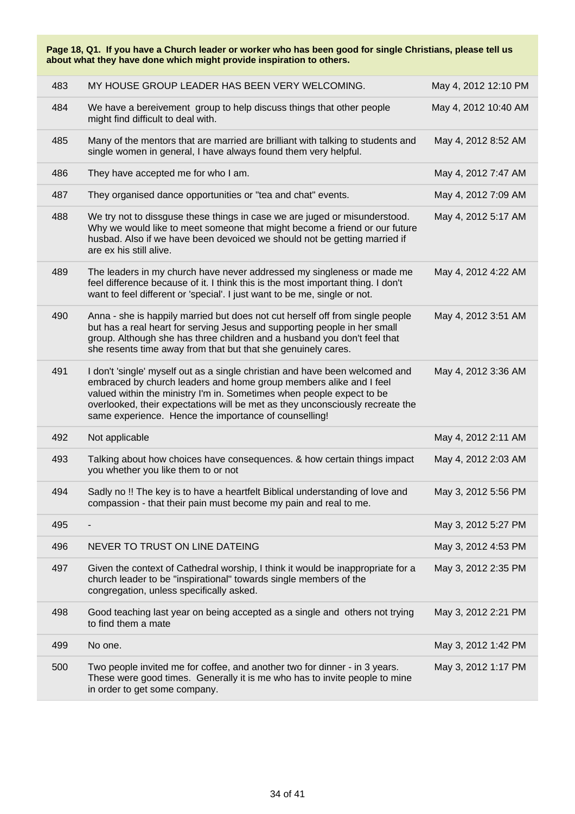**Page 18, Q1. If you have a Church leader or worker who has been good for single Christians, please tell us about what they have done which might provide inspiration to others.** 483 MY HOUSE GROUP LEADER HAS BEEN VERY WELCOMING. May 4, 2012 12:10 PM 484 We have a bereivement group to help discuss things that other people might find difficult to deal with. May 4, 2012 10:40 AM 485 Many of the mentors that are married are brilliant with talking to students and single women in general, I have always found them very helpful. May 4, 2012 8:52 AM 486 They have accepted me for who I am. May 4, 2012 7:47 AM 487 They organised dance opportunities or "tea and chat" events. May 4, 2012 7:09 AM 488 We try not to dissguse these things in case we are juged or misunderstood. Why we would like to meet someone that might become a friend or our future husbad. Also if we have been devoiced we should not be getting married if are ex his still alive. May 4, 2012 5:17 AM 489 The leaders in my church have never addressed my singleness or made me feel difference because of it. I think this is the most important thing. I don't want to feel different or 'special'. I just want to be me, single or not. May 4, 2012 4:22 AM 490 Anna - she is happily married but does not cut herself off from single people but has a real heart for serving Jesus and supporting people in her small group. Although she has three children and a husband you don't feel that she resents time away from that but that she genuinely cares. May 4, 2012 3:51 AM 491 I don't 'single' myself out as a single christian and have been welcomed and embraced by church leaders and home group members alike and I feel valued within the ministry I'm in. Sometimes when people expect to be overlooked, their expectations will be met as they unconsciously recreate the same experience. Hence the importance of counselling! May 4, 2012 3:36 AM Assume that the May 4, 2012 2:11 AM and the May 4, 2012 2:11 AM 493 Talking about how choices have consequences. & how certain things impact you whether you like them to or not May 4, 2012 2:03 AM 494 Sadly no !! The key is to have a heartfelt Biblical understanding of love and compassion - that their pain must become my pain and real to me. May 3, 2012 5:56 PM 495 - May 3, 2012 5:27 PM 496 NEVER TO TRUST ON LINE DATEING MANAGEMENT CONSUMING MAY 3, 2012 4:53 PM 497 Given the context of Cathedral worship, I think it would be inappropriate for a church leader to be "inspirational" towards single members of the congregation, unless specifically asked. May 3, 2012 2:35 PM 498 Good teaching last year on being accepted as a single and others not trying to find them a mate May 3, 2012 2:21 PM 499 No one. May 3, 2012 1:42 PM 500 Two people invited me for coffee, and another two for dinner - in 3 years. These were good times. Generally it is me who has to invite people to mine in order to get some company. May 3, 2012 1:17 PM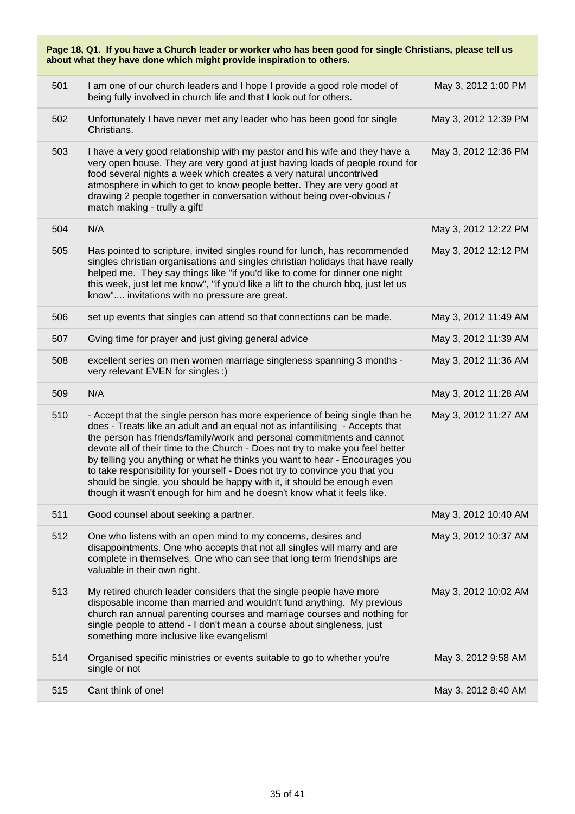| Page 18, Q1. If you have a Church leader or worker who has been good for single Christians, please tell us<br>about what they have done which might provide inspiration to others. |                                                                                                                                                                                                                                                                                                                                                                                                                                                                                                                                                                                                                                            |                      |  |
|------------------------------------------------------------------------------------------------------------------------------------------------------------------------------------|--------------------------------------------------------------------------------------------------------------------------------------------------------------------------------------------------------------------------------------------------------------------------------------------------------------------------------------------------------------------------------------------------------------------------------------------------------------------------------------------------------------------------------------------------------------------------------------------------------------------------------------------|----------------------|--|
| 501                                                                                                                                                                                | I am one of our church leaders and I hope I provide a good role model of<br>being fully involved in church life and that I look out for others.                                                                                                                                                                                                                                                                                                                                                                                                                                                                                            | May 3, 2012 1:00 PM  |  |
| 502                                                                                                                                                                                | Unfortunately I have never met any leader who has been good for single<br>Christians.                                                                                                                                                                                                                                                                                                                                                                                                                                                                                                                                                      | May 3, 2012 12:39 PM |  |
| 503                                                                                                                                                                                | I have a very good relationship with my pastor and his wife and they have a<br>very open house. They are very good at just having loads of people round for<br>food several nights a week which creates a very natural uncontrived<br>atmosphere in which to get to know people better. They are very good at<br>drawing 2 people together in conversation without being over-obvious /<br>match making - trully a gift!                                                                                                                                                                                                                   | May 3, 2012 12:36 PM |  |
| 504                                                                                                                                                                                | N/A                                                                                                                                                                                                                                                                                                                                                                                                                                                                                                                                                                                                                                        | May 3, 2012 12:22 PM |  |
| 505                                                                                                                                                                                | Has pointed to scripture, invited singles round for lunch, has recommended<br>singles christian organisations and singles christian holidays that have really<br>helped me. They say things like "if you'd like to come for dinner one night<br>this week, just let me know", "if you'd like a lift to the church bbq, just let us<br>know" invitations with no pressure are great.                                                                                                                                                                                                                                                        | May 3, 2012 12:12 PM |  |
| 506                                                                                                                                                                                | set up events that singles can attend so that connections can be made.                                                                                                                                                                                                                                                                                                                                                                                                                                                                                                                                                                     | May 3, 2012 11:49 AM |  |
| 507                                                                                                                                                                                | Gving time for prayer and just giving general advice                                                                                                                                                                                                                                                                                                                                                                                                                                                                                                                                                                                       | May 3, 2012 11:39 AM |  |
| 508                                                                                                                                                                                | excellent series on men women marriage singleness spanning 3 months -<br>very relevant EVEN for singles :)                                                                                                                                                                                                                                                                                                                                                                                                                                                                                                                                 | May 3, 2012 11:36 AM |  |
| 509                                                                                                                                                                                | N/A                                                                                                                                                                                                                                                                                                                                                                                                                                                                                                                                                                                                                                        | May 3, 2012 11:28 AM |  |
| 510                                                                                                                                                                                | - Accept that the single person has more experience of being single than he<br>does - Treats like an adult and an equal not as infantilising - Accepts that<br>the person has friends/family/work and personal commitments and cannot<br>devote all of their time to the Church - Does not try to make you feel better<br>by telling you anything or what he thinks you want to hear - Encourages you<br>to take responsibility for yourself - Does not try to convince you that you<br>should be single, you should be happy with it, it should be enough even<br>though it wasn't enough for him and he doesn't know what it feels like. | May 3, 2012 11:27 AM |  |
| 511                                                                                                                                                                                | Good counsel about seeking a partner.                                                                                                                                                                                                                                                                                                                                                                                                                                                                                                                                                                                                      | May 3, 2012 10:40 AM |  |
| 512                                                                                                                                                                                | One who listens with an open mind to my concerns, desires and<br>disappointments. One who accepts that not all singles will marry and are<br>complete in themselves. One who can see that long term friendships are<br>valuable in their own right.                                                                                                                                                                                                                                                                                                                                                                                        | May 3, 2012 10:37 AM |  |
| 513                                                                                                                                                                                | My retired church leader considers that the single people have more<br>disposable income than married and wouldn't fund anything. My previous<br>church ran annual parenting courses and marriage courses and nothing for<br>single people to attend - I don't mean a course about singleness, just<br>something more inclusive like evangelism!                                                                                                                                                                                                                                                                                           | May 3, 2012 10:02 AM |  |
| 514                                                                                                                                                                                | Organised specific ministries or events suitable to go to whether you're<br>single or not                                                                                                                                                                                                                                                                                                                                                                                                                                                                                                                                                  | May 3, 2012 9:58 AM  |  |
| 515                                                                                                                                                                                | Cant think of one!                                                                                                                                                                                                                                                                                                                                                                                                                                                                                                                                                                                                                         | May 3, 2012 8:40 AM  |  |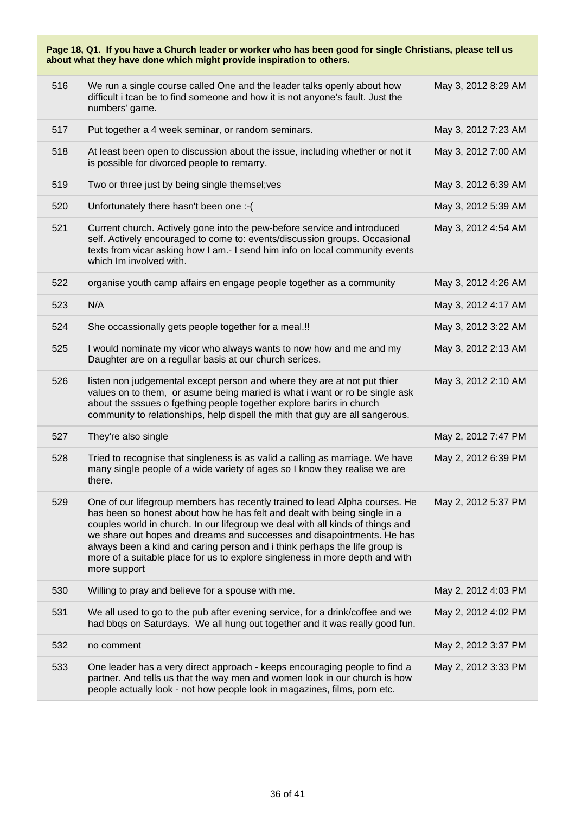| Page 18, Q1. If you have a Church leader or worker who has been good for single Christians, please tell us<br>about what they have done which might provide inspiration to others. |                                                                                                                                                                                                                                                                                                                                                                                                                                                                                                    |                     |  |
|------------------------------------------------------------------------------------------------------------------------------------------------------------------------------------|----------------------------------------------------------------------------------------------------------------------------------------------------------------------------------------------------------------------------------------------------------------------------------------------------------------------------------------------------------------------------------------------------------------------------------------------------------------------------------------------------|---------------------|--|
| 516                                                                                                                                                                                | We run a single course called One and the leader talks openly about how<br>difficult i tcan be to find someone and how it is not anyone's fault. Just the<br>numbers' game.                                                                                                                                                                                                                                                                                                                        | May 3, 2012 8:29 AM |  |
| 517                                                                                                                                                                                | Put together a 4 week seminar, or random seminars.                                                                                                                                                                                                                                                                                                                                                                                                                                                 | May 3, 2012 7:23 AM |  |
| 518                                                                                                                                                                                | At least been open to discussion about the issue, including whether or not it<br>is possible for divorced people to remarry.                                                                                                                                                                                                                                                                                                                                                                       | May 3, 2012 7:00 AM |  |
| 519                                                                                                                                                                                | Two or three just by being single themsel; ves                                                                                                                                                                                                                                                                                                                                                                                                                                                     | May 3, 2012 6:39 AM |  |
| 520                                                                                                                                                                                | Unfortunately there hasn't been one :- (                                                                                                                                                                                                                                                                                                                                                                                                                                                           | May 3, 2012 5:39 AM |  |
| 521                                                                                                                                                                                | Current church. Actively gone into the pew-before service and introduced<br>self. Actively encouraged to come to: events/discussion groups. Occasional<br>texts from vicar asking how I am.- I send him info on local community events<br>which Im involved with.                                                                                                                                                                                                                                  | May 3, 2012 4:54 AM |  |
| 522                                                                                                                                                                                | organise youth camp affairs en engage people together as a community                                                                                                                                                                                                                                                                                                                                                                                                                               | May 3, 2012 4:26 AM |  |
| 523                                                                                                                                                                                | N/A                                                                                                                                                                                                                                                                                                                                                                                                                                                                                                | May 3, 2012 4:17 AM |  |
| 524                                                                                                                                                                                | She occassionally gets people together for a meal.!!                                                                                                                                                                                                                                                                                                                                                                                                                                               | May 3, 2012 3:22 AM |  |
| 525                                                                                                                                                                                | I would nominate my vicor who always wants to now how and me and my<br>Daughter are on a regullar basis at our church serices.                                                                                                                                                                                                                                                                                                                                                                     | May 3, 2012 2:13 AM |  |
| 526                                                                                                                                                                                | listen non judgemental except person and where they are at not put thier<br>values on to them, or asume being maried is what i want or ro be single ask<br>about the sssues o fgething people together explore barirs in church<br>community to relationships, help dispell the mith that guy are all sangerous.                                                                                                                                                                                   | May 3, 2012 2:10 AM |  |
| 527                                                                                                                                                                                | They're also single                                                                                                                                                                                                                                                                                                                                                                                                                                                                                | May 2, 2012 7:47 PM |  |
| 528                                                                                                                                                                                | Tried to recognise that singleness is as valid a calling as marriage. We have<br>many single people of a wide variety of ages so I know they realise we are<br>there.                                                                                                                                                                                                                                                                                                                              | May 2, 2012 6:39 PM |  |
| 529                                                                                                                                                                                | One of our lifegroup members has recently trained to lead Alpha courses. He<br>has been so honest about how he has felt and dealt with being single in a<br>couples world in church. In our lifegroup we deal with all kinds of things and<br>we share out hopes and dreams and successes and disapointments. He has<br>always been a kind and caring person and i think perhaps the life group is<br>more of a suitable place for us to explore singleness in more depth and with<br>more support | May 2, 2012 5:37 PM |  |
| 530                                                                                                                                                                                | Willing to pray and believe for a spouse with me.                                                                                                                                                                                                                                                                                                                                                                                                                                                  | May 2, 2012 4:03 PM |  |
| 531                                                                                                                                                                                | We all used to go to the pub after evening service, for a drink/coffee and we<br>had bbqs on Saturdays. We all hung out together and it was really good fun.                                                                                                                                                                                                                                                                                                                                       | May 2, 2012 4:02 PM |  |
| 532                                                                                                                                                                                | no comment                                                                                                                                                                                                                                                                                                                                                                                                                                                                                         | May 2, 2012 3:37 PM |  |
| 533                                                                                                                                                                                | One leader has a very direct approach - keeps encouraging people to find a<br>partner. And tells us that the way men and women look in our church is how<br>people actually look - not how people look in magazines, films, porn etc.                                                                                                                                                                                                                                                              | May 2, 2012 3:33 PM |  |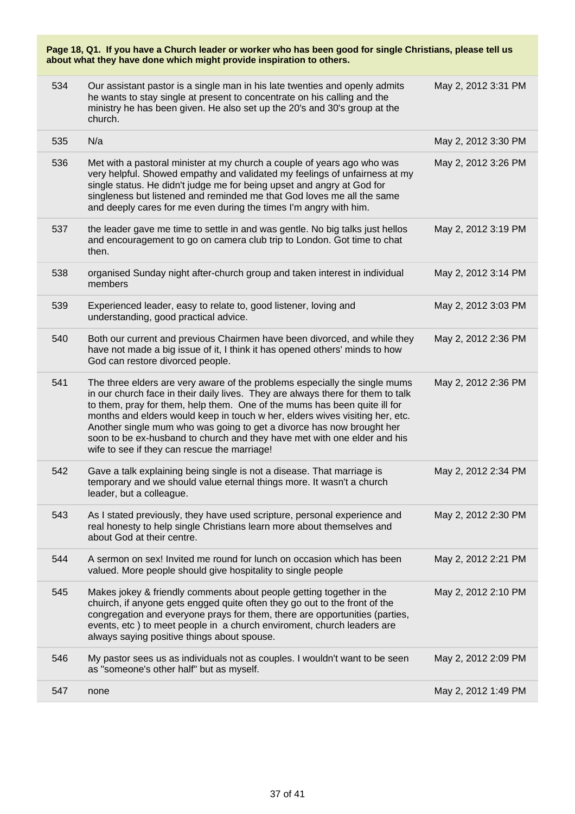| 534 | Our assistant pastor is a single man in his late twenties and openly admits<br>he wants to stay single at present to concentrate on his calling and the<br>ministry he has been given. He also set up the 20's and 30's group at the<br>church.                                                                                                                                                                                                                                                                                 | May 2, 2012 3:31 PM |
|-----|---------------------------------------------------------------------------------------------------------------------------------------------------------------------------------------------------------------------------------------------------------------------------------------------------------------------------------------------------------------------------------------------------------------------------------------------------------------------------------------------------------------------------------|---------------------|
| 535 | N/a                                                                                                                                                                                                                                                                                                                                                                                                                                                                                                                             | May 2, 2012 3:30 PM |
| 536 | Met with a pastoral minister at my church a couple of years ago who was<br>very helpful. Showed empathy and validated my feelings of unfairness at my<br>single status. He didn't judge me for being upset and angry at God for<br>singleness but listened and reminded me that God loves me all the same<br>and deeply cares for me even during the times I'm angry with him.                                                                                                                                                  | May 2, 2012 3:26 PM |
| 537 | the leader gave me time to settle in and was gentle. No big talks just hellos<br>and encouragement to go on camera club trip to London. Got time to chat<br>then.                                                                                                                                                                                                                                                                                                                                                               | May 2, 2012 3:19 PM |
| 538 | organised Sunday night after-church group and taken interest in individual<br>members                                                                                                                                                                                                                                                                                                                                                                                                                                           | May 2, 2012 3:14 PM |
| 539 | Experienced leader, easy to relate to, good listener, loving and<br>understanding, good practical advice.                                                                                                                                                                                                                                                                                                                                                                                                                       | May 2, 2012 3:03 PM |
| 540 | Both our current and previous Chairmen have been divorced, and while they<br>have not made a big issue of it, I think it has opened others' minds to how<br>God can restore divorced people.                                                                                                                                                                                                                                                                                                                                    | May 2, 2012 2:36 PM |
| 541 | The three elders are very aware of the problems especially the single mums<br>in our church face in their daily lives. They are always there for them to talk<br>to them, pray for them, help them. One of the mums has been quite ill for<br>months and elders would keep in touch w her, elders wives visiting her, etc.<br>Another single mum who was going to get a divorce has now brought her<br>soon to be ex-husband to church and they have met with one elder and his<br>wife to see if they can rescue the marriage! | May 2, 2012 2:36 PM |
| 542 | Gave a talk explaining being single is not a disease. That marriage is<br>temporary and we should value eternal things more. It wasn't a church<br>leader, but a colleague.                                                                                                                                                                                                                                                                                                                                                     | May 2, 2012 2:34 PM |
| 543 | As I stated previously, they have used scripture, personal experience and<br>real honesty to help single Christians learn more about themselves and<br>about God at their centre.                                                                                                                                                                                                                                                                                                                                               | May 2, 2012 2:30 PM |
| 544 | A sermon on sex! Invited me round for lunch on occasion which has been<br>valued. More people should give hospitality to single people                                                                                                                                                                                                                                                                                                                                                                                          | May 2, 2012 2:21 PM |
| 545 | Makes jokey & friendly comments about people getting together in the<br>chuirch, if anyone gets engged quite often they go out to the front of the<br>congregation and everyone prays for them, there are opportunities (parties,<br>events, etc) to meet people in a church enviroment, church leaders are<br>always saying positive things about spouse.                                                                                                                                                                      | May 2, 2012 2:10 PM |
| 546 | My pastor sees us as individuals not as couples. I wouldn't want to be seen<br>as "someone's other half" but as myself.                                                                                                                                                                                                                                                                                                                                                                                                         | May 2, 2012 2:09 PM |
| 547 | none                                                                                                                                                                                                                                                                                                                                                                                                                                                                                                                            | May 2, 2012 1:49 PM |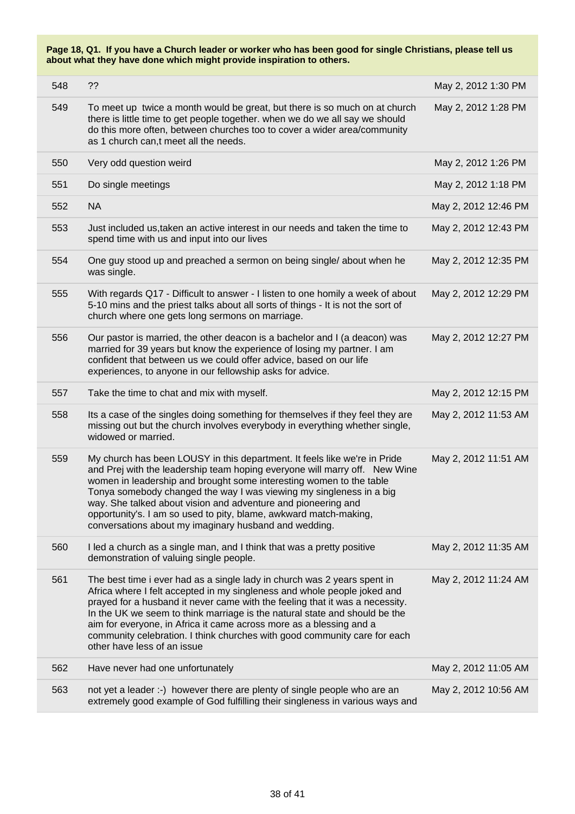| 548 | ??                                                                                                                                                                                                                                                                                                                                                                                                                                                                                                    | May 2, 2012 1:30 PM  |
|-----|-------------------------------------------------------------------------------------------------------------------------------------------------------------------------------------------------------------------------------------------------------------------------------------------------------------------------------------------------------------------------------------------------------------------------------------------------------------------------------------------------------|----------------------|
| 549 | To meet up twice a month would be great, but there is so much on at church<br>there is little time to get people together. when we do we all say we should<br>do this more often, between churches too to cover a wider area/community<br>as 1 church can,t meet all the needs.                                                                                                                                                                                                                       | May 2, 2012 1:28 PM  |
| 550 | Very odd question weird                                                                                                                                                                                                                                                                                                                                                                                                                                                                               | May 2, 2012 1:26 PM  |
| 551 | Do single meetings                                                                                                                                                                                                                                                                                                                                                                                                                                                                                    | May 2, 2012 1:18 PM  |
| 552 | <b>NA</b>                                                                                                                                                                                                                                                                                                                                                                                                                                                                                             | May 2, 2012 12:46 PM |
| 553 | Just included us, taken an active interest in our needs and taken the time to<br>spend time with us and input into our lives                                                                                                                                                                                                                                                                                                                                                                          | May 2, 2012 12:43 PM |
| 554 | One guy stood up and preached a sermon on being single/ about when he<br>was single.                                                                                                                                                                                                                                                                                                                                                                                                                  | May 2, 2012 12:35 PM |
| 555 | With regards Q17 - Difficult to answer - I listen to one homily a week of about<br>5-10 mins and the priest talks about all sorts of things - It is not the sort of<br>church where one gets long sermons on marriage.                                                                                                                                                                                                                                                                                | May 2, 2012 12:29 PM |
| 556 | Our pastor is married, the other deacon is a bachelor and I (a deacon) was<br>married for 39 years but know the experience of losing my partner. I am<br>confident that between us we could offer advice, based on our life<br>experiences, to anyone in our fellowship asks for advice.                                                                                                                                                                                                              | May 2, 2012 12:27 PM |
| 557 | Take the time to chat and mix with myself.                                                                                                                                                                                                                                                                                                                                                                                                                                                            | May 2, 2012 12:15 PM |
| 558 | Its a case of the singles doing something for themselves if they feel they are<br>missing out but the church involves everybody in everything whether single,<br>widowed or married.                                                                                                                                                                                                                                                                                                                  | May 2, 2012 11:53 AM |
| 559 | My church has been LOUSY in this department. It feels like we're in Pride<br>and Prej with the leadership team hoping everyone will marry off. New Wine<br>women in leadership and brought some interesting women to the table<br>Tonya somebody changed the way I was viewing my singleness in a big<br>way. She talked about vision and adventure and pioneering and<br>opportunity's. I am so used to pity, blame, awkward match-making,<br>conversations about my imaginary husband and wedding.  | May 2, 2012 11:51 AM |
| 560 | I led a church as a single man, and I think that was a pretty positive<br>demonstration of valuing single people.                                                                                                                                                                                                                                                                                                                                                                                     | May 2, 2012 11:35 AM |
| 561 | The best time i ever had as a single lady in church was 2 years spent in<br>Africa where I felt accepted in my singleness and whole people joked and<br>prayed for a husband it never came with the feeling that it was a necessity.<br>In the UK we seem to think marriage is the natural state and should be the<br>aim for everyone, in Africa it came across more as a blessing and a<br>community celebration. I think churches with good community care for each<br>other have less of an issue | May 2, 2012 11:24 AM |
| 562 | Have never had one unfortunately                                                                                                                                                                                                                                                                                                                                                                                                                                                                      | May 2, 2012 11:05 AM |
| 563 | not yet a leader :-) however there are plenty of single people who are an<br>extremely good example of God fulfilling their singleness in various ways and                                                                                                                                                                                                                                                                                                                                            | May 2, 2012 10:56 AM |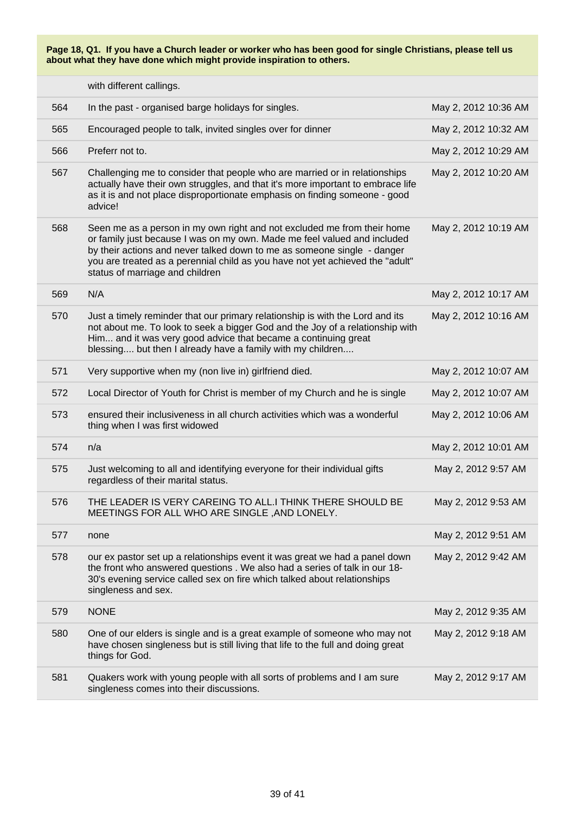with different callings.

| 564 | In the past - organised barge holidays for singles.                                                                                                                                                                                                                                                                                                | May 2, 2012 10:36 AM |
|-----|----------------------------------------------------------------------------------------------------------------------------------------------------------------------------------------------------------------------------------------------------------------------------------------------------------------------------------------------------|----------------------|
| 565 | Encouraged people to talk, invited singles over for dinner                                                                                                                                                                                                                                                                                         | May 2, 2012 10:32 AM |
| 566 | Preferr not to.                                                                                                                                                                                                                                                                                                                                    | May 2, 2012 10:29 AM |
| 567 | Challenging me to consider that people who are married or in relationships<br>actually have their own struggles, and that it's more important to embrace life<br>as it is and not place disproportionate emphasis on finding someone - good<br>advice!                                                                                             | May 2, 2012 10:20 AM |
| 568 | Seen me as a person in my own right and not excluded me from their home<br>or family just because I was on my own. Made me feel valued and included<br>by their actions and never talked down to me as someone single - danger<br>you are treated as a perennial child as you have not yet achieved the "adult"<br>status of marriage and children | May 2, 2012 10:19 AM |
| 569 | N/A                                                                                                                                                                                                                                                                                                                                                | May 2, 2012 10:17 AM |
| 570 | Just a timely reminder that our primary relationship is with the Lord and its<br>not about me. To look to seek a bigger God and the Joy of a relationship with<br>Him and it was very good advice that became a continuing great<br>blessing but then I already have a family with my children                                                     | May 2, 2012 10:16 AM |
| 571 | Very supportive when my (non live in) girlfriend died.                                                                                                                                                                                                                                                                                             | May 2, 2012 10:07 AM |
| 572 | Local Director of Youth for Christ is member of my Church and he is single                                                                                                                                                                                                                                                                         | May 2, 2012 10:07 AM |
| 573 | ensured their inclusiveness in all church activities which was a wonderful<br>thing when I was first widowed                                                                                                                                                                                                                                       | May 2, 2012 10:06 AM |
| 574 | n/a                                                                                                                                                                                                                                                                                                                                                | May 2, 2012 10:01 AM |
| 575 | Just welcoming to all and identifying everyone for their individual gifts<br>regardless of their marital status.                                                                                                                                                                                                                                   | May 2, 2012 9:57 AM  |
| 576 | THE LEADER IS VERY CAREING TO ALL.I THINK THERE SHOULD BE<br>MEETINGS FOR ALL WHO ARE SINGLE, AND LONELY.                                                                                                                                                                                                                                          | May 2, 2012 9:53 AM  |
| 577 | none                                                                                                                                                                                                                                                                                                                                               | May 2, 2012 9:51 AM  |
| 578 | our ex pastor set up a relationships event it was great we had a panel down<br>the front who answered questions. We also had a series of talk in our 18-<br>30's evening service called sex on fire which talked about relationships<br>singleness and sex.                                                                                        | May 2, 2012 9:42 AM  |
| 579 | <b>NONE</b>                                                                                                                                                                                                                                                                                                                                        | May 2, 2012 9:35 AM  |
| 580 | One of our elders is single and is a great example of someone who may not<br>have chosen singleness but is still living that life to the full and doing great<br>things for God.                                                                                                                                                                   | May 2, 2012 9:18 AM  |
| 581 | Quakers work with young people with all sorts of problems and I am sure<br>singleness comes into their discussions.                                                                                                                                                                                                                                | May 2, 2012 9:17 AM  |
|     |                                                                                                                                                                                                                                                                                                                                                    |                      |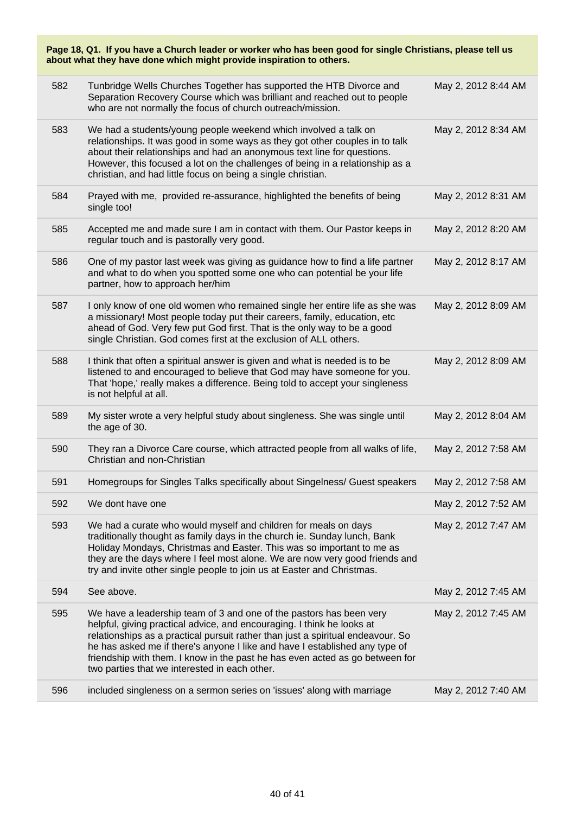| Page 18, Q1. If you have a Church leader or worker who has been good for single Christians, please tell us<br>about what they have done which might provide inspiration to others. |                                                                                                                                                                                                                                                                                                                                                                                                                                                  |                     |  |  |  |
|------------------------------------------------------------------------------------------------------------------------------------------------------------------------------------|--------------------------------------------------------------------------------------------------------------------------------------------------------------------------------------------------------------------------------------------------------------------------------------------------------------------------------------------------------------------------------------------------------------------------------------------------|---------------------|--|--|--|
| 582                                                                                                                                                                                | Tunbridge Wells Churches Together has supported the HTB Divorce and<br>Separation Recovery Course which was brilliant and reached out to people<br>who are not normally the focus of church outreach/mission.                                                                                                                                                                                                                                    | May 2, 2012 8:44 AM |  |  |  |
| 583                                                                                                                                                                                | We had a students/young people weekend which involved a talk on<br>relationships. It was good in some ways as they got other couples in to talk<br>about their relationships and had an anonymous text line for questions.<br>However, this focused a lot on the challenges of being in a relationship as a<br>christian, and had little focus on being a single christian.                                                                      | May 2, 2012 8:34 AM |  |  |  |
| 584                                                                                                                                                                                | Prayed with me, provided re-assurance, highlighted the benefits of being<br>single too!                                                                                                                                                                                                                                                                                                                                                          | May 2, 2012 8:31 AM |  |  |  |
| 585                                                                                                                                                                                | Accepted me and made sure I am in contact with them. Our Pastor keeps in<br>regular touch and is pastorally very good.                                                                                                                                                                                                                                                                                                                           | May 2, 2012 8:20 AM |  |  |  |
| 586                                                                                                                                                                                | One of my pastor last week was giving as guidance how to find a life partner<br>and what to do when you spotted some one who can potential be your life<br>partner, how to approach her/him                                                                                                                                                                                                                                                      | May 2, 2012 8:17 AM |  |  |  |
| 587                                                                                                                                                                                | I only know of one old women who remained single her entire life as she was<br>a missionary! Most people today put their careers, family, education, etc<br>ahead of God. Very few put God first. That is the only way to be a good<br>single Christian. God comes first at the exclusion of ALL others.                                                                                                                                         | May 2, 2012 8:09 AM |  |  |  |
| 588                                                                                                                                                                                | I think that often a spiritual answer is given and what is needed is to be<br>listened to and encouraged to believe that God may have someone for you.<br>That 'hope,' really makes a difference. Being told to accept your singleness<br>is not helpful at all.                                                                                                                                                                                 | May 2, 2012 8:09 AM |  |  |  |
| 589                                                                                                                                                                                | My sister wrote a very helpful study about singleness. She was single until<br>the age of 30.                                                                                                                                                                                                                                                                                                                                                    | May 2, 2012 8:04 AM |  |  |  |
| 590                                                                                                                                                                                | They ran a Divorce Care course, which attracted people from all walks of life,<br>Christian and non-Christian                                                                                                                                                                                                                                                                                                                                    | May 2, 2012 7:58 AM |  |  |  |
| 591                                                                                                                                                                                | Homegroups for Singles Talks specifically about Singelness/ Guest speakers                                                                                                                                                                                                                                                                                                                                                                       | May 2, 2012 7:58 AM |  |  |  |
| 592                                                                                                                                                                                | We dont have one                                                                                                                                                                                                                                                                                                                                                                                                                                 | May 2, 2012 7:52 AM |  |  |  |
| 593                                                                                                                                                                                | We had a curate who would myself and children for meals on days<br>traditionally thought as family days in the church ie. Sunday lunch, Bank<br>Holiday Mondays, Christmas and Easter. This was so important to me as<br>they are the days where I feel most alone. We are now very good friends and<br>try and invite other single people to join us at Easter and Christmas.                                                                   | May 2, 2012 7:47 AM |  |  |  |
| 594                                                                                                                                                                                | See above.                                                                                                                                                                                                                                                                                                                                                                                                                                       | May 2, 2012 7:45 AM |  |  |  |
| 595                                                                                                                                                                                | We have a leadership team of 3 and one of the pastors has been very<br>helpful, giving practical advice, and encouraging. I think he looks at<br>relationships as a practical pursuit rather than just a spiritual endeavour. So<br>he has asked me if there's anyone I like and have I established any type of<br>friendship with them. I know in the past he has even acted as go between for<br>two parties that we interested in each other. | May 2, 2012 7:45 AM |  |  |  |
| 596                                                                                                                                                                                | included singleness on a sermon series on 'issues' along with marriage                                                                                                                                                                                                                                                                                                                                                                           | May 2, 2012 7:40 AM |  |  |  |